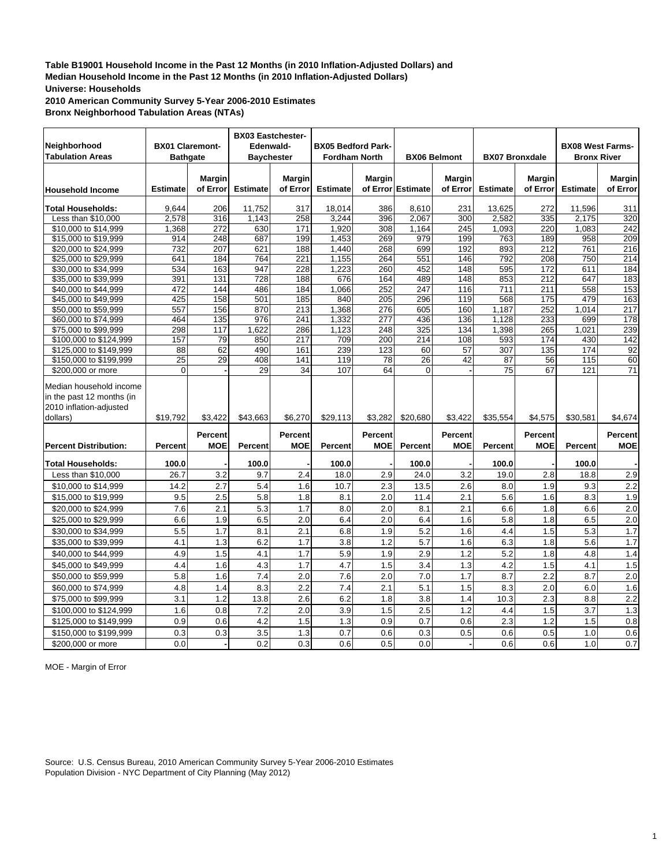**2010 American Community Survey 5-Year 2006-2010 Estimates Bronx Neighborhood Tabulation Areas (NTAs)**

| Neighborhood<br><b>Tabulation Areas</b>                                                     |                  | <b>BX01 Claremont-</b><br><b>Bathgate</b> | <b>BX03 Eastchester-</b><br>Edenwald-<br><b>Baychester</b> |                       | <b>BX05 Bedford Park-</b><br><b>Fordham North</b> |                              |                   | <b>BX06 Belmont</b>       | <b>BX07 Bronxdale</b> |                              | <b>BX08 West Farms-</b><br><b>Bronx River</b> |                              |
|---------------------------------------------------------------------------------------------|------------------|-------------------------------------------|------------------------------------------------------------|-----------------------|---------------------------------------------------|------------------------------|-------------------|---------------------------|-----------------------|------------------------------|-----------------------------------------------|------------------------------|
| <b>Household Income</b>                                                                     | <b>Estimate</b>  | <b>Margin</b><br>of Error                 | <b>Estimate</b>                                            | Margin<br>of Error    | <b>Estimate</b>                                   | <b>Margin</b>                | of Error Estimate | <b>Margin</b><br>of Error | <b>Estimate</b>       | <b>Margin</b><br>of Error    | <b>Estimate</b>                               | <b>Margin</b><br>of Error    |
| <b>Total Households:</b>                                                                    | 9.644            | 206                                       | 11,752                                                     | 317                   | 18,014                                            | 386                          | 8,610             | 231                       | 13,625                | 272                          | 11,596                                        | 311                          |
| Less than \$10,000                                                                          | 2,578            | 316                                       | 1,143                                                      | 258                   | 3,244                                             | 396                          | 2,067             | 300                       | 2,582                 | 335                          | 2,175                                         | 320                          |
| \$10,000 to \$14.999                                                                        | 1,368            | 272                                       | 630                                                        | 171                   | 1.920                                             | 308                          | 1.164             | 245                       | 1.093                 | 220                          | 1.083                                         | 242                          |
| \$15,000 to \$19,999                                                                        | 914              | 248                                       | 687                                                        | 199                   | 1,453                                             | 269                          | 979               | 199                       | 763                   | 189                          | 958                                           | 209                          |
| \$20,000 to \$24,999                                                                        | 732              | 207                                       | 621                                                        | 188                   | 1,440                                             | 268                          | 699               | 192                       | 893                   | 212                          | 761                                           | 216                          |
| \$25,000 to \$29,999                                                                        | 641              | 184                                       | 764                                                        | $\overline{221}$      | 1,155                                             | 264                          | 551               | 146                       | 792                   | $\overline{208}$             | 750                                           | $\overline{214}$             |
| \$30,000 to \$34,999                                                                        | 534              | 163                                       | 947                                                        | 228                   | 1,223                                             | 260                          | 452               | 148                       | 595                   | 172                          | 611                                           | 184                          |
| \$35,000 to \$39,999                                                                        | 391              | 131                                       | 728                                                        | 188                   | 676                                               | 164                          | 489               | 148                       | 853                   | 212                          | 647                                           | 183                          |
| \$40,000 to \$44,999                                                                        | 472              | 144                                       | 486                                                        | 184                   | 1,066                                             | 252                          | 247               | 116                       | 711                   | 211                          | 558                                           | 153                          |
| \$45,000 to \$49,999                                                                        | $\overline{425}$ | 158                                       | 501                                                        | 185                   | 840                                               | 205                          | 296               | 119                       | 568                   | 175                          | 479                                           | 163                          |
| \$50,000 to \$59,999                                                                        | 557              | 156                                       | 870                                                        | 213                   | 1,368                                             | 276                          | 605               | 160                       | 1,187                 | 252                          | 1,014                                         | 217                          |
| \$60,000 to \$74,999                                                                        | 464              | 135                                       | 976                                                        | 241                   | 1,332                                             | 277                          | 436               | 136                       | 1.128                 | 233                          | 699                                           | 178                          |
| \$75,000 to \$99,999                                                                        | 298              | 117                                       | 1,622                                                      | 286                   | 1,123                                             | 248                          | 325               | 134                       | 1,398                 | 265                          | 1,021                                         | 239                          |
| \$100,000 to \$124,999                                                                      | 157              | 79                                        | 850                                                        | 217                   | 709                                               | 200                          | 214               | 108                       | 593                   | 174                          | 430                                           | 142                          |
| \$125,000 to \$149,999                                                                      | 88               | 62                                        | 490                                                        | 161                   | 239                                               | 123                          | 60                | 57                        | 307                   | 135                          | 174                                           | 92                           |
| \$150,000 to \$199,999                                                                      | 25               | 29                                        | 408                                                        | 141                   | 119                                               | 78                           | 26                | 42                        | 87                    | 56                           | 115                                           | 60                           |
| \$200,000 or more                                                                           | $\Omega$         |                                           | 29                                                         | 34                    | 107                                               | 64                           | $\Omega$          |                           | 75                    | 67                           | 121                                           | 71                           |
| Median household income<br>in the past 12 months (in<br>2010 inflation-adjusted<br>dollars) | \$19,792         | \$3,422                                   | \$43,663                                                   | \$6,270               | \$29,113                                          | \$3,282                      | \$20,680          | \$3,422                   | \$35,554              | \$4,575                      | \$30,581                                      | \$4,674                      |
| <b>Percent Distribution:</b>                                                                | <b>Percent</b>   | <b>Percent</b><br><b>MOE</b>              | <b>Percent</b>                                             | Percent<br><b>MOE</b> | Percent                                           | <b>Percent</b><br><b>MOE</b> | Percent           | Percent<br><b>MOE</b>     | Percent               | <b>Percent</b><br><b>MOE</b> | <b>Percent</b>                                | <b>Percent</b><br><b>MOE</b> |
| <b>Total Households:</b>                                                                    | 100.0            |                                           | 100.0                                                      |                       | 100.0                                             |                              | 100.0             |                           | 100.0                 |                              | 100.0                                         |                              |
| Less than \$10,000                                                                          | 26.7             | 3.2                                       | 9.7                                                        | 2.4                   | 18.0                                              | 2.9                          | 24.0              | 3.2                       | 19.0                  | 2.8                          | 18.8                                          | 2.9                          |
| \$10,000 to \$14,999                                                                        | 14.2             | 2.7                                       | 5.4                                                        | 1.6                   | 10.7                                              | 2.3                          | 13.5              | 2.6                       | 8.0                   | 1.9                          | 9.3                                           | 2.2                          |
| \$15,000 to \$19,999                                                                        | 9.5              | 2.5                                       | 5.8                                                        | 1.8                   | 8.1                                               | 2.0                          | 11.4              | 2.1                       | 5.6                   | 1.6                          | 8.3                                           | 1.9                          |
| \$20,000 to \$24,999                                                                        | 7.6              | 2.1                                       | 5.3                                                        | 1.7                   | 8.0                                               | 2.0                          | 8.1               | 2.1                       | 6.6                   | 1.8                          | 6.6                                           | 2.0                          |
| \$25,000 to \$29,999                                                                        | 6.6              | 1.9                                       | 6.5                                                        | 2.0                   | 6.4                                               | 2.0                          | 6.4               | 1.6                       | 5.8                   | 1.8                          | 6.5                                           | 2.0                          |
|                                                                                             | 5.5              | 1.7                                       | 8.1                                                        | 2.1                   | 6.8                                               | 1.9                          | 5.2               | 1.6                       | 4.4                   | 1.5                          | 5.3                                           | 1.7                          |
| \$30,000 to \$34,999                                                                        |                  |                                           |                                                            |                       |                                                   |                              |                   |                           |                       |                              |                                               |                              |
| \$35,000 to \$39,999                                                                        | 4.1              | 1.3                                       | 6.2                                                        | 1.7                   | 3.8                                               | 1.2                          | 5.7               | 1.6                       | 6.3                   | 1.8                          | 5.6                                           | 1.7                          |
| \$40,000 to \$44,999                                                                        | 4.9              | 1.5                                       | 4.1                                                        | 1.7                   | 5.9                                               | 1.9                          | 2.9               | 1.2                       | 5.2                   | 1.8                          | 4.8                                           | 1.4                          |
| \$45,000 to \$49,999                                                                        | 4.4              | 1.6                                       | 4.3                                                        | 1.7                   | 4.7                                               | 1.5                          | 3.4               | 1.3                       | 4.2                   | 1.5                          | 4.1                                           | 1.5                          |
| \$50,000 to \$59,999                                                                        | 5.8              | 1.6                                       | 7.4                                                        | 2.0                   | 7.6                                               | 2.0                          | 7.0               | 1.7                       | 8.7                   | 2.2                          | 8.7                                           | 2.0                          |
| \$60,000 to \$74,999                                                                        | 4.8              | 1.4                                       | 8.3                                                        | 2.2                   | 7.4                                               | 2.1                          | 5.1               | 1.5                       | 8.3                   | 2.0                          | 6.0                                           | 1.6                          |
| \$75,000 to \$99,999                                                                        | 3.1              | 1.2                                       | 13.8                                                       | 2.6                   | 6.2                                               | 1.8                          | 3.8               | 1.4                       | 10.3                  | 2.3                          | 8.8                                           | 2.2                          |
| \$100,000 to \$124,999                                                                      | 1.6              | 0.8                                       | 7.2                                                        | 2.0                   | 3.9                                               | 1.5                          | 2.5               | 1.2                       | 4.4                   | 1.5                          | 3.7                                           | 1.3                          |
| \$125,000 to \$149,999                                                                      | 0.9              | 0.6                                       | 4.2                                                        | 1.5                   | 1.3                                               | 0.9                          | 0.7               | 0.6                       | 2.3                   | 1.2                          | 1.5                                           | 0.8                          |
| \$150,000 to \$199,999                                                                      | 0.3              | 0.3                                       | 3.5                                                        | 1.3                   | 0.7                                               | 0.6                          | 0.3               | 0.5                       | 0.6                   | 0.5                          | 1.0                                           | 0.6                          |
| \$200,000 or more                                                                           | 0.0              |                                           | 0.2                                                        | 0.3                   | 0.6                                               | 0.5                          | 0.0               |                           | 0.6                   | 0.6                          | 1.0                                           | 0.7                          |

MOE - Margin of Error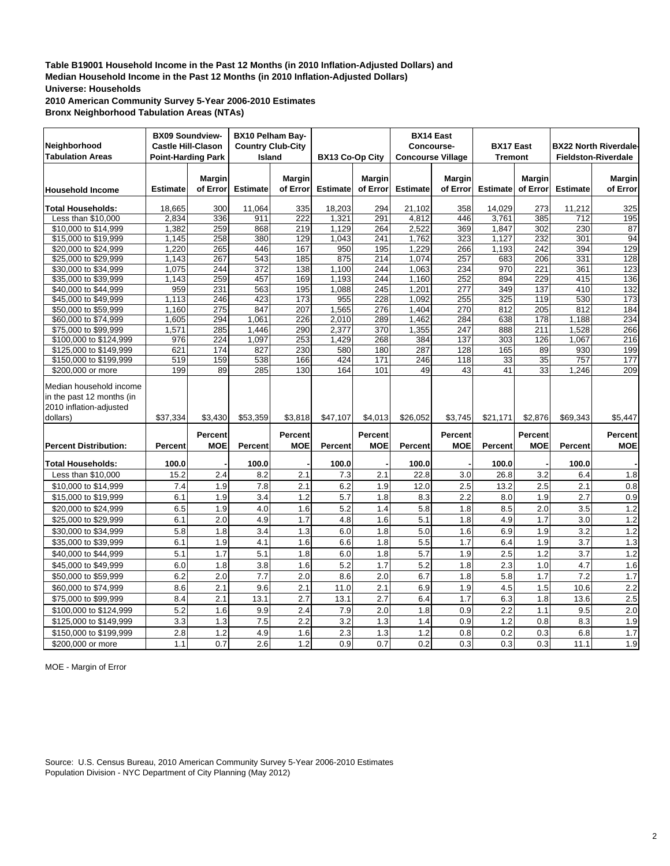**2010 American Community Survey 5-Year 2006-2010 Estimates Bronx Neighborhood Tabulation Areas (NTAs)**

| Neighborhood<br><b>Tabulation Areas</b>                                                     | <b>BX09 Soundview-</b><br><b>Castle Hill-Clason</b><br><b>Point-Harding Park</b> |                           | BX10 Pelham Bay-<br><b>Country Club-City</b><br>Island |                           | <b>BX13 Co-Op City</b> |                           | <b>BX14 East</b><br>Concourse-<br><b>Concourse Village</b> |                              | <b>BX17 East</b><br><b>Tremont</b> |                           |                 | <b>BX22 North Riverdale</b><br><b>Fieldston-Riverdale</b> |
|---------------------------------------------------------------------------------------------|----------------------------------------------------------------------------------|---------------------------|--------------------------------------------------------|---------------------------|------------------------|---------------------------|------------------------------------------------------------|------------------------------|------------------------------------|---------------------------|-----------------|-----------------------------------------------------------|
| <b>Household Income</b>                                                                     | <b>Estimate</b>                                                                  | <b>Margin</b><br>of Error | <b>Estimate</b>                                        | <b>Margin</b><br>of Error | <b>Estimate</b>        | <b>Margin</b><br>of Error | <b>Estimate</b>                                            | <b>Margin</b><br>of Error    | <b>Estimate</b>                    | <b>Margin</b><br>of Error | <b>Estimate</b> | <b>Margin</b><br>of Error                                 |
| <b>Total Households:</b>                                                                    | 18,665                                                                           | 300                       | 11,064                                                 | 335                       | 18,203                 | 294                       | 21,102                                                     | 358                          | 14,029                             | 273                       | 11,212          | 325                                                       |
| Less than \$10,000                                                                          | 2,834                                                                            | 336                       | 911                                                    | 222                       | 1,321                  | 291                       | 4,812                                                      | 446                          | 3,761                              | 385                       | 712             | 195                                                       |
| \$10,000 to \$14,999                                                                        | 1,382                                                                            | 259                       | 868                                                    | 219                       | 1,129                  | 264                       | 2,522                                                      | 369                          | 1,847                              | 302                       | 230             | 87                                                        |
| \$15,000 to \$19,999                                                                        | 1,145                                                                            | 258                       | 380                                                    | 129                       | 1,043                  | 241                       | 1,762                                                      | 323                          | 1,127                              | 232                       | 301             | 94                                                        |
| \$20,000 to \$24,999                                                                        | 1,220                                                                            | 265                       | 446                                                    | 167                       | 950                    | 195                       | 1,229                                                      | 266                          | 1,193                              | 242                       | 394             | 129                                                       |
| \$25,000 to \$29,999                                                                        | 1,143                                                                            | 267                       | 543                                                    | 185                       | 875                    | 214                       | 1,074                                                      | 257                          | 683                                | 206                       | 331             | 128                                                       |
| \$30,000 to \$34,999                                                                        | 1,075                                                                            | 244                       | 372                                                    | 138                       | 1,100                  | 244                       | 1,063                                                      | 234                          | 970                                | 221                       | 361             | 123                                                       |
| \$35,000 to \$39,999                                                                        | 1,143                                                                            | 259                       | 457                                                    | 169                       | 1,193                  | 244                       | 1,160                                                      | 252                          | 894                                | 229                       | 415             | 136                                                       |
| \$40,000 to \$44,999                                                                        | 959                                                                              | 231                       | 563                                                    | 195                       | 1,088                  | 245                       | 1,201                                                      | 277                          | 349                                | 137                       | 410             | 132                                                       |
| \$45,000 to \$49,999                                                                        | 1.113                                                                            | 246                       | 423                                                    | 173                       | 955                    | 228                       | 1.092                                                      | 255                          | 325                                | 119                       | 530             | 173                                                       |
| \$50,000 to \$59,999                                                                        | 1,160                                                                            | 275                       | 847                                                    | 207                       | 1,565                  | 276                       | 1,404                                                      | 270                          | 812                                | 205                       | 812             | 184                                                       |
| \$60,000 to \$74,999                                                                        | 1,605                                                                            | 294                       | 1,061                                                  | 226                       | 2,010                  | 289                       | 1,462                                                      | 284                          | 638                                | 178                       | 1,188           | 234                                                       |
| \$75,000 to \$99,999                                                                        | 1,571                                                                            | 285                       | 1,446                                                  | 290                       | 2,377                  | 370                       | 1,355                                                      | 247                          | 888                                | 211                       | 1,528           | 266                                                       |
| \$100,000 to \$124,999                                                                      | 976                                                                              | 224                       | 1,097                                                  | 253                       | 1,429                  | 268                       | 384                                                        | 137                          | 303                                | 126                       | 1,067           | 216                                                       |
| \$125,000 to \$149,999                                                                      | 621                                                                              | 174                       | 827                                                    | 230                       | 580                    | 180                       | 287                                                        | 128                          | 165                                | 89                        | 930             | 199                                                       |
| \$150,000 to \$199,999                                                                      | 519                                                                              | 159                       | 538                                                    | 166                       | 424                    | 171                       | 246                                                        | 118                          | 33                                 | 35                        | 757             | 177                                                       |
| \$200,000 or more                                                                           | 199                                                                              | 89                        | 285                                                    | 130                       | 164                    | 101                       | 49                                                         | 43                           | 41                                 | 33                        | 1,246           | 209                                                       |
| Median household income<br>in the past 12 months (in<br>2010 inflation-adjusted<br>dollars) | \$37,334                                                                         | \$3.430                   | \$53,359                                               | \$3,818                   | \$47,107               | \$4,013                   | \$26,052                                                   | \$3,745                      | \$21,171                           | \$2,876                   | \$69,343        | \$5.447                                                   |
| <b>Percent Distribution:</b>                                                                | Percent                                                                          | Percent<br><b>MOE</b>     | <b>Percent</b>                                         | Percent<br><b>MOE</b>     | Percent                | Percent<br><b>MOE</b>     | Percent                                                    | <b>Percent</b><br><b>MOE</b> | Percent                            | Percent<br><b>MOE</b>     | <b>Percent</b>  | <b>Percent</b><br><b>MOE</b>                              |
| <b>Total Households:</b>                                                                    | 100.0                                                                            |                           | 100.0                                                  |                           | 100.0                  |                           | 100.0                                                      |                              | 100.0                              |                           | 100.0           |                                                           |
| Less than \$10,000                                                                          | 15.2                                                                             | 2.4                       | 8.2                                                    | 2.1                       | 7.3                    | 2.1                       | 22.8                                                       | 3.0                          | 26.8                               | 3.2                       | 6.4             | 1.8                                                       |
| \$10,000 to \$14,999                                                                        | 7.4                                                                              | 1.9                       | 7.8                                                    | 2.1                       | 6.2                    | 1.9                       | 12.0                                                       | 2.5                          | 13.2                               | 2.5                       | 2.1             | 0.8                                                       |
| \$15,000 to \$19,999                                                                        | 6.1                                                                              | 1.9                       | 3.4                                                    | 1.2                       | 5.7                    | 1.8                       | 8.3                                                        | 2.2                          | 8.0                                | 1.9                       | 2.7             | 0.9                                                       |
| \$20,000 to \$24,999                                                                        | 6.5                                                                              | 1.9                       | 4.0                                                    | 1.6                       | 5.2                    | 1.4                       | 5.8                                                        | 1.8                          | 8.5                                | 2.0                       | 3.5             | 1.2                                                       |
| \$25,000 to \$29,999                                                                        | 6.1                                                                              | 2.0                       | 4.9                                                    | 1.7                       | 4.8                    | 1.6                       | 5.1                                                        | 1.8                          | 4.9                                | 1.7                       | 3.0             | 1.2                                                       |
| \$30,000 to \$34,999                                                                        | 5.8                                                                              | 1.8                       | 3.4                                                    | 1.3                       | 6.0                    | 1.8                       | 5.0                                                        | 1.6                          | 6.9                                | 1.9                       | 3.2             | 1.2                                                       |
|                                                                                             |                                                                                  | 1.9                       |                                                        |                           |                        | 1.8                       | 5.5                                                        |                              |                                    | 1.9                       | 3.7             |                                                           |
| \$35,000 to \$39,999                                                                        | 6.1                                                                              |                           | 4.1                                                    | 1.6                       | 6.6                    |                           |                                                            | 1.7                          | 6.4                                |                           |                 | 1.3                                                       |
| \$40,000 to \$44,999                                                                        | 5.1                                                                              | 1.7                       | 5.1                                                    | 1.8                       | 6.0                    | 1.8                       | 5.7                                                        | 1.9                          | 2.5                                | 1.2                       | 3.7             | 1.2                                                       |
| \$45,000 to \$49,999                                                                        | 6.0                                                                              | 1.8                       | 3.8                                                    | 1.6                       | $\overline{5.2}$       | 1.7                       | 5.2                                                        | 1.8                          | 2.3                                | 1.0                       | 4.7             | 1.6                                                       |
| \$50,000 to \$59,999                                                                        | 6.2                                                                              | 2.0                       | 7.7                                                    | 2.0                       | 8.6                    | 2.0                       | 6.7                                                        | 1.8                          | 5.8                                | 1.7                       | 7.2             | 1.7                                                       |
| \$60,000 to \$74,999                                                                        | 8.6                                                                              | 2.1                       | 9.6                                                    | 2.1                       | 11.0                   | 2.1                       | 6.9                                                        | 1.9                          | 4.5                                | 1.5                       | 10.6            | 2.2                                                       |
| \$75,000 to \$99,999                                                                        | 8.4                                                                              | 2.1                       | 13.1                                                   | 2.7                       | 13.1                   | 2.7                       | 6.4                                                        | 1.7                          | 6.3                                | 1.8                       | 13.6            | 2.5                                                       |
| \$100,000 to \$124,999                                                                      | 5.2                                                                              | 1.6                       | 9.9                                                    | 2.4                       | 7.9                    | 2.0                       | 1.8                                                        | 0.9                          | 2.2                                | 1.1                       | 9.5             | 2.0                                                       |
| \$125,000 to \$149,999                                                                      | 3.3                                                                              | 1.3                       | 7.5                                                    | 2.2                       | 3.2                    | 1.3                       | 1.4                                                        | 0.9                          | 1.2                                | 0.8                       | 8.3             | 1.9                                                       |
| \$150,000 to \$199,999                                                                      | 2.8                                                                              | 1.2                       | 4.9                                                    | 1.6                       | 2.3                    | 1.3                       | 1.2                                                        | 0.8                          | 0.2                                | 0.3                       | 6.8             | 1.7                                                       |
| \$200,000 or more                                                                           | 1.1                                                                              | 0.7                       | 2.6                                                    | 1.2                       | 0.9                    | 0.7                       | 0.2                                                        | 0.3                          | 0.3                                | 0.3                       | 11.1            | 1.9                                                       |

MOE - Margin of Error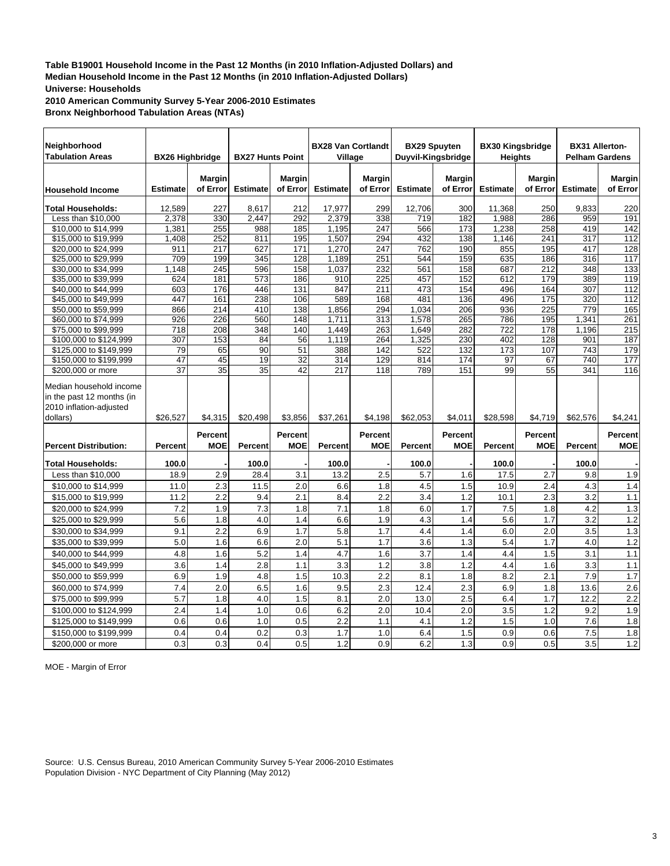**2010 American Community Survey 5-Year 2006-2010 Estimates Bronx Neighborhood Tabulation Areas (NTAs)**

| Neighborhood<br><b>Tabulation Areas</b>                                                     | <b>BX26 Highbridge</b> |                              | <b>BX27 Hunts Point</b> |                              | <b>BX28 Van Cortlandt</b><br>Village |                              | <b>BX29 Spuyten</b><br>Duyvil-Kingsbridge |                           | <b>BX30 Kingsbridge</b><br><b>Heights</b> |                              | <b>BX31 Allerton-</b><br><b>Pelham Gardens</b> |                              |
|---------------------------------------------------------------------------------------------|------------------------|------------------------------|-------------------------|------------------------------|--------------------------------------|------------------------------|-------------------------------------------|---------------------------|-------------------------------------------|------------------------------|------------------------------------------------|------------------------------|
| <b>Household Income</b>                                                                     | <b>Estimate</b>        | <b>Margin</b><br>of Error    | <b>Estimate</b>         | <b>Margin</b><br>of Error    | <b>Estimate</b>                      | <b>Margin</b><br>of Error    | <b>Estimate</b>                           | <b>Margin</b><br>of Error | <b>Estimate</b>                           | <b>Margin</b><br>of Error    | <b>Estimate</b>                                | Margin<br>of Error           |
| <b>Total Households:</b>                                                                    | 12,589                 | 227                          | 8.617                   | 212                          | 17,977                               | 299                          | 12.706                                    | 300                       | 11.368                                    | 250                          | 9.833                                          | 220                          |
| Less than \$10,000                                                                          | 2,378                  | 330                          | 2,447                   | 292                          | 2,379                                | 338                          | 719                                       | 182                       | 1,988                                     | 286                          | 959                                            | 191                          |
| \$10,000 to \$14,999                                                                        | 1,381                  | 255                          | 988                     | 185                          | 1,195                                | 247                          | 566                                       | 173                       | 1,238                                     | 258                          | 419                                            | 142                          |
| \$15,000 to \$19,999                                                                        | 1,408                  | 252                          | 811                     | 195                          | 1,507                                | 294                          | 432                                       | 138                       | 1,146                                     | 241                          | 317                                            | 112                          |
| \$20,000 to \$24,999                                                                        | 911                    | 217                          | 627                     | 171                          | 1,270                                | 247                          | 762                                       | 190                       | 855                                       | 195                          | 417                                            | 128                          |
| \$25,000 to \$29,999                                                                        | 709                    | 199                          | 345                     | 128                          | 1,189                                | 251                          | 544                                       | 159                       | 635                                       | 186                          | 316                                            | 117                          |
| \$30,000 to \$34,999                                                                        | 1,148                  | 245                          | 596                     | 158                          | 1,037                                | 232                          | 561                                       | 158                       | 687                                       | 212                          | 348                                            | 133                          |
| \$35,000 to \$39,999                                                                        | 624                    | 181                          | 573                     | 186                          | 910                                  | 225                          | 457                                       | 152                       | 612                                       | 179                          | 389                                            | 119                          |
| \$40,000 to \$44,999                                                                        | 603                    | 176                          | 446                     | 131                          | 847                                  | 211                          | 473                                       | 154                       | 496                                       | 164                          | 307                                            | 112                          |
| \$45,000 to \$49,999                                                                        | 447                    | 161                          | 238                     | 106                          | 589                                  | 168                          | 481                                       | 136                       | 496                                       | 175                          | 320                                            | 112                          |
| \$50,000 to \$59,999                                                                        | 866                    | 214                          | 410                     | 138                          | 1,856                                | 294                          | 1,034                                     | 206                       | 936                                       | $\overline{225}$             | 779                                            | 165                          |
| \$60,000 to \$74,999                                                                        | 926                    | 226                          | 560                     | 148                          | 1,711                                | 313                          | 1,578                                     | 265                       | 786                                       | 195                          | 1,341                                          | 261                          |
| \$75,000 to \$99,999                                                                        | 718                    | 208                          | 348                     | 140                          | 1,449                                | 263                          | 1,649                                     | 282                       | 722                                       | 178                          | 1,196                                          | 215                          |
| \$100,000 to \$124,999                                                                      | 307                    | 153                          | 84                      | 56                           | 1,119                                | 264                          | 1,325                                     | 230                       | 402                                       | $\overline{128}$             | 901                                            | 187                          |
| \$125,000 to \$149,999                                                                      | 79                     | 65                           | 90                      | 51                           | 388                                  | 142                          | 522                                       | 132                       | 173                                       | 107                          | 743                                            | 179                          |
| \$150,000 to \$199,999                                                                      | 47                     | 45                           | 19                      | 32                           | 314                                  | 129                          | 814                                       | 174                       | 97                                        | 67                           | 740                                            | 177                          |
| \$200,000 or more                                                                           | 37                     | 35                           | 35                      | 42                           | 217                                  | 118                          | 789                                       | 151                       | 99                                        | 55                           | 341                                            | 116                          |
| Median household income<br>in the past 12 months (in<br>2010 inflation-adjusted<br>dollars) | \$26,527               | \$4,315                      | \$20,498                | \$3,856                      | \$37,261                             | \$4,198                      | \$62,053                                  | \$4,011                   | \$28,598                                  | \$4,719                      | \$62,576                                       | \$4,241                      |
| <b>Percent Distribution:</b>                                                                | <b>Percent</b>         | <b>Percent</b><br><b>MOE</b> | Percent                 | <b>Percent</b><br><b>MOE</b> | Percent                              | <b>Percent</b><br><b>MOE</b> | Percent                                   | Percent<br><b>MOE</b>     | <b>Percent</b>                            | <b>Percent</b><br><b>MOE</b> | Percent                                        | <b>Percent</b><br><b>MOE</b> |
| <b>Total Households:</b>                                                                    | 100.0                  |                              | 100.0                   |                              | 100.0                                |                              | 100.0                                     |                           | 100.0                                     |                              | 100.0                                          |                              |
| Less than \$10,000                                                                          | 18.9                   | 2.9                          | 28.4                    | 3.1                          | 13.2                                 | 2.5                          | 5.7                                       | 1.6                       | 17.5                                      | 2.7                          | 9.8                                            | 1.9                          |
| \$10,000 to \$14,999                                                                        | 11.0                   | 2.3                          | 11.5                    | 2.0                          | 6.6                                  | 1.8                          | 4.5                                       | 1.5                       | 10.9                                      | 2.4                          | 4.3                                            | 1.4                          |
| \$15,000 to \$19,999                                                                        | 11.2                   | 2.2                          | 9.4                     | 2.1                          | 8.4                                  | 2.2                          | 3.4                                       | 1.2                       | 10.1                                      | 2.3                          | 3.2                                            | 1.1                          |
| \$20,000 to \$24,999                                                                        | 7.2                    | 1.9                          | 7.3                     | 1.8                          | 7.1                                  | 1.8                          | 6.0                                       | 1.7                       | 7.5                                       | 1.8                          | 4.2                                            | 1.3                          |
|                                                                                             |                        |                              |                         |                              |                                      |                              |                                           |                           |                                           |                              |                                                |                              |
| \$25,000 to \$29,999                                                                        | 5.6                    | 1.8                          | 4.0                     | 1.4                          | 6.6                                  | 1.9                          | 4.3                                       | 1.4                       | 5.6                                       | 1.7                          | 3.2                                            | 1.2                          |
| \$30,000 to \$34,999                                                                        | 9.1                    | 2.2                          | 6.9                     | 1.7                          | 5.8                                  | 1.7                          | 4.4                                       | 1.4                       | 6.0                                       | 2.0                          | 3.5                                            | 1.3                          |
| \$35,000 to \$39,999                                                                        | 5.0                    | 1.6                          | 6.6                     | 2.0                          | 5.1                                  | 1.7                          | 3.6                                       | 1.3                       | 5.4                                       | 1.7                          | 4.0                                            | 1.2                          |
| \$40,000 to \$44,999                                                                        | 4.8                    | 1.6                          | 5.2                     | 1.4                          | 4.7                                  | 1.6                          | 3.7                                       | 1.4                       | 4.4                                       | 1.5                          | 3.1                                            | 1.1                          |
| \$45,000 to \$49,999                                                                        | 3.6                    | 1.4                          | 2.8                     | 1.1                          | 3.3                                  | 1.2                          | 3.8                                       | 1.2                       | 4.4                                       | 1.6                          | 3.3                                            | 1.1                          |
| \$50,000 to \$59,999                                                                        | 6.9                    | 1.9                          | 4.8                     | 1.5                          | 10.3                                 | 2.2                          | 8.1                                       | 1.8                       | 8.2                                       | 2.1                          | 7.9                                            | 1.7                          |
| \$60,000 to \$74,999                                                                        | 7.4                    | 2.0                          | 6.5                     | 1.6                          | 9.5                                  | 2.3                          | 12.4                                      | 2.3                       | 6.9                                       | 1.8                          | 13.6                                           | 2.6                          |
| \$75,000 to \$99,999                                                                        | 5.7                    | 1.8                          | 4.0                     | 1.5                          | 8.1                                  | 2.0                          | 13.0                                      | 2.5                       | 6.4                                       | 1.7                          | 12.2                                           | 2.2                          |
| \$100,000 to \$124,999                                                                      | 2.4                    | 1.4                          | 1.0                     | 0.6                          | 6.2                                  | 2.0                          | 10.4                                      | 2.0                       | 3.5                                       | 1.2                          | 9.2                                            | 1.9                          |
| \$125,000 to \$149,999                                                                      | 0.6                    |                              |                         |                              |                                      |                              |                                           | 1.2                       | 1.5                                       | 1.0                          |                                                | 1.8                          |
|                                                                                             |                        |                              |                         |                              |                                      |                              |                                           |                           |                                           |                              |                                                |                              |
| \$150,000 to \$199,999                                                                      | 0.4                    | 0.6<br>0.4                   | 1.0<br>0.2              | 0.5<br>0.3                   | 2.2<br>1.7                           | 1.1<br>1.0                   | 4.1<br>6.4                                | 1.5                       | 0.9                                       | 0.6                          | 7.6<br>7.5                                     | 1.8                          |

MOE - Margin of Error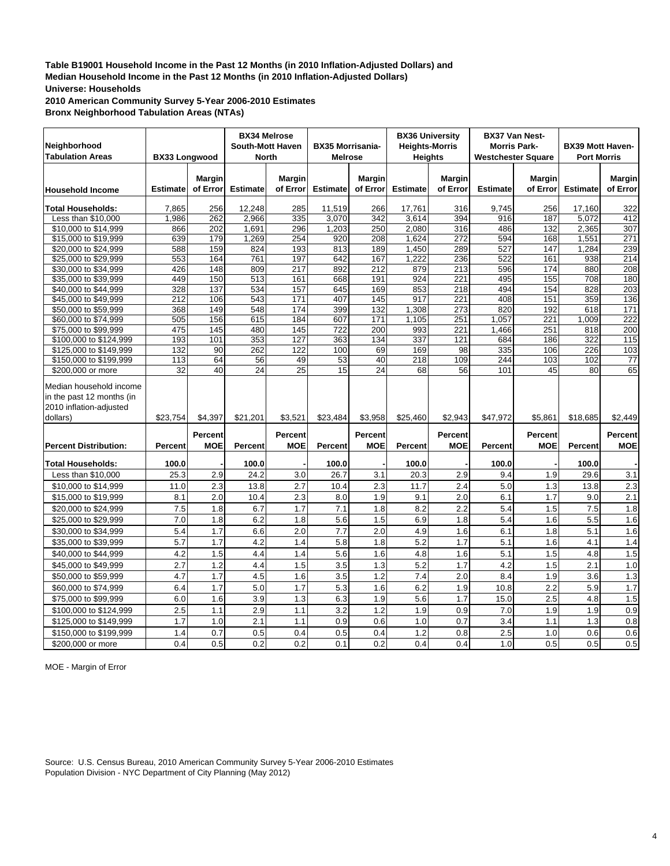**2010 American Community Survey 5-Year 2006-2010 Estimates Bronx Neighborhood Tabulation Areas (NTAs)**

| Neighborhood<br><b>Tabulation Areas</b>                                                     | <b>BX33 Longwood</b> |                           | <b>BX34 Melrose</b><br><b>South-Mott Haven</b><br>North |                           | <b>BX35 Morrisania-</b><br><b>Melrose</b> |                           | <b>BX36 University</b><br><b>Heights-Morris</b><br><b>Heights</b> |                              | <b>Westchester Square</b> | <b>BX37 Van Nest-</b><br><b>Morris Park-</b> | <b>BX39 Mott Haven-</b><br><b>Port Morris</b> |                              |
|---------------------------------------------------------------------------------------------|----------------------|---------------------------|---------------------------------------------------------|---------------------------|-------------------------------------------|---------------------------|-------------------------------------------------------------------|------------------------------|---------------------------|----------------------------------------------|-----------------------------------------------|------------------------------|
| <b>Household Income</b>                                                                     | <b>Estimate</b>      | <b>Margin</b><br>of Error | <b>Estimate</b>                                         | <b>Margin</b><br>of Error | <b>Estimate</b>                           | <b>Margin</b><br>of Error | <b>Estimate</b>                                                   | <b>Margin</b><br>of Error    | <b>Estimate</b>           | <b>Margin</b><br>of Error                    | <b>Estimate</b>                               | <b>Margin</b><br>of Error    |
| <b>Total Households:</b>                                                                    | 7,865                | 256                       | 12,248                                                  | 285                       | 11,519                                    | 266                       | 17,761                                                            | 316                          | 9,745                     | 256                                          | 17,160                                        | 322                          |
| Less than \$10,000                                                                          | 1,986                | 262                       | 2,966                                                   | 335                       | 3,070                                     | 342                       | 3,614                                                             | 394                          | 916                       | 187                                          | 5,072                                         | 412                          |
| \$10,000 to \$14,999                                                                        | 866                  | 202                       | 1,691                                                   | 296                       | 1,203                                     | 250                       | 2.080                                                             | 316                          | 486                       | 132                                          | 2.365                                         | 307                          |
| \$15,000 to \$19,999                                                                        | 639                  | 179                       | 1,269                                                   | 254                       | 920                                       | 208                       | 1,624                                                             | 272                          | 594                       | 168                                          | 1,551                                         | 271                          |
| \$20,000 to \$24,999                                                                        | 588                  | 159                       | 824                                                     | 193                       | 813                                       | 189                       | 1,450                                                             | 289                          | 527                       | 147                                          | 1,284                                         | 239                          |
| \$25,000 to \$29,999                                                                        | 553                  | 164                       | 761                                                     | 197                       | 642                                       | 167                       | 1,222                                                             | 236                          | $\overline{522}$          | 161                                          | 938                                           | 214                          |
| \$30,000 to \$34,999                                                                        | 426                  | 148                       | 809                                                     | 217                       | 892                                       | 212                       | 879                                                               | 213                          | 596                       | 174                                          | 880                                           | 208                          |
| \$35,000 to \$39,999                                                                        | 449                  | 150                       | 513                                                     | 161                       | 668                                       | 191                       | 924                                                               | 221                          | 495                       | 155                                          | 708                                           | 180                          |
| \$40,000 to \$44,999                                                                        | 328                  | 137                       | 534                                                     | 157                       | 645                                       | 169                       | 853                                                               | 218                          | 494                       | 154                                          | 828                                           | 203                          |
| \$45,000 to \$49,999                                                                        | 212                  | 106                       | 543                                                     | 171                       | 407                                       | 145                       | 917                                                               | 221                          | 408                       | 151                                          | 359                                           | 136                          |
| \$50,000 to \$59,999                                                                        | 368                  | 149                       | 548                                                     | 174                       | 399                                       | 132                       | 1,308                                                             | 273                          | 820                       | 192                                          | 618                                           | 171                          |
| \$60,000 to \$74,999                                                                        | 505                  | 156                       | 615                                                     | 184                       | 607                                       | 171                       | 1,105                                                             | 251                          | 1,057                     | 221                                          | 1,009                                         | 222                          |
| \$75,000 to \$99,999                                                                        | 475                  | 145                       | 480                                                     | 145                       | 722                                       | 200                       | 993                                                               | 221                          | 1,466                     | 251                                          | 818                                           | 200                          |
| \$100,000 to \$124,999                                                                      | 193                  | 101                       | 353                                                     | 127                       | 363                                       | 134                       | 337                                                               | 121                          | 684                       | 186                                          | 322                                           | 115                          |
| \$125,000 to \$149,999                                                                      | 132                  | 90                        | 262                                                     | 122                       | 100                                       | 69                        | 169                                                               | 98                           | 335                       | 106                                          | 226                                           | 103                          |
| \$150,000 to \$199,999                                                                      | 113                  | 64                        | 56                                                      | 49                        | 53                                        | 40                        | 218                                                               | 109                          | 244                       | 103                                          | 102                                           | 77                           |
| \$200,000 or more                                                                           | 32                   | 40                        | 24                                                      | 25                        | 15                                        | 24                        | 68                                                                | 56                           | 101                       | 45                                           | 80                                            | 65                           |
| Median household income<br>in the past 12 months (in<br>2010 inflation-adjusted<br>dollars) | \$23,754             | \$4,397                   | \$21,201                                                | \$3,521                   | \$23,484                                  | \$3,958                   | \$25,460                                                          | \$2,943                      | \$47,972                  | \$5,861                                      | \$18,685                                      | \$2,449                      |
| <b>Percent Distribution:</b>                                                                | <b>Percent</b>       | Percent<br><b>MOE</b>     | Percent                                                 | Percent<br><b>MOE</b>     | <b>Percent</b>                            | Percent<br><b>MOE</b>     | <b>Percent</b>                                                    | <b>Percent</b><br><b>MOE</b> | Percent                   | Percent<br><b>MOE</b>                        | Percent                                       | <b>Percent</b><br><b>MOE</b> |
| <b>Total Households:</b>                                                                    | 100.0                |                           | 100.0                                                   |                           | 100.0                                     |                           | 100.0                                                             |                              | 100.0                     |                                              | 100.0                                         |                              |
| Less than \$10,000                                                                          | 25.3                 | 2.9                       | 24.2                                                    | 3.0                       | 26.7                                      | 3.1                       | 20.3                                                              | 2.9                          | 9.4                       | 1.9                                          | 29.6                                          | 3.1                          |
| \$10,000 to \$14,999                                                                        | 11.0                 | 2.3                       | 13.8                                                    | 2.7                       | 10.4                                      | 2.3                       | 11.7                                                              | 2.4                          | 5.0                       | 1.3                                          | 13.8                                          | 2.3                          |
| \$15,000 to \$19,999                                                                        | 8.1                  | 2.0                       | 10.4                                                    | 2.3                       | 8.0                                       | 1.9                       | 9.1                                                               | 2.0                          | 6.1                       | 1.7                                          | 9.0                                           | 2.1                          |
| \$20,000 to \$24,999                                                                        | 7.5                  | 1.8                       | 6.7                                                     | 1.7                       | 7.1                                       | 1.8                       | 8.2                                                               | 2.2                          | 5.4                       | 1.5                                          | 7.5                                           | 1.8                          |
| \$25,000 to \$29,999                                                                        | 7.0                  | 1.8                       | 6.2                                                     | 1.8                       | 5.6                                       | 1.5                       | 6.9                                                               | 1.8                          | 5.4                       | 1.6                                          | 5.5                                           | 1.6                          |
|                                                                                             | 5.4                  | 1.7                       | 6.6                                                     | 2.0                       | 7.7                                       | 2.0                       | 4.9                                                               | 1.6                          | 6.1                       | 1.8                                          | 5.1                                           |                              |
| \$30,000 to \$34,999                                                                        |                      |                           |                                                         |                           |                                           |                           |                                                                   |                              |                           |                                              |                                               | 1.6                          |
| \$35,000 to \$39,999                                                                        | 5.7                  | 1.7                       | 4.2                                                     | 1.4                       | 5.8                                       | 1.8                       | 5.2                                                               | 1.7                          | 5.1                       | 1.6                                          | 4.1                                           | 1.4                          |
| \$40,000 to \$44,999                                                                        | 4.2                  | 1.5                       | 4.4                                                     | 1.4                       | 5.6                                       | 1.6                       | 4.8                                                               | 1.6                          | 5.1                       | 1.5                                          | 4.8                                           | 1.5                          |
| \$45,000 to \$49,999                                                                        | 2.7                  | 1.2                       | 4.4                                                     | 1.5                       | 3.5                                       | 1.3                       | $\overline{5.2}$                                                  | 1.7                          | 4.2                       | 1.5                                          | 2.1                                           | 1.0                          |
| \$50,000 to \$59,999                                                                        | 4.7                  | 1.7                       | 4.5                                                     | 1.6                       | 3.5                                       | 1.2                       | 7.4                                                               | 2.0                          | 8.4                       | 1.9                                          | 3.6                                           | 1.3                          |
| \$60,000 to \$74,999                                                                        | 6.4                  | 1.7                       | 5.0                                                     | 1.7                       | 5.3                                       | 1.6                       | 6.2                                                               | 1.9                          | 10.8                      | 2.2                                          | 5.9                                           | 1.7                          |
| \$75,000 to \$99,999                                                                        | 6.0                  | 1.6                       | 3.9                                                     | 1.3                       | 6.3                                       | 1.9                       | 5.6                                                               | 1.7                          | 15.0                      | 2.5                                          | 4.8                                           | 1.5                          |
| \$100,000 to \$124,999                                                                      | 2.5                  | 1.1                       | 2.9                                                     | 1.1                       | 3.2                                       | 1.2                       | 1.9                                                               | 0.9                          | 7.0                       | 1.9                                          | 1.9                                           | 0.9                          |
| \$125,000 to \$149,999                                                                      | 1.7                  | 1.0                       | 2.1                                                     | 1.1                       | 0.9                                       | 0.6                       | 1.0                                                               | 0.7                          | 3.4                       | 1.1                                          | 1.3                                           | 0.8                          |
| \$150,000 to \$199,999                                                                      | 1.4                  | 0.7                       | 0.5                                                     | 0.4                       | 0.5                                       | 0.4                       | 1.2                                                               | 0.8                          | 2.5                       | 1.0                                          | 0.6                                           | 0.6                          |
| \$200,000 or more                                                                           | 0.4                  | 0.5                       | 0.2                                                     | 0.2                       | 0.1                                       | 0.2                       | 0.4                                                               | 0.4                          | 1.0                       | 0.5                                          | 0.5                                           | 0.5                          |

MOE - Margin of Error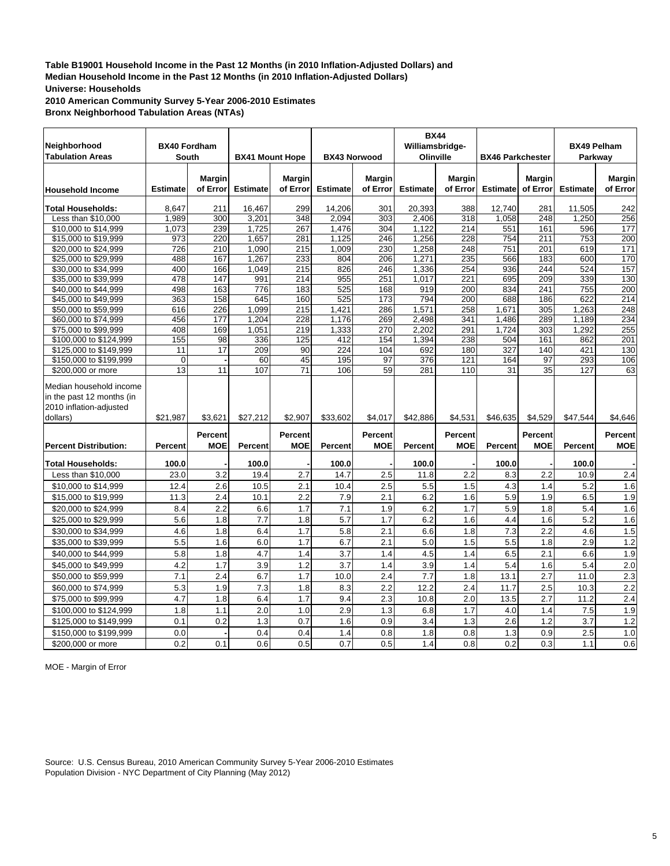**2010 American Community Survey 5-Year 2006-2010 Estimates Bronx Neighborhood Tabulation Areas (NTAs)**

| Neighborhood<br><b>Tabulation Areas</b>                                                     | <b>BX40 Fordham</b><br>South |                              | <b>BX41 Mount Hope</b> |                       | <b>BX43 Norwood</b> |                              | <b>BX44</b><br>Williamsbridge-<br>Olinville |                           | <b>BX46 Parkchester</b> |                              | <b>BX49 Pelham</b><br>Parkway |                              |
|---------------------------------------------------------------------------------------------|------------------------------|------------------------------|------------------------|-----------------------|---------------------|------------------------------|---------------------------------------------|---------------------------|-------------------------|------------------------------|-------------------------------|------------------------------|
| <b>Household Income</b>                                                                     | <b>Estimate</b>              | <b>Margin</b><br>of Error    | <b>Estimate</b>        | Margin<br>of Error    | <b>Estimate</b>     | <b>Margin</b><br>of Error    | <b>Estimate</b>                             | <b>Margin</b><br>of Error | <b>Estimate</b>         | <b>Margin</b><br>of Error    | <b>Estimate</b>               | <b>Margin</b><br>of Error    |
| <b>Total Households:</b>                                                                    | 8.647                        | 211                          | 16.467                 | 299                   | 14.206              | 301                          | 20.393                                      | 388                       | 12.740                  | 281                          | 11,505                        | 242                          |
| Less than \$10,000                                                                          | 1,989                        | 300                          | 3,201                  | 348                   | 2,094               | 303                          | 2,406                                       | 318                       | 1,058                   | 248                          | 1,250                         | 256                          |
| \$10,000 to \$14,999                                                                        | 1,073                        | 239                          | 1,725                  | 267                   | 1,476               | 304                          | 1,122                                       | 214                       | 551                     | 161                          | 596                           | 177                          |
| \$15,000 to \$19,999                                                                        | 973                          | 220                          | 1,657                  | 281                   | 1,125               | 246                          | 1,256                                       | 228                       | 754                     | 211                          | 753                           | 200                          |
| \$20,000 to \$24,999                                                                        | 726                          | 210                          | 1,090                  | 215                   | 1,009               | 230                          | 1,258                                       | 248                       | 751                     | 201                          | 619                           | 171                          |
| \$25,000 to \$29,999                                                                        | 488                          | 167                          | 1,267                  | 233                   | 804                 | 206                          | 1,271                                       | 235                       | 566                     | 183                          | 600                           | 170                          |
| \$30,000 to \$34,999                                                                        | 400                          | 166                          | 1,049                  | 215                   | 826                 | 246                          | 1,336                                       | 254                       | 936                     | 244                          | 524                           | 157                          |
| \$35,000 to \$39,999                                                                        | 478                          | 147                          | 991                    | 214                   | 955                 | 251                          | 1,017                                       | 221                       | 695                     | 209                          | 339                           | 130                          |
| \$40,000 to \$44,999                                                                        | 498                          | 163                          | 776                    | 183                   | 525                 | 168                          | 919                                         | 200                       | 834                     | 241                          | 755                           | 200                          |
| \$45,000 to \$49,999                                                                        | 363                          | 158                          | 645                    | 160                   | 525                 | 173                          | 794                                         | 200                       | 688                     | 186                          | 622                           | 214                          |
| \$50,000 to \$59,999                                                                        | 616                          | 226                          | 1,099                  | 215                   | 1,421               | 286                          | 1,571                                       | 258                       | 1,671                   | 305                          | 1,263                         | 248                          |
| \$60,000 to \$74,999                                                                        | 456                          | 177                          | 1,204                  | 228                   | 1,176               | 269                          | 2,498                                       | 341                       | 1,486                   | 289                          | 1,189                         | 234                          |
| \$75,000 to \$99,999                                                                        | 408                          | 169                          | 1,051                  | 219                   | 1,333               | 270                          | 2,202                                       | 291                       | 1,724                   | 303                          | 1,292                         | 255                          |
| \$100,000 to \$124,999                                                                      | 155                          | 98                           | 336                    | 125                   | 412                 | 154                          | 1,394                                       | 238                       | 504                     | 161                          | 862                           | $\overline{201}$             |
| \$125,000 to \$149,999                                                                      | 11                           | 17                           | 209                    | 90                    | 224                 | 104                          | 692                                         | 180                       | 327                     | 140                          | 421                           | 130                          |
| \$150,000 to \$199,999                                                                      | $\overline{0}$               |                              | 60                     | 45                    | 195                 | 97                           | 376                                         | 121                       | 164                     | 97                           | 293                           | 106                          |
| \$200,000 or more                                                                           | 13                           | 11                           | 107                    | 71                    | 106                 | 59                           | 281                                         | 110                       | 31                      | 35                           | 127                           | 63                           |
| Median household income<br>in the past 12 months (in<br>2010 inflation-adjusted<br>dollars) | \$21,987                     | \$3,621                      | \$27,212               | \$2,907               | \$33,602            | \$4,017                      | \$42,886                                    | \$4,531                   | \$46,635                | \$4,529                      | \$47,544                      | \$4,646                      |
| <b>Percent Distribution:</b>                                                                | <b>Percent</b>               | <b>Percent</b><br><b>MOE</b> | <b>Percent</b>         | Percent<br><b>MOE</b> | <b>Percent</b>      | <b>Percent</b><br><b>MOE</b> | <b>Percent</b>                              | Percent<br><b>MOE</b>     | Percent                 | <b>Percent</b><br><b>MOE</b> | Percent                       | <b>Percent</b><br><b>MOE</b> |
| <b>Total Households:</b>                                                                    | 100.0                        |                              | 100.0                  |                       | 100.0               |                              | 100.0                                       |                           | 100.0                   |                              | 100.0                         |                              |
| Less than \$10,000                                                                          | 23.0                         | 3.2                          | 19.4                   | 2.7                   | 14.7                | 2.5                          | 11.8                                        | 2.2                       | 8.3                     | 2.2                          | 10.9                          | 2.4                          |
| \$10,000 to \$14,999                                                                        | 12.4                         | 2.6                          | 10.5                   | 2.1                   | 10.4                | 2.5                          | 5.5                                         | 1.5                       | 4.3                     | 1.4                          | 5.2                           | 1.6                          |
| \$15,000 to \$19,999                                                                        | 11.3                         | 2.4                          | 10.1                   | 2.2                   | 7.9                 | 2.1                          | 6.2                                         | 1.6                       | 5.9                     | 1.9                          | 6.5                           | 1.9                          |
| \$20,000 to \$24,999                                                                        | 8.4                          | 2.2                          | 6.6                    | 1.7                   | 7.1                 | 1.9                          | 6.2                                         | 1.7                       | 5.9                     | 1.8                          | 5.4                           | 1.6                          |
| \$25,000 to \$29,999                                                                        | 5.6                          | 1.8                          | 7.7                    | 1.8                   | 5.7                 | 1.7                          | 6.2                                         | 1.6                       | 4.4                     | 1.6                          | 5.2                           | 1.6                          |
| \$30,000 to \$34,999                                                                        | 4.6                          | 1.8                          | 6.4                    | 1.7                   | 5.8                 | 2.1                          | 6.6                                         | 1.8                       | 7.3                     | 2.2                          | 4.6                           | 1.5                          |
|                                                                                             |                              |                              |                        |                       |                     |                              |                                             |                           |                         |                              |                               |                              |
| \$35,000 to \$39,999                                                                        | 5.5                          | 1.6                          | 6.0                    | 1.7                   | 6.7                 | 2.1                          | 5.0                                         | 1.5                       | 5.5                     | 1.8                          | 2.9                           | 1.2                          |
| \$40,000 to \$44,999                                                                        | 5.8                          | 1.8                          | 4.7                    | 1.4                   | 3.7                 | 1.4                          | 4.5                                         | 1.4                       | 6.5                     | 2.1                          | 6.6                           | 1.9                          |
| \$45,000 to \$49,999                                                                        | 4.2                          | 1.7                          | 3.9                    | 1.2                   | 3.7                 | 1.4                          | 3.9                                         | 1.4                       | 5.4                     | 1.6                          | 5.4                           | $\overline{2.0}$             |
| \$50,000 to \$59,999                                                                        | 7.1                          | 2.4                          | 6.7                    | 1.7                   | 10.0                | 2.4                          | 7.7                                         | 1.8                       | 13.1                    | 2.7                          | 11.0                          | 2.3                          |
| \$60,000 to \$74,999                                                                        | 5.3                          | 1.9                          | 7.3                    | 1.8                   | 8.3                 | 2.2                          | 12.2                                        | 2.4                       | 11.7                    | 2.5                          | 10.3                          | 2.2                          |
| \$75,000 to \$99,999                                                                        | 4.7                          | 1.8                          | 6.4                    | 1.7                   | 9.4                 | 2.3                          | 10.8                                        | 2.0                       | 13.5                    | 2.7                          | 11.2                          | 2.4                          |
| \$100,000 to \$124,999                                                                      | 1.8                          | 1.1                          | 2.0                    | 1.0                   | 2.9                 | 1.3                          | 6.8                                         | 1.7                       | 4.0                     | 1.4                          | 7.5                           | 1.9                          |
| \$125,000 to \$149,999                                                                      | 0.1                          | 0.2                          | 1.3                    | 0.7                   | 1.6                 | 0.9                          | 3.4                                         | 1.3                       | 2.6                     | 1.2                          | 3.7                           | 1.2                          |
| \$150,000 to \$199,999                                                                      | 0.0                          |                              | 0.4                    | 0.4                   | 1.4                 | 0.8                          | 1.8                                         | 0.8                       | 1.3                     | 0.9                          | 2.5                           | 1.0                          |
| \$200,000 or more                                                                           | 0.2                          | 0.1                          | 0.6                    | 0.5                   | 0.7                 | 0.5                          | 1.4                                         | 0.8                       | 0.2                     | 0.3                          | 1.1                           | 0.6                          |

MOE - Margin of Error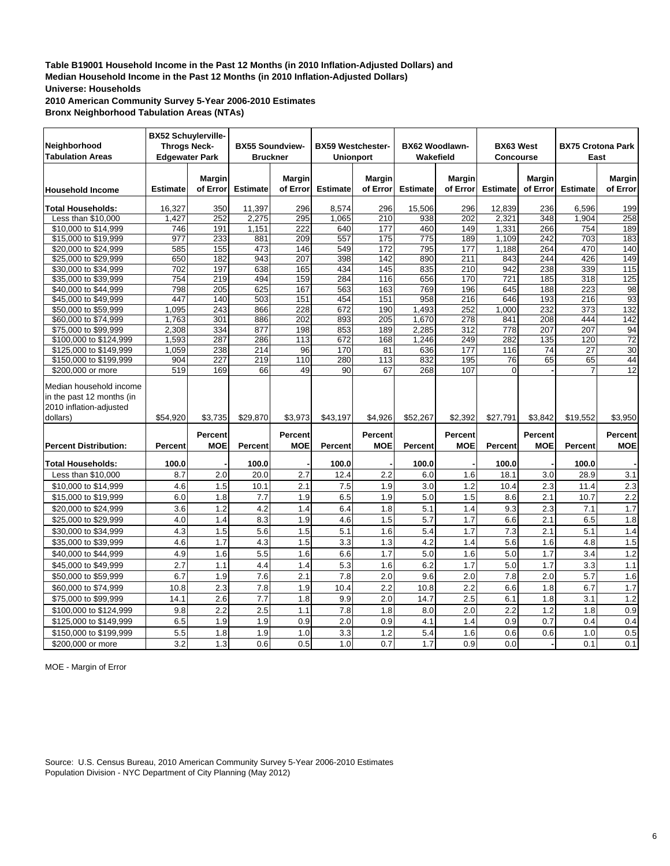**2010 American Community Survey 5-Year 2006-2010 Estimates Bronx Neighborhood Tabulation Areas (NTAs)**

| <b>BX52 Schuylerville-</b><br>Neighborhood<br><b>Throgs Neck-</b><br><b>Tabulation Areas</b><br><b>Edgewater Park</b> |                 |                           | <b>BX55 Soundview-</b><br><b>Bruckner</b> |                       | <b>BX59 Westchester-</b><br><b>Unionport</b> |                              | BX62 Woodlawn-<br>Wakefield |                              | <b>BX63 West</b><br><b>Concourse</b> |                           | <b>BX75 Crotona Park</b><br>East |                           |
|-----------------------------------------------------------------------------------------------------------------------|-----------------|---------------------------|-------------------------------------------|-----------------------|----------------------------------------------|------------------------------|-----------------------------|------------------------------|--------------------------------------|---------------------------|----------------------------------|---------------------------|
| <b>Household Income</b>                                                                                               | <b>Estimate</b> | <b>Margin</b><br>of Error | <b>Estimate</b>                           | Margin<br>of Error    | <b>Estimate</b>                              | <b>Margin</b><br>of Error    | <b>Estimate</b>             | <b>Margin</b><br>of Error    | <b>Estimate</b>                      | <b>Margin</b><br>of Error | <b>Estimate</b>                  | <b>Margin</b><br>of Error |
| <b>Total Households:</b>                                                                                              | 16,327          | 350                       | 11,397                                    | 296                   | 8,574                                        | 296                          | 15,506                      | 296                          | 12,839                               | 236                       | 6,596                            | 199                       |
| Less than \$10,000                                                                                                    | 1,427           | 252                       | 2,275                                     | 295                   | 1,065                                        | 210                          | 938                         | 202                          | 2,321                                | 348                       | 1,904                            | 258                       |
| \$10,000 to \$14,999                                                                                                  | 746             | 191                       | 1,151                                     | 222                   | 640                                          | 177                          | 460                         | 149                          | 1,331                                | 266                       | 754                              | 189                       |
| \$15,000 to \$19,999                                                                                                  | 977             | 233                       | 881                                       | 209                   | 557                                          | 175                          | 775                         | 189                          | 1,109                                | 242                       | 703                              | 183                       |
| \$20,000 to \$24,999                                                                                                  | 585             | 155                       | 473                                       | 146                   | 549                                          | 172                          | 795                         | 177                          | 1,188                                | 264                       | 470                              | 140                       |
| \$25,000 to \$29,999                                                                                                  | 650             | 182                       | 943                                       | $\overline{207}$      | 398                                          | $\overline{142}$             | 890                         | 211                          | 843                                  | 244                       | 426                              | 149                       |
| \$30,000 to \$34,999                                                                                                  | 702             | 197                       | 638                                       | 165                   | 434                                          | 145                          | 835                         | 210                          | 942                                  | 238                       | 339                              | 115                       |
| \$35,000 to \$39,999                                                                                                  | 754             | $\overline{219}$          | 494                                       | 159                   | 284                                          | 116                          | 656                         | 170                          | 721                                  | 185                       | 318                              | 125                       |
| \$40,000 to \$44,999                                                                                                  | 798             | 205                       | 625                                       | 167                   | 563                                          | 163                          | 769                         | 196                          | 645                                  | 188                       | 223                              | 98                        |
| \$45,000 to \$49,999                                                                                                  | 447             | 140                       | 503                                       | 151                   | 454                                          | 151                          | 958                         | 216                          | 646                                  | 193                       | 216                              | 93                        |
| \$50,000 to \$59,999                                                                                                  | 1,095           | 243                       | 866                                       | 228                   | 672                                          | 190                          | 1,493                       | 252                          | 1,000                                | 232                       | 373                              | 132                       |
| \$60,000 to \$74,999                                                                                                  | 1.763           | 301                       | 886                                       | 202                   | 893                                          | 205                          | 1.670                       | 278                          | 841                                  | 208                       | 444                              | 142                       |
| \$75,000 to \$99,999                                                                                                  | 2,308           | 334                       | 877                                       | 198                   | 853                                          | 189                          | 2,285                       | 312                          | 778                                  | 207                       | 207                              | 94                        |
| \$100,000 to \$124,999                                                                                                | 1,593           | 287                       | 286                                       | 113                   | 672                                          | 168                          | 1,246                       | 249                          | 282                                  | 135                       | 120                              | $\overline{72}$           |
| \$125,000 to \$149,999                                                                                                | 1,059           | 238                       | 214                                       | 96                    | 170                                          | 81                           | 636                         | 177                          | 116                                  | $\overline{74}$           | $\overline{27}$                  | 30                        |
| \$150,000 to \$199,999                                                                                                | 904             | 227                       | 219                                       | 110                   | 280                                          | 113                          | 832                         | 195                          | 76                                   | 65                        | 65                               | 44                        |
| \$200,000 or more                                                                                                     | 519             | 169                       | 66                                        | 49                    | 90                                           | 67                           | 268                         | 107                          | $\Omega$                             |                           |                                  | 12                        |
| Median household income<br>in the past 12 months (in<br>2010 inflation-adjusted<br>dollars)                           | \$54,920        | \$3,735                   | \$29,870                                  | \$3,973               | \$43,197                                     | \$4,926                      | \$52,267                    | \$2,392                      | \$27,791                             | \$3,842                   | \$19,552                         | \$3,950                   |
| <b>Percent Distribution:</b>                                                                                          | Percent         | Percent<br><b>MOE</b>     | <b>Percent</b>                            | Percent<br><b>MOE</b> | Percent                                      | <b>Percent</b><br><b>MOE</b> | Percent                     | <b>Percent</b><br><b>MOE</b> | <b>Percent</b>                       | <b>Percent</b><br>MOE     | <b>Percent</b>                   | Percent<br><b>MOE</b>     |
| <b>Total Households:</b>                                                                                              | 100.0           |                           | 100.0                                     |                       | 100.0                                        |                              | 100.0                       |                              | 100.0                                |                           | 100.0                            |                           |
| Less than $$10,000$                                                                                                   | 8.7             | 2.0                       | 20.0                                      | 2.7                   | 12.4                                         | 2.2                          | 6.0                         | 1.6                          | 18.1                                 | 3.0                       | 28.9                             | 3.1                       |
| \$10,000 to \$14,999                                                                                                  | 4.6             | 1.5                       | 10.1                                      | 2.1                   | 7.5                                          | 1.9                          | 3.0                         | 1.2                          | 10.4                                 | 2.3                       | 11.4                             | 2.3                       |
| \$15,000 to \$19,999                                                                                                  | 6.0             | 1.8                       | 7.7                                       | 1.9                   | 6.5                                          | 1.9                          | 5.0                         | 1.5                          | 8.6                                  | 2.1                       | 10.7                             | $\overline{2.2}$          |
| \$20,000 to \$24,999                                                                                                  | 3.6             | 1.2                       | 4.2                                       | 1.4                   | 6.4                                          | 1.8                          | 5.1                         | 1.4                          | 9.3                                  | 2.3                       | 7.1                              | 1.7                       |
| \$25,000 to \$29,999                                                                                                  | 4.0             | 1.4                       | 8.3                                       | 1.9                   | 4.6                                          | 1.5                          | 5.7                         | 1.7                          | 6.6                                  | 2.1                       | 6.5                              | 1.8                       |
|                                                                                                                       | 4.3             | 1.5                       | 5.6                                       |                       | 5.1                                          | 1.6                          | 5.4                         | 1.7                          | 7.3                                  | 2.1                       | 5.1                              |                           |
| \$30,000 to \$34,999                                                                                                  |                 |                           |                                           | 1.5                   |                                              |                              |                             |                              |                                      |                           |                                  | 1.4                       |
| \$35,000 to \$39,999                                                                                                  | 4.6             | 1.7                       | 4.3                                       | 1.5                   | 3.3                                          | 1.3                          | 4.2                         | 1.4                          | 5.6                                  | 1.6                       | 4.8                              | 1.5                       |
| \$40,000 to \$44,999                                                                                                  | 4.9             | 1.6                       | 5.5                                       | 1.6                   | 6.6                                          | 1.7                          | 5.0                         | 1.6                          | 5.0                                  | 1.7                       | 3.4                              | 1.2                       |
| \$45,000 to \$49,999                                                                                                  | 2.7             | 1.1                       | 4.4                                       | 1.4                   | 5.3                                          | 1.6                          | 6.2                         | 1.7                          | 5.0                                  | 1.7                       | 3.3                              | 1.1                       |
| \$50,000 to \$59,999                                                                                                  | 6.7             | 1.9                       | 7.6                                       | 2.1                   | 7.8                                          | 2.0                          | 9.6                         | 2.0                          | 7.8                                  | 2.0                       | 5.7                              | 1.6                       |
| \$60,000 to \$74,999                                                                                                  | 10.8            | 2.3                       | 7.8                                       | 1.9                   | 10.4                                         | 2.2                          | 10.8                        | 2.2                          | 6.6                                  | 1.8                       | 6.7                              | 1.7                       |
| \$75,000 to \$99,999                                                                                                  | 14.1            | 2.6                       | 7.7                                       | 1.8                   | 9.9                                          | 2.0                          | 14.7                        | 2.5                          | 6.1                                  | 1.8                       | 3.1                              | 1.2                       |
| \$100,000 to \$124,999                                                                                                | 9.8             | 2.2                       | 2.5                                       | 1.1                   | 7.8                                          | 1.8                          | 8.0                         | 2.0                          | 2.2                                  | 1.2                       | 1.8                              | 0.9                       |
| \$125,000 to \$149,999                                                                                                | 6.5             | 1.9                       | 1.9                                       | 0.9                   | 2.0                                          | 0.9                          | 4.1                         | 1.4                          | 0.9                                  | 0.7                       | 0.4                              | 0.4                       |
| \$150,000 to \$199,999                                                                                                | 5.5             | 1.8                       | 1.9                                       | 1.0                   | 3.3                                          | 1.2                          | 5.4                         | 1.6                          | 0.6                                  | 0.6                       | 1.0                              | 0.5                       |
| \$200,000 or more                                                                                                     | 3.2             | 1.3                       | 0.6                                       | 0.5                   | 1.0                                          | 0.7                          | 1.7                         | 0.9                          | 0.0                                  |                           | 0.1                              | 0.1                       |

MOE - Margin of Error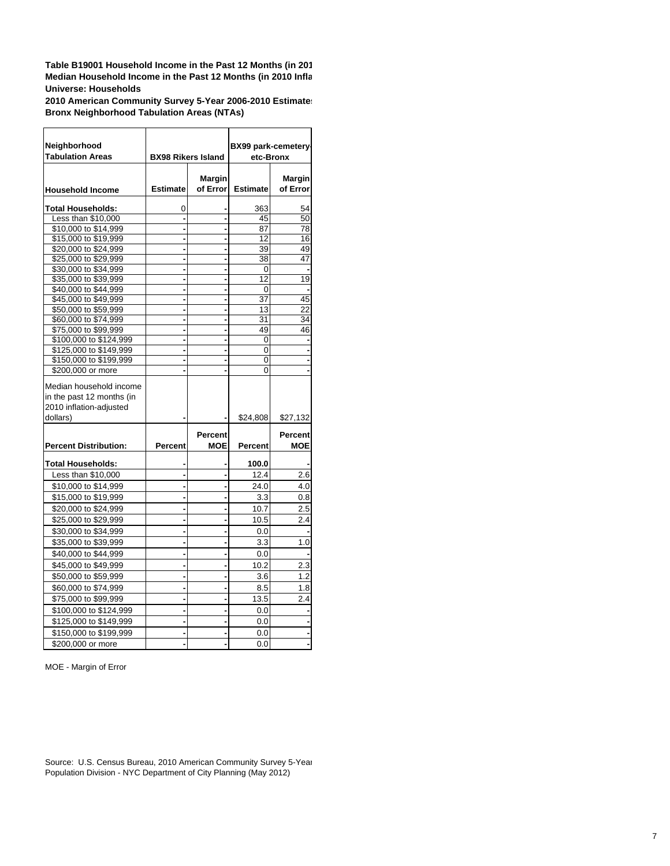**Table B19001 Household Income in the Past 12 Months (in 20 1 Median Household Income in the Past 12 Months (in 2010 Infl a Universe: Households**

**2010 American Community Survey 5-Year 2006-2010 Estimate s Bronx Neighborhood Tabulation Areas (NTAs)**

| Neighborhood                 |                           |               | BX99 park-cemetery- |                |
|------------------------------|---------------------------|---------------|---------------------|----------------|
| <b>Tabulation Areas</b>      | <b>BX98 Rikers Island</b> |               | etc-Bronx           |                |
|                              |                           |               |                     |                |
|                              |                           | <b>Margin</b> |                     | Margin         |
| <b>Household Income</b>      | <b>Estimate</b>           | of Error      | <b>Estimate</b>     | of Error       |
| <b>Total Households:</b>     | 0                         |               | 363                 | 54             |
| Less than \$10,000           |                           |               | 45                  | 50             |
| \$10,000 to \$14,999         |                           |               | 87                  | 78             |
| \$15,000 to \$19,999         |                           |               | 12                  | 16             |
| \$20,000 to \$24,999         |                           |               | 39                  | 49             |
| \$25,000 to \$29,999         |                           |               | 38                  | 47             |
| \$30,000 to \$34,999         |                           | ÷             | 0                   |                |
| \$35,000 to \$39,999         |                           | ÷             | 12                  | 19             |
| \$40,000 to \$44,999         |                           | ٠             | 0                   |                |
| \$45,000 to \$49,999         |                           | ÷             | 37                  | 45             |
| \$50,000 to \$59,999         |                           |               | 13                  | 22             |
| \$60,000 to \$74,999         |                           |               | 31                  | 34             |
| \$75,000 to \$99,999         |                           | ÷             | 49                  | 46             |
| \$100,000 to \$124,999       |                           | ÷             | 0                   |                |
| \$125,000 to \$149,999       |                           |               | 0                   |                |
| \$150,000 to \$199,999       |                           |               | 0                   |                |
| \$200,000 or more            |                           |               | 0                   |                |
| Median household income      |                           |               |                     |                |
| in the past 12 months (in    |                           |               |                     |                |
| 2010 inflation-adjusted      |                           |               |                     |                |
| dollars)                     |                           |               | \$24,808            | \$27,132       |
|                              |                           | Percent       |                     | <b>Percent</b> |
| <b>Percent Distribution:</b> | Percent                   | <b>MOE</b>    | <b>Percent</b>      | <b>MOE</b>     |
|                              |                           |               |                     |                |
| Total Households:            |                           |               | 100.0               |                |
| Less than \$10,000           |                           |               | 12.4                | 2.6            |
| \$10,000 to \$14,999         |                           | ۰             | 24.0                | 4.0            |
| \$15,000 to \$19,999         |                           |               | 3.3                 | 0.8            |
| \$20,000 to \$24,999         |                           |               | 10.7                | 2.5            |
| \$25,000 to \$29,999         |                           |               | 10.5                | 2.4            |
| \$30,000 to \$34,999         |                           |               | 0.0                 |                |
| \$35,000 to \$39,999         |                           | -             | 3.3                 | 1.0            |
| \$40,000 to \$44,999         |                           |               | 0.0                 |                |
| \$45,000 to \$49,999         |                           |               | 10.2                | 2.3            |
| \$50,000 to \$59,999         |                           | -             | 3.6                 | 1.2            |
| \$60,000 to \$74,999         |                           |               | 8.5                 | 1.8            |
| \$75,000 to \$99,999         |                           |               | 13.5                | 2.4            |
| \$100,000 to \$124,999       |                           |               | 0.0                 |                |
|                              |                           | ÷             |                     |                |
| \$125,000 to \$149,999       |                           |               | 0.0                 |                |
| \$150,000 to \$199,999       |                           |               | 0.0                 |                |
| \$200,000 or more            |                           |               | 0.0                 |                |

MOE - Margin of Error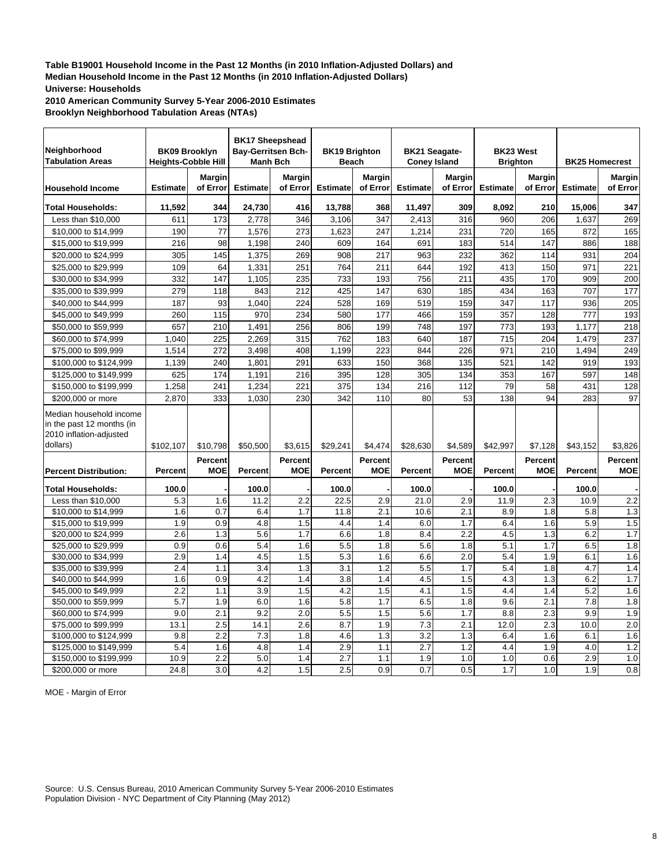**2010 American Community Survey 5-Year 2006-2010 Estimates Brooklyn Neighborhood Tabulation Areas (NTAs)**

| <b>Margin</b><br><b>Margin</b><br><b>Margin</b><br><b>Margin</b><br><b>Margin</b><br>Margin<br><b>Estimate</b><br>of Error<br><b>Estimate</b><br>of Error<br><b>Estimate</b><br>of Error<br><b>Estimate</b><br>of Error<br><b>Estimate</b><br>of Error<br><b>Estimate</b><br>of Error<br><b>Household Income</b><br>347<br>11,592<br>344<br>24,730<br>416<br>13,788<br>368<br>11,497<br>309<br>8,092<br>210<br>15,006<br><b>Total Households:</b><br>173<br>2,778<br>346<br>3,106<br>347<br>2,413<br>316<br>206<br>269<br>Less than \$10,000<br>611<br>960<br>1,637<br>190<br>77<br>1,576<br>273<br>1,623<br>247<br>1,214<br>231<br>720<br>165<br>165<br>\$10,000 to \$14,999<br>872<br>216<br>98<br>1,198<br>240<br>609<br>164<br>691<br>183<br>514<br>147<br>886<br>188<br>\$15,000 to \$19,999<br>305<br>145<br>1,375<br>908<br>217<br>232<br>362<br>114<br>204<br>\$20,000 to \$24,999<br>269<br>963<br>931<br>109<br>64<br>251<br>764<br>211<br>644<br>192<br>413<br>150<br>971<br>221<br>\$25,000 to \$29,999<br>1,331<br>332<br>147<br>235<br>733<br>756<br>435<br>170<br>200<br>\$30,000 to \$34,999<br>1,105<br>193<br>211<br>909<br>212<br>425<br>147<br>185<br>434<br>177<br>\$35,000 to \$39,999<br>279<br>118<br>843<br>630<br>163<br>707<br>\$40,000 to \$44,999<br>187<br>93<br>1,040<br>224<br>528<br>169<br>519<br>159<br>347<br>117<br>936<br>205<br>115<br>234<br>580<br>177<br>357<br>128<br>260<br>970<br>466<br>159<br>777<br>193<br>\$45,000 to \$49,999<br>218<br>\$50,000 to \$59,999<br>657<br>210<br>1,491<br>256<br>806<br>199<br>748<br>197<br>773<br>193<br>1,177<br>225<br>762<br>715<br>204<br>237<br>1.040<br>2,269<br>315<br>183<br>640<br>187<br>1,479<br>\$60,000 to \$74,999<br>\$75,000 to \$99,999<br>272<br>3,498<br>408<br>1,199<br>223<br>844<br>226<br>971<br>210<br>1,494<br>249<br>1,514<br>240<br>1,801<br>291<br>633<br>150<br>368<br>135<br>521<br>142<br>193<br>\$100,000 to \$124,999<br>1,139<br>919<br>625<br>174<br>1,191<br>216<br>395<br>128<br>305<br>134<br>353<br>148<br>\$125,000 to \$149,999<br>167<br>597<br>112<br>128<br>1,258<br>241<br>1,234<br>221<br>375<br>134<br>216<br>79<br>58<br>431<br>\$150,000 to \$199,999<br>333<br>1,030<br>230<br>110<br>80<br>53<br>138<br>94<br>97<br>\$200,000 or more<br>2.870<br>342<br>283<br>Median household income<br>in the past 12 months (in<br>2010 inflation-adjusted<br>dollars)<br>\$102,107<br>\$10,798<br>\$50,500<br>\$3,615<br>\$29,241<br>\$4,474<br>\$28,630<br>\$4,589<br>\$42,997<br>\$7,128<br>\$43,152<br>\$3,826<br><b>Percent</b><br>Percent<br>Percent<br>Percent<br><b>Percent</b><br>Percent<br><b>MOE</b><br><b>MOE</b><br><b>MOE</b><br><b>MOE</b><br><b>MOE</b><br><b>MOE</b><br><b>Percent</b><br>Percent<br>Percent<br>Percent<br>Percent<br><b>Percent</b><br><b>Percent Distribution:</b><br><b>Total Households:</b><br>100.0<br>100.0<br>100.0<br>100.0<br>100.0<br>100.0<br>22.5<br>21.0<br>10.9<br>2.2<br>Less than \$10,000<br>5.3<br>1.6<br>11.2<br>2.2<br>2.9<br>2.9<br>11.9<br>2.3<br>\$10,000 to \$14,999<br>1.6<br>0.7<br>6.4<br>1.7<br>11.8<br>2.1<br>10.6<br>2.1<br>8.9<br>5.8<br>1.3<br>1.8<br>0.9<br>6.0<br>5.9<br>1.5<br>\$15,000 to \$19,999<br>1.9<br>4.8<br>1.5<br>4.4<br>1.4<br>1.7<br>6.4<br>1.6<br>2.6<br>1.3<br>5.6<br>1.7<br>6.6<br>1.8<br>8.4<br>2.2<br>4.5<br>6.2<br>1.7<br>\$20,000 to \$24,999<br>1.3<br>0.9<br>0.6<br>5.4<br>1.6<br>5.5<br>1.8<br>5.6<br>1.8<br>5.1<br>1.7<br>6.5<br>1.8<br>\$25,000 to \$29,999<br>2.0<br>\$30,000 to \$34,999<br>2.9<br>1.4<br>4.5<br>1.5<br>5.3<br>1.6<br>6.6<br>5.4<br>1.9<br>6.1<br>1.6<br>2.4<br>3.4<br>1.3<br>3.1<br>1.2<br>5.5<br>1.7<br>1.8<br>4.7<br>1.4<br>\$35,000 to \$39,999<br>1.1<br>5.4<br>1.6<br>0.9<br>4.2<br>3.8<br>1.4<br>4.5<br>1.5<br>4.3<br>1.3<br>6.2<br>1.7<br>\$40,000 to \$44,999<br>1.4<br>2.2<br>1.5<br>4.2<br>1.5<br>4.1<br>1.5<br>5.2<br>1.6<br>\$45,000 to \$49,999<br>1.1<br>3.9<br>4.4<br>1.4<br>\$50,000 to \$59,999<br>5.7<br>1.9<br>6.0<br>5.8<br>1.7<br>6.5<br>1.8<br>9.6<br>2.1<br>7.8<br>1.8<br>1.6<br>9.0<br>2.1<br>9.2<br>2.0<br>5.5<br>1.5<br>5.6<br>1.7<br>8.8<br>2.3<br>9.9<br>1.9<br>\$60,000 to \$74,999<br>2.5<br>2.6<br>8.7<br>1.9<br>7.3<br>2.1<br>12.0<br>2.3<br>2.0<br>\$75,000 to \$99,999<br>13.1<br>14.1<br>10.0<br>3.2<br>9.8<br>2.2<br>7.3<br>1.8<br>4.6<br>1.3<br>1.3<br>1.6<br>6.1<br>1.6<br>\$100,000 to \$124,999<br>6.4<br>5.4<br>1.2<br>4.8<br>1.4<br>2.9<br>1.1<br>2.7<br>1.2<br>4.4<br>1.9<br>4.0<br>\$125,000 to \$149,999<br>1.6<br>2.2<br>5.0<br>2.7<br>1.0<br>0.6<br>2.9<br>1.0<br>\$150,000 to \$199,999<br>10.9<br>1.4<br>1.1<br>1.9<br>1.0<br>24.8<br>3.0<br>4.2<br>1.5<br>2.5<br>0.9<br>0.7<br>0.5<br>1.7<br>1.9<br>0.8<br>1.0<br>\$200.000 or more | Neighborhood<br><b>Tabulation Areas</b> | <b>BK09 Brooklyn</b><br><b>Heights-Cobble Hill</b> | <b>BK17 Sheepshead</b><br>Bay-Gerritsen Bch-<br><b>Manh Bch</b> | <b>BK19 Brighton</b><br><b>Beach</b> | <b>BK21 Seagate-</b><br><b>Coney Island</b> | BK23 West<br><b>Brighton</b> | <b>BK25 Homecrest</b> |  |
|---------------------------------------------------------------------------------------------------------------------------------------------------------------------------------------------------------------------------------------------------------------------------------------------------------------------------------------------------------------------------------------------------------------------------------------------------------------------------------------------------------------------------------------------------------------------------------------------------------------------------------------------------------------------------------------------------------------------------------------------------------------------------------------------------------------------------------------------------------------------------------------------------------------------------------------------------------------------------------------------------------------------------------------------------------------------------------------------------------------------------------------------------------------------------------------------------------------------------------------------------------------------------------------------------------------------------------------------------------------------------------------------------------------------------------------------------------------------------------------------------------------------------------------------------------------------------------------------------------------------------------------------------------------------------------------------------------------------------------------------------------------------------------------------------------------------------------------------------------------------------------------------------------------------------------------------------------------------------------------------------------------------------------------------------------------------------------------------------------------------------------------------------------------------------------------------------------------------------------------------------------------------------------------------------------------------------------------------------------------------------------------------------------------------------------------------------------------------------------------------------------------------------------------------------------------------------------------------------------------------------------------------------------------------------------------------------------------------------------------------------------------------------------------------------------------------------------------------------------------------------------------------------------------------------------------------------------------------------------------------------------------------------------------------------------------------------------------------------------------------------------------------------------------------------------------------------------------------------------------------------------------------------------------------------------------------------------------------------------------------------------------------------------------------------------------------------------------------------------------------------------------------------------------------------------------------------------------------------------------------------------------------------------------------------------------------------------------------------------------------------------------------------------------------------------------------------------------------------------------------------------------------------------------------------------------------------------------------------------------------------------------------------------------------------------------------------------------------------------------------------------------------------------------------------------------------------------------------------------------------------------------------------------------------------------------------------------------------------------------------------------------------------------------------------------------------------------------------------------------------------------------------------------------------------------------------------------------------------------------------------------------------------------------------------------------------------------------------------------|-----------------------------------------|----------------------------------------------------|-----------------------------------------------------------------|--------------------------------------|---------------------------------------------|------------------------------|-----------------------|--|
|                                                                                                                                                                                                                                                                                                                                                                                                                                                                                                                                                                                                                                                                                                                                                                                                                                                                                                                                                                                                                                                                                                                                                                                                                                                                                                                                                                                                                                                                                                                                                                                                                                                                                                                                                                                                                                                                                                                                                                                                                                                                                                                                                                                                                                                                                                                                                                                                                                                                                                                                                                                                                                                                                                                                                                                                                                                                                                                                                                                                                                                                                                                                                                                                                                                                                                                                                                                                                                                                                                                                                                                                                                                                                                                                                                                                                                                                                                                                                                                                                                                                                                                                                                                                                                                                                                                                                                                                                                                                                                                                                                                                                                                                                                                                 |                                         |                                                    |                                                                 |                                      |                                             |                              |                       |  |
|                                                                                                                                                                                                                                                                                                                                                                                                                                                                                                                                                                                                                                                                                                                                                                                                                                                                                                                                                                                                                                                                                                                                                                                                                                                                                                                                                                                                                                                                                                                                                                                                                                                                                                                                                                                                                                                                                                                                                                                                                                                                                                                                                                                                                                                                                                                                                                                                                                                                                                                                                                                                                                                                                                                                                                                                                                                                                                                                                                                                                                                                                                                                                                                                                                                                                                                                                                                                                                                                                                                                                                                                                                                                                                                                                                                                                                                                                                                                                                                                                                                                                                                                                                                                                                                                                                                                                                                                                                                                                                                                                                                                                                                                                                                                 |                                         |                                                    |                                                                 |                                      |                                             |                              |                       |  |
|                                                                                                                                                                                                                                                                                                                                                                                                                                                                                                                                                                                                                                                                                                                                                                                                                                                                                                                                                                                                                                                                                                                                                                                                                                                                                                                                                                                                                                                                                                                                                                                                                                                                                                                                                                                                                                                                                                                                                                                                                                                                                                                                                                                                                                                                                                                                                                                                                                                                                                                                                                                                                                                                                                                                                                                                                                                                                                                                                                                                                                                                                                                                                                                                                                                                                                                                                                                                                                                                                                                                                                                                                                                                                                                                                                                                                                                                                                                                                                                                                                                                                                                                                                                                                                                                                                                                                                                                                                                                                                                                                                                                                                                                                                                                 |                                         |                                                    |                                                                 |                                      |                                             |                              |                       |  |
|                                                                                                                                                                                                                                                                                                                                                                                                                                                                                                                                                                                                                                                                                                                                                                                                                                                                                                                                                                                                                                                                                                                                                                                                                                                                                                                                                                                                                                                                                                                                                                                                                                                                                                                                                                                                                                                                                                                                                                                                                                                                                                                                                                                                                                                                                                                                                                                                                                                                                                                                                                                                                                                                                                                                                                                                                                                                                                                                                                                                                                                                                                                                                                                                                                                                                                                                                                                                                                                                                                                                                                                                                                                                                                                                                                                                                                                                                                                                                                                                                                                                                                                                                                                                                                                                                                                                                                                                                                                                                                                                                                                                                                                                                                                                 |                                         |                                                    |                                                                 |                                      |                                             |                              |                       |  |
|                                                                                                                                                                                                                                                                                                                                                                                                                                                                                                                                                                                                                                                                                                                                                                                                                                                                                                                                                                                                                                                                                                                                                                                                                                                                                                                                                                                                                                                                                                                                                                                                                                                                                                                                                                                                                                                                                                                                                                                                                                                                                                                                                                                                                                                                                                                                                                                                                                                                                                                                                                                                                                                                                                                                                                                                                                                                                                                                                                                                                                                                                                                                                                                                                                                                                                                                                                                                                                                                                                                                                                                                                                                                                                                                                                                                                                                                                                                                                                                                                                                                                                                                                                                                                                                                                                                                                                                                                                                                                                                                                                                                                                                                                                                                 |                                         |                                                    |                                                                 |                                      |                                             |                              |                       |  |
|                                                                                                                                                                                                                                                                                                                                                                                                                                                                                                                                                                                                                                                                                                                                                                                                                                                                                                                                                                                                                                                                                                                                                                                                                                                                                                                                                                                                                                                                                                                                                                                                                                                                                                                                                                                                                                                                                                                                                                                                                                                                                                                                                                                                                                                                                                                                                                                                                                                                                                                                                                                                                                                                                                                                                                                                                                                                                                                                                                                                                                                                                                                                                                                                                                                                                                                                                                                                                                                                                                                                                                                                                                                                                                                                                                                                                                                                                                                                                                                                                                                                                                                                                                                                                                                                                                                                                                                                                                                                                                                                                                                                                                                                                                                                 |                                         |                                                    |                                                                 |                                      |                                             |                              |                       |  |
|                                                                                                                                                                                                                                                                                                                                                                                                                                                                                                                                                                                                                                                                                                                                                                                                                                                                                                                                                                                                                                                                                                                                                                                                                                                                                                                                                                                                                                                                                                                                                                                                                                                                                                                                                                                                                                                                                                                                                                                                                                                                                                                                                                                                                                                                                                                                                                                                                                                                                                                                                                                                                                                                                                                                                                                                                                                                                                                                                                                                                                                                                                                                                                                                                                                                                                                                                                                                                                                                                                                                                                                                                                                                                                                                                                                                                                                                                                                                                                                                                                                                                                                                                                                                                                                                                                                                                                                                                                                                                                                                                                                                                                                                                                                                 |                                         |                                                    |                                                                 |                                      |                                             |                              |                       |  |
|                                                                                                                                                                                                                                                                                                                                                                                                                                                                                                                                                                                                                                                                                                                                                                                                                                                                                                                                                                                                                                                                                                                                                                                                                                                                                                                                                                                                                                                                                                                                                                                                                                                                                                                                                                                                                                                                                                                                                                                                                                                                                                                                                                                                                                                                                                                                                                                                                                                                                                                                                                                                                                                                                                                                                                                                                                                                                                                                                                                                                                                                                                                                                                                                                                                                                                                                                                                                                                                                                                                                                                                                                                                                                                                                                                                                                                                                                                                                                                                                                                                                                                                                                                                                                                                                                                                                                                                                                                                                                                                                                                                                                                                                                                                                 |                                         |                                                    |                                                                 |                                      |                                             |                              |                       |  |
|                                                                                                                                                                                                                                                                                                                                                                                                                                                                                                                                                                                                                                                                                                                                                                                                                                                                                                                                                                                                                                                                                                                                                                                                                                                                                                                                                                                                                                                                                                                                                                                                                                                                                                                                                                                                                                                                                                                                                                                                                                                                                                                                                                                                                                                                                                                                                                                                                                                                                                                                                                                                                                                                                                                                                                                                                                                                                                                                                                                                                                                                                                                                                                                                                                                                                                                                                                                                                                                                                                                                                                                                                                                                                                                                                                                                                                                                                                                                                                                                                                                                                                                                                                                                                                                                                                                                                                                                                                                                                                                                                                                                                                                                                                                                 |                                         |                                                    |                                                                 |                                      |                                             |                              |                       |  |
|                                                                                                                                                                                                                                                                                                                                                                                                                                                                                                                                                                                                                                                                                                                                                                                                                                                                                                                                                                                                                                                                                                                                                                                                                                                                                                                                                                                                                                                                                                                                                                                                                                                                                                                                                                                                                                                                                                                                                                                                                                                                                                                                                                                                                                                                                                                                                                                                                                                                                                                                                                                                                                                                                                                                                                                                                                                                                                                                                                                                                                                                                                                                                                                                                                                                                                                                                                                                                                                                                                                                                                                                                                                                                                                                                                                                                                                                                                                                                                                                                                                                                                                                                                                                                                                                                                                                                                                                                                                                                                                                                                                                                                                                                                                                 |                                         |                                                    |                                                                 |                                      |                                             |                              |                       |  |
|                                                                                                                                                                                                                                                                                                                                                                                                                                                                                                                                                                                                                                                                                                                                                                                                                                                                                                                                                                                                                                                                                                                                                                                                                                                                                                                                                                                                                                                                                                                                                                                                                                                                                                                                                                                                                                                                                                                                                                                                                                                                                                                                                                                                                                                                                                                                                                                                                                                                                                                                                                                                                                                                                                                                                                                                                                                                                                                                                                                                                                                                                                                                                                                                                                                                                                                                                                                                                                                                                                                                                                                                                                                                                                                                                                                                                                                                                                                                                                                                                                                                                                                                                                                                                                                                                                                                                                                                                                                                                                                                                                                                                                                                                                                                 |                                         |                                                    |                                                                 |                                      |                                             |                              |                       |  |
|                                                                                                                                                                                                                                                                                                                                                                                                                                                                                                                                                                                                                                                                                                                                                                                                                                                                                                                                                                                                                                                                                                                                                                                                                                                                                                                                                                                                                                                                                                                                                                                                                                                                                                                                                                                                                                                                                                                                                                                                                                                                                                                                                                                                                                                                                                                                                                                                                                                                                                                                                                                                                                                                                                                                                                                                                                                                                                                                                                                                                                                                                                                                                                                                                                                                                                                                                                                                                                                                                                                                                                                                                                                                                                                                                                                                                                                                                                                                                                                                                                                                                                                                                                                                                                                                                                                                                                                                                                                                                                                                                                                                                                                                                                                                 |                                         |                                                    |                                                                 |                                      |                                             |                              |                       |  |
|                                                                                                                                                                                                                                                                                                                                                                                                                                                                                                                                                                                                                                                                                                                                                                                                                                                                                                                                                                                                                                                                                                                                                                                                                                                                                                                                                                                                                                                                                                                                                                                                                                                                                                                                                                                                                                                                                                                                                                                                                                                                                                                                                                                                                                                                                                                                                                                                                                                                                                                                                                                                                                                                                                                                                                                                                                                                                                                                                                                                                                                                                                                                                                                                                                                                                                                                                                                                                                                                                                                                                                                                                                                                                                                                                                                                                                                                                                                                                                                                                                                                                                                                                                                                                                                                                                                                                                                                                                                                                                                                                                                                                                                                                                                                 |                                         |                                                    |                                                                 |                                      |                                             |                              |                       |  |
|                                                                                                                                                                                                                                                                                                                                                                                                                                                                                                                                                                                                                                                                                                                                                                                                                                                                                                                                                                                                                                                                                                                                                                                                                                                                                                                                                                                                                                                                                                                                                                                                                                                                                                                                                                                                                                                                                                                                                                                                                                                                                                                                                                                                                                                                                                                                                                                                                                                                                                                                                                                                                                                                                                                                                                                                                                                                                                                                                                                                                                                                                                                                                                                                                                                                                                                                                                                                                                                                                                                                                                                                                                                                                                                                                                                                                                                                                                                                                                                                                                                                                                                                                                                                                                                                                                                                                                                                                                                                                                                                                                                                                                                                                                                                 |                                         |                                                    |                                                                 |                                      |                                             |                              |                       |  |
|                                                                                                                                                                                                                                                                                                                                                                                                                                                                                                                                                                                                                                                                                                                                                                                                                                                                                                                                                                                                                                                                                                                                                                                                                                                                                                                                                                                                                                                                                                                                                                                                                                                                                                                                                                                                                                                                                                                                                                                                                                                                                                                                                                                                                                                                                                                                                                                                                                                                                                                                                                                                                                                                                                                                                                                                                                                                                                                                                                                                                                                                                                                                                                                                                                                                                                                                                                                                                                                                                                                                                                                                                                                                                                                                                                                                                                                                                                                                                                                                                                                                                                                                                                                                                                                                                                                                                                                                                                                                                                                                                                                                                                                                                                                                 |                                         |                                                    |                                                                 |                                      |                                             |                              |                       |  |
|                                                                                                                                                                                                                                                                                                                                                                                                                                                                                                                                                                                                                                                                                                                                                                                                                                                                                                                                                                                                                                                                                                                                                                                                                                                                                                                                                                                                                                                                                                                                                                                                                                                                                                                                                                                                                                                                                                                                                                                                                                                                                                                                                                                                                                                                                                                                                                                                                                                                                                                                                                                                                                                                                                                                                                                                                                                                                                                                                                                                                                                                                                                                                                                                                                                                                                                                                                                                                                                                                                                                                                                                                                                                                                                                                                                                                                                                                                                                                                                                                                                                                                                                                                                                                                                                                                                                                                                                                                                                                                                                                                                                                                                                                                                                 |                                         |                                                    |                                                                 |                                      |                                             |                              |                       |  |
|                                                                                                                                                                                                                                                                                                                                                                                                                                                                                                                                                                                                                                                                                                                                                                                                                                                                                                                                                                                                                                                                                                                                                                                                                                                                                                                                                                                                                                                                                                                                                                                                                                                                                                                                                                                                                                                                                                                                                                                                                                                                                                                                                                                                                                                                                                                                                                                                                                                                                                                                                                                                                                                                                                                                                                                                                                                                                                                                                                                                                                                                                                                                                                                                                                                                                                                                                                                                                                                                                                                                                                                                                                                                                                                                                                                                                                                                                                                                                                                                                                                                                                                                                                                                                                                                                                                                                                                                                                                                                                                                                                                                                                                                                                                                 |                                         |                                                    |                                                                 |                                      |                                             |                              |                       |  |
|                                                                                                                                                                                                                                                                                                                                                                                                                                                                                                                                                                                                                                                                                                                                                                                                                                                                                                                                                                                                                                                                                                                                                                                                                                                                                                                                                                                                                                                                                                                                                                                                                                                                                                                                                                                                                                                                                                                                                                                                                                                                                                                                                                                                                                                                                                                                                                                                                                                                                                                                                                                                                                                                                                                                                                                                                                                                                                                                                                                                                                                                                                                                                                                                                                                                                                                                                                                                                                                                                                                                                                                                                                                                                                                                                                                                                                                                                                                                                                                                                                                                                                                                                                                                                                                                                                                                                                                                                                                                                                                                                                                                                                                                                                                                 |                                         |                                                    |                                                                 |                                      |                                             |                              |                       |  |
|                                                                                                                                                                                                                                                                                                                                                                                                                                                                                                                                                                                                                                                                                                                                                                                                                                                                                                                                                                                                                                                                                                                                                                                                                                                                                                                                                                                                                                                                                                                                                                                                                                                                                                                                                                                                                                                                                                                                                                                                                                                                                                                                                                                                                                                                                                                                                                                                                                                                                                                                                                                                                                                                                                                                                                                                                                                                                                                                                                                                                                                                                                                                                                                                                                                                                                                                                                                                                                                                                                                                                                                                                                                                                                                                                                                                                                                                                                                                                                                                                                                                                                                                                                                                                                                                                                                                                                                                                                                                                                                                                                                                                                                                                                                                 |                                         |                                                    |                                                                 |                                      |                                             |                              |                       |  |
|                                                                                                                                                                                                                                                                                                                                                                                                                                                                                                                                                                                                                                                                                                                                                                                                                                                                                                                                                                                                                                                                                                                                                                                                                                                                                                                                                                                                                                                                                                                                                                                                                                                                                                                                                                                                                                                                                                                                                                                                                                                                                                                                                                                                                                                                                                                                                                                                                                                                                                                                                                                                                                                                                                                                                                                                                                                                                                                                                                                                                                                                                                                                                                                                                                                                                                                                                                                                                                                                                                                                                                                                                                                                                                                                                                                                                                                                                                                                                                                                                                                                                                                                                                                                                                                                                                                                                                                                                                                                                                                                                                                                                                                                                                                                 |                                         |                                                    |                                                                 |                                      |                                             |                              |                       |  |
|                                                                                                                                                                                                                                                                                                                                                                                                                                                                                                                                                                                                                                                                                                                                                                                                                                                                                                                                                                                                                                                                                                                                                                                                                                                                                                                                                                                                                                                                                                                                                                                                                                                                                                                                                                                                                                                                                                                                                                                                                                                                                                                                                                                                                                                                                                                                                                                                                                                                                                                                                                                                                                                                                                                                                                                                                                                                                                                                                                                                                                                                                                                                                                                                                                                                                                                                                                                                                                                                                                                                                                                                                                                                                                                                                                                                                                                                                                                                                                                                                                                                                                                                                                                                                                                                                                                                                                                                                                                                                                                                                                                                                                                                                                                                 |                                         |                                                    |                                                                 |                                      |                                             |                              |                       |  |
|                                                                                                                                                                                                                                                                                                                                                                                                                                                                                                                                                                                                                                                                                                                                                                                                                                                                                                                                                                                                                                                                                                                                                                                                                                                                                                                                                                                                                                                                                                                                                                                                                                                                                                                                                                                                                                                                                                                                                                                                                                                                                                                                                                                                                                                                                                                                                                                                                                                                                                                                                                                                                                                                                                                                                                                                                                                                                                                                                                                                                                                                                                                                                                                                                                                                                                                                                                                                                                                                                                                                                                                                                                                                                                                                                                                                                                                                                                                                                                                                                                                                                                                                                                                                                                                                                                                                                                                                                                                                                                                                                                                                                                                                                                                                 |                                         |                                                    |                                                                 |                                      |                                             |                              |                       |  |
|                                                                                                                                                                                                                                                                                                                                                                                                                                                                                                                                                                                                                                                                                                                                                                                                                                                                                                                                                                                                                                                                                                                                                                                                                                                                                                                                                                                                                                                                                                                                                                                                                                                                                                                                                                                                                                                                                                                                                                                                                                                                                                                                                                                                                                                                                                                                                                                                                                                                                                                                                                                                                                                                                                                                                                                                                                                                                                                                                                                                                                                                                                                                                                                                                                                                                                                                                                                                                                                                                                                                                                                                                                                                                                                                                                                                                                                                                                                                                                                                                                                                                                                                                                                                                                                                                                                                                                                                                                                                                                                                                                                                                                                                                                                                 |                                         |                                                    |                                                                 |                                      |                                             |                              |                       |  |
|                                                                                                                                                                                                                                                                                                                                                                                                                                                                                                                                                                                                                                                                                                                                                                                                                                                                                                                                                                                                                                                                                                                                                                                                                                                                                                                                                                                                                                                                                                                                                                                                                                                                                                                                                                                                                                                                                                                                                                                                                                                                                                                                                                                                                                                                                                                                                                                                                                                                                                                                                                                                                                                                                                                                                                                                                                                                                                                                                                                                                                                                                                                                                                                                                                                                                                                                                                                                                                                                                                                                                                                                                                                                                                                                                                                                                                                                                                                                                                                                                                                                                                                                                                                                                                                                                                                                                                                                                                                                                                                                                                                                                                                                                                                                 |                                         |                                                    |                                                                 |                                      |                                             |                              |                       |  |
|                                                                                                                                                                                                                                                                                                                                                                                                                                                                                                                                                                                                                                                                                                                                                                                                                                                                                                                                                                                                                                                                                                                                                                                                                                                                                                                                                                                                                                                                                                                                                                                                                                                                                                                                                                                                                                                                                                                                                                                                                                                                                                                                                                                                                                                                                                                                                                                                                                                                                                                                                                                                                                                                                                                                                                                                                                                                                                                                                                                                                                                                                                                                                                                                                                                                                                                                                                                                                                                                                                                                                                                                                                                                                                                                                                                                                                                                                                                                                                                                                                                                                                                                                                                                                                                                                                                                                                                                                                                                                                                                                                                                                                                                                                                                 |                                         |                                                    |                                                                 |                                      |                                             |                              |                       |  |
|                                                                                                                                                                                                                                                                                                                                                                                                                                                                                                                                                                                                                                                                                                                                                                                                                                                                                                                                                                                                                                                                                                                                                                                                                                                                                                                                                                                                                                                                                                                                                                                                                                                                                                                                                                                                                                                                                                                                                                                                                                                                                                                                                                                                                                                                                                                                                                                                                                                                                                                                                                                                                                                                                                                                                                                                                                                                                                                                                                                                                                                                                                                                                                                                                                                                                                                                                                                                                                                                                                                                                                                                                                                                                                                                                                                                                                                                                                                                                                                                                                                                                                                                                                                                                                                                                                                                                                                                                                                                                                                                                                                                                                                                                                                                 |                                         |                                                    |                                                                 |                                      |                                             |                              |                       |  |
|                                                                                                                                                                                                                                                                                                                                                                                                                                                                                                                                                                                                                                                                                                                                                                                                                                                                                                                                                                                                                                                                                                                                                                                                                                                                                                                                                                                                                                                                                                                                                                                                                                                                                                                                                                                                                                                                                                                                                                                                                                                                                                                                                                                                                                                                                                                                                                                                                                                                                                                                                                                                                                                                                                                                                                                                                                                                                                                                                                                                                                                                                                                                                                                                                                                                                                                                                                                                                                                                                                                                                                                                                                                                                                                                                                                                                                                                                                                                                                                                                                                                                                                                                                                                                                                                                                                                                                                                                                                                                                                                                                                                                                                                                                                                 |                                         |                                                    |                                                                 |                                      |                                             |                              |                       |  |
|                                                                                                                                                                                                                                                                                                                                                                                                                                                                                                                                                                                                                                                                                                                                                                                                                                                                                                                                                                                                                                                                                                                                                                                                                                                                                                                                                                                                                                                                                                                                                                                                                                                                                                                                                                                                                                                                                                                                                                                                                                                                                                                                                                                                                                                                                                                                                                                                                                                                                                                                                                                                                                                                                                                                                                                                                                                                                                                                                                                                                                                                                                                                                                                                                                                                                                                                                                                                                                                                                                                                                                                                                                                                                                                                                                                                                                                                                                                                                                                                                                                                                                                                                                                                                                                                                                                                                                                                                                                                                                                                                                                                                                                                                                                                 |                                         |                                                    |                                                                 |                                      |                                             |                              |                       |  |
|                                                                                                                                                                                                                                                                                                                                                                                                                                                                                                                                                                                                                                                                                                                                                                                                                                                                                                                                                                                                                                                                                                                                                                                                                                                                                                                                                                                                                                                                                                                                                                                                                                                                                                                                                                                                                                                                                                                                                                                                                                                                                                                                                                                                                                                                                                                                                                                                                                                                                                                                                                                                                                                                                                                                                                                                                                                                                                                                                                                                                                                                                                                                                                                                                                                                                                                                                                                                                                                                                                                                                                                                                                                                                                                                                                                                                                                                                                                                                                                                                                                                                                                                                                                                                                                                                                                                                                                                                                                                                                                                                                                                                                                                                                                                 |                                         |                                                    |                                                                 |                                      |                                             |                              |                       |  |
|                                                                                                                                                                                                                                                                                                                                                                                                                                                                                                                                                                                                                                                                                                                                                                                                                                                                                                                                                                                                                                                                                                                                                                                                                                                                                                                                                                                                                                                                                                                                                                                                                                                                                                                                                                                                                                                                                                                                                                                                                                                                                                                                                                                                                                                                                                                                                                                                                                                                                                                                                                                                                                                                                                                                                                                                                                                                                                                                                                                                                                                                                                                                                                                                                                                                                                                                                                                                                                                                                                                                                                                                                                                                                                                                                                                                                                                                                                                                                                                                                                                                                                                                                                                                                                                                                                                                                                                                                                                                                                                                                                                                                                                                                                                                 |                                         |                                                    |                                                                 |                                      |                                             |                              |                       |  |
|                                                                                                                                                                                                                                                                                                                                                                                                                                                                                                                                                                                                                                                                                                                                                                                                                                                                                                                                                                                                                                                                                                                                                                                                                                                                                                                                                                                                                                                                                                                                                                                                                                                                                                                                                                                                                                                                                                                                                                                                                                                                                                                                                                                                                                                                                                                                                                                                                                                                                                                                                                                                                                                                                                                                                                                                                                                                                                                                                                                                                                                                                                                                                                                                                                                                                                                                                                                                                                                                                                                                                                                                                                                                                                                                                                                                                                                                                                                                                                                                                                                                                                                                                                                                                                                                                                                                                                                                                                                                                                                                                                                                                                                                                                                                 |                                         |                                                    |                                                                 |                                      |                                             |                              |                       |  |
|                                                                                                                                                                                                                                                                                                                                                                                                                                                                                                                                                                                                                                                                                                                                                                                                                                                                                                                                                                                                                                                                                                                                                                                                                                                                                                                                                                                                                                                                                                                                                                                                                                                                                                                                                                                                                                                                                                                                                                                                                                                                                                                                                                                                                                                                                                                                                                                                                                                                                                                                                                                                                                                                                                                                                                                                                                                                                                                                                                                                                                                                                                                                                                                                                                                                                                                                                                                                                                                                                                                                                                                                                                                                                                                                                                                                                                                                                                                                                                                                                                                                                                                                                                                                                                                                                                                                                                                                                                                                                                                                                                                                                                                                                                                                 |                                         |                                                    |                                                                 |                                      |                                             |                              |                       |  |
|                                                                                                                                                                                                                                                                                                                                                                                                                                                                                                                                                                                                                                                                                                                                                                                                                                                                                                                                                                                                                                                                                                                                                                                                                                                                                                                                                                                                                                                                                                                                                                                                                                                                                                                                                                                                                                                                                                                                                                                                                                                                                                                                                                                                                                                                                                                                                                                                                                                                                                                                                                                                                                                                                                                                                                                                                                                                                                                                                                                                                                                                                                                                                                                                                                                                                                                                                                                                                                                                                                                                                                                                                                                                                                                                                                                                                                                                                                                                                                                                                                                                                                                                                                                                                                                                                                                                                                                                                                                                                                                                                                                                                                                                                                                                 |                                         |                                                    |                                                                 |                                      |                                             |                              |                       |  |
|                                                                                                                                                                                                                                                                                                                                                                                                                                                                                                                                                                                                                                                                                                                                                                                                                                                                                                                                                                                                                                                                                                                                                                                                                                                                                                                                                                                                                                                                                                                                                                                                                                                                                                                                                                                                                                                                                                                                                                                                                                                                                                                                                                                                                                                                                                                                                                                                                                                                                                                                                                                                                                                                                                                                                                                                                                                                                                                                                                                                                                                                                                                                                                                                                                                                                                                                                                                                                                                                                                                                                                                                                                                                                                                                                                                                                                                                                                                                                                                                                                                                                                                                                                                                                                                                                                                                                                                                                                                                                                                                                                                                                                                                                                                                 |                                         |                                                    |                                                                 |                                      |                                             |                              |                       |  |
|                                                                                                                                                                                                                                                                                                                                                                                                                                                                                                                                                                                                                                                                                                                                                                                                                                                                                                                                                                                                                                                                                                                                                                                                                                                                                                                                                                                                                                                                                                                                                                                                                                                                                                                                                                                                                                                                                                                                                                                                                                                                                                                                                                                                                                                                                                                                                                                                                                                                                                                                                                                                                                                                                                                                                                                                                                                                                                                                                                                                                                                                                                                                                                                                                                                                                                                                                                                                                                                                                                                                                                                                                                                                                                                                                                                                                                                                                                                                                                                                                                                                                                                                                                                                                                                                                                                                                                                                                                                                                                                                                                                                                                                                                                                                 |                                         |                                                    |                                                                 |                                      |                                             |                              |                       |  |
|                                                                                                                                                                                                                                                                                                                                                                                                                                                                                                                                                                                                                                                                                                                                                                                                                                                                                                                                                                                                                                                                                                                                                                                                                                                                                                                                                                                                                                                                                                                                                                                                                                                                                                                                                                                                                                                                                                                                                                                                                                                                                                                                                                                                                                                                                                                                                                                                                                                                                                                                                                                                                                                                                                                                                                                                                                                                                                                                                                                                                                                                                                                                                                                                                                                                                                                                                                                                                                                                                                                                                                                                                                                                                                                                                                                                                                                                                                                                                                                                                                                                                                                                                                                                                                                                                                                                                                                                                                                                                                                                                                                                                                                                                                                                 |                                         |                                                    |                                                                 |                                      |                                             |                              |                       |  |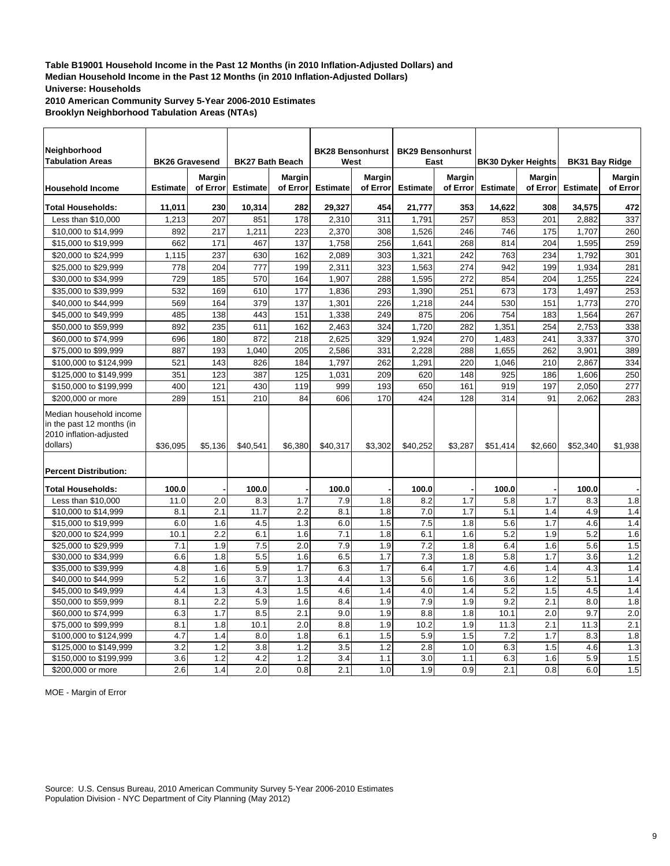**2010 American Community Survey 5-Year 2006-2010 Estimates Brooklyn Neighborhood Tabulation Areas (NTAs)**

| Neighborhood<br><b>Tabulation Areas</b>                                                                                     | <b>BK26 Gravesend</b> |               | <b>BK27 Bath Beach</b> |               | <b>BK28 Bensonhurst</b><br>West |               | <b>BK29 Bensonhurst</b><br>East |               | <b>BK30 Dyker Heights</b> |          | <b>BK31 Bay Ridge</b> |               |
|-----------------------------------------------------------------------------------------------------------------------------|-----------------------|---------------|------------------------|---------------|---------------------------------|---------------|---------------------------------|---------------|---------------------------|----------|-----------------------|---------------|
|                                                                                                                             |                       | <b>Margin</b> |                        | <b>Margin</b> |                                 | <b>Margin</b> |                                 | <b>Margin</b> |                           | Margin   |                       | <b>Margin</b> |
| <b>Household Income</b>                                                                                                     | <b>Estimate</b>       | of Error      | <b>Estimate</b>        | of Error      | <b>Estimate</b>                 | of Error      | <b>Estimate</b>                 | of Error      | <b>Estimate</b>           | of Error | <b>Estimate</b>       | of Error      |
| <b>Total Households:</b>                                                                                                    | 11,011                | 230           | 10,314                 | 282           | 29,327                          | 454           | 21,777                          | 353           | 14,622                    | 308      | 34,575                | 472           |
| Less than \$10,000                                                                                                          | 1,213                 | 207           | 851                    | 178           | 2,310                           | 311           | 1,791                           | 257           | 853                       | 201      | 2.882                 | 337           |
| \$10,000 to \$14,999                                                                                                        | 892                   | 217           | 1,211                  | 223           | 2,370                           | 308           | 1,526                           | 246           | 746                       | 175      | 1,707                 | 260           |
| \$15,000 to \$19,999                                                                                                        | 662                   | 171           | 467                    | 137           | 1,758                           | 256           | 1,641                           | 268           | 814                       | 204      | 1,595                 | 259           |
| \$20,000 to \$24,999                                                                                                        | 1,115                 | 237           | 630                    | 162           | 2,089                           | 303           | 1,321                           | 242           | 763                       | 234      | 1,792                 | 301           |
| \$25,000 to \$29,999                                                                                                        | 778                   | 204           | 777                    | 199           | 2,311                           | 323           | 1,563                           | 274           | 942                       | 199      | 1,934                 | 281           |
| \$30,000 to \$34,999                                                                                                        | 729                   | 185           | 570                    | 164           | 1,907                           | 288           | 1,595                           | 272           | 854                       | 204      | 1,255                 | 224           |
| \$35,000 to \$39,999                                                                                                        | 532                   | 169           | 610                    | 177           | 1,836                           | 293           | 1,390                           | 251           | 673                       | 173      | 1,497                 | 253           |
| \$40,000 to \$44,999                                                                                                        | 569                   | 164           | 379                    | 137           | 1,301                           | 226           | 1,218                           | 244           | 530                       | 151      | 1,773                 | 270           |
| \$45,000 to \$49,999                                                                                                        | 485                   | 138           | 443                    | 151           | 1,338                           | 249           | 875                             | 206           | 754                       | 183      | 1,564                 | 267           |
| \$50,000 to \$59,999                                                                                                        | 892                   | 235           | 611                    | 162           | 2,463                           | 324           | 1,720                           | 282           | 1,351                     | 254      | 2,753                 | 338           |
| \$60,000 to \$74,999                                                                                                        | 696                   | 180           | 872                    | 218           | 2,625                           | 329           | 1,924                           | 270           | 1,483                     | 241      | 3,337                 | 370           |
| \$75,000 to \$99,999                                                                                                        | 887                   | 193           | 1,040                  | 205           | 2,586                           | 331           | 2,228                           | 288           | 1,655                     | 262      | 3,901                 | 389           |
| \$100,000 to \$124,999                                                                                                      | 521                   | 143           | 826                    | 184           | 1,797                           | 262           | 1,291                           | 220           | 1,046                     | 210      | 2,867                 | 334           |
| \$125,000 to \$149,999                                                                                                      | 351                   | 123           | 387                    | 125           | 1.031                           | 209           | 620                             | 148           | 925                       | 186      | 1.606                 | 250           |
| \$150,000 to \$199,999                                                                                                      | 400                   | 121           | 430                    | 119           | 999                             | 193           | 650                             | 161           | 919                       | 197      | 2,050                 | 277           |
| \$200,000 or more                                                                                                           | 289                   | 151           | 210                    | 84            | 606                             | 170           | 424                             | 128           | 314                       | 91       | 2.062                 | 283           |
| Median household income<br>in the past 12 months (in<br>2010 inflation-adjusted<br>dollars)<br><b>Percent Distribution:</b> | \$36.095              | \$5.136       | \$40.541               | \$6.380       | \$40.317                        | \$3.302       | \$40.252                        | \$3.287       | \$51,414                  | \$2.660  | \$52.340              | \$1.938       |
| <b>Total Households:</b>                                                                                                    | 100.0                 |               | 100.0                  |               | 100.0                           |               | 100.0                           |               | 100.0                     |          | 100.0                 |               |
| Less than \$10,000                                                                                                          | 11.0                  | 2.0           | 8.3                    | 1.7           | 7.9                             | 1.8           | 8.2                             | 1.7           | 5.8                       | 1.7      | 8.3                   | 1.8           |
| \$10,000 to \$14,999                                                                                                        | 8.1                   | 2.1           | 11.7                   | 2.2           | 8.1                             | 1.8           | 7.0                             | 1.7           | 5.1                       | 1.4      | 4.9                   | 1.4           |
| \$15,000 to \$19,999                                                                                                        | 6.0                   | 1.6           | 4.5                    | 1.3           | 6.0                             | 1.5           | 7.5                             | 1.8           | 5.6                       | 1.7      | 4.6                   | 1.4           |
| \$20,000 to \$24,999                                                                                                        | 10.1                  | 2.2           | 6.1                    | 1.6           | 7.1                             | 1.8           | 6.1                             | 1.6           | 5.2                       | 1.9      | 5.2                   | 1.6           |
| \$25,000 to \$29,999                                                                                                        | 7.1                   | 1.9           | 7.5                    | 2.0           | 7.9                             | 1.9           | 7.2                             | 1.8           | 6.4                       | 1.6      | 5.6                   | 1.5           |
| \$30,000 to \$34,999                                                                                                        | 6.6                   | 1.8           | 5.5                    | 1.6           | 6.5                             | 1.7           | 7.3                             | 1.8           | 5.8                       | 1.7      | 3.6                   | 1.2           |
| \$35,000 to \$39,999                                                                                                        | 4.8                   | 1.6           | 5.9                    | 1.7           | 6.3                             | 1.7           | 6.4                             | 1.7           | 4.6                       | 1.4      | 4.3                   | 1.4           |
| \$40,000 to \$44,999                                                                                                        | 5.2                   | 1.6           | 3.7                    | 1.3           | 4.4                             | 1.3           | 5.6                             | 1.6           | 3.6                       | 1.2      | 5.1                   | 1.4           |
| \$45,000 to \$49,999                                                                                                        | 4.4                   | 1.3           | 4.3                    | 1.5           | 4.6                             | 1.4           | 4.0                             | 1.4           | 5.2                       | 1.5      | 4.5                   | 1.4           |
| \$50,000 to \$59,999                                                                                                        | 8.1                   | 2.2           | 5.9                    | 1.6           | 8.4                             | 1.9           | 7.9                             | 1.9           | 9.2                       | 2.1      | 8.0                   | 1.8           |
| \$60,000 to \$74,999                                                                                                        | 6.3                   | 1.7           | 8.5                    | 2.1           | 9.0                             | 1.9           | 8.8                             | 1.8           | 10.1                      | 2.0      | 9.7                   | 2.0           |
| \$75,000 to \$99,999                                                                                                        | 8.1                   | 1.8           | 10.1                   | 2.0           | 8.8                             | 1.9           | 10.2                            | 1.9           | 11.3                      | 2.1      | 11.3                  | 2.1           |
| \$100,000 to \$124,999                                                                                                      | 4.7                   | 1.4           | 8.0                    | 1.8           | 6.1                             | 1.5           | 5.9                             | 1.5           | 7.2                       | 1.7      | 8.3                   | 1.8           |
| \$125,000 to \$149,999                                                                                                      | 3.2                   | 1.2           | 3.8                    | 1.2           | 3.5                             | 1.2           | 2.8                             | 1.0           | 6.3                       | 1.5      | 4.6                   | 1.3           |
| \$150,000 to \$199,999                                                                                                      | 3.6                   | 1.2           | 4.2                    | 1.2           | 3.4                             | 1.1           | 3.0                             | 1.1           | 6.3                       | 1.6      | 5.9                   | 1.5           |
| \$200,000 or more                                                                                                           | 2.6                   | 1.4           | 2.0                    | 0.8           | 2.1                             | 1.0           | 1.9                             | 0.9           | 2.1                       | 0.8      | 6.0                   | 1.5           |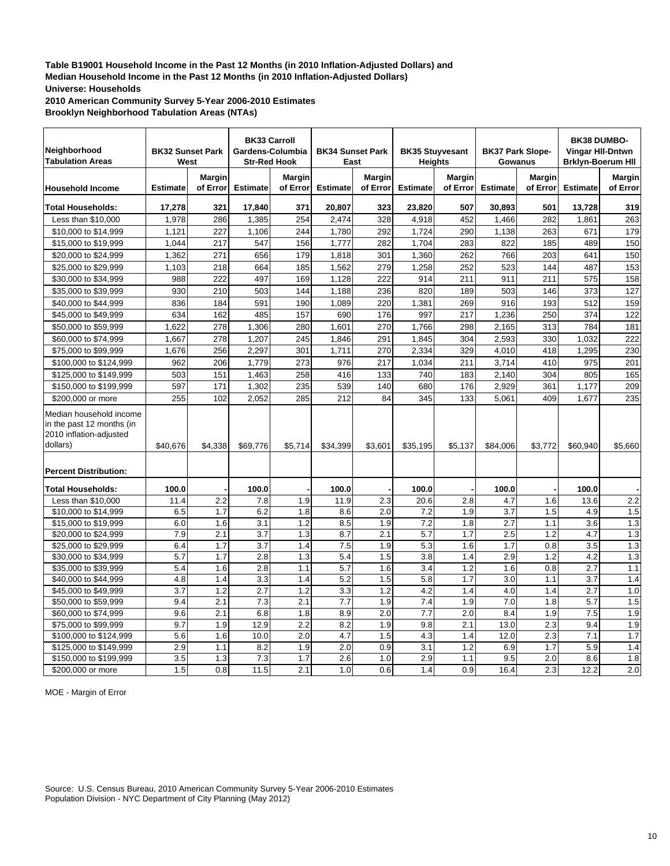**2010 American Community Survey 5-Year 2006-2010 Estimates Brooklyn Neighborhood Tabulation Areas (NTAs)**

| Neighborhood<br><b>Tabulation Areas</b>                                                                                     | <b>BK32 Sunset Park</b><br>West |               | <b>BK33 Carroll</b><br>Gardens-Columbia<br><b>Str-Red Hook</b> |               | <b>BK34 Sunset Park</b><br>East |               | <b>BK35 Stuyvesant</b><br><b>Heights</b> |               | <b>BK37 Park Slope-</b><br>Gowanus |               | <b>BK38 DUMBO-</b><br>Vingar HII-Dntwn<br><b>Brklyn-Boerum HII</b> |               |
|-----------------------------------------------------------------------------------------------------------------------------|---------------------------------|---------------|----------------------------------------------------------------|---------------|---------------------------------|---------------|------------------------------------------|---------------|------------------------------------|---------------|--------------------------------------------------------------------|---------------|
|                                                                                                                             |                                 | <b>Margin</b> |                                                                | <b>Margin</b> |                                 | <b>Margin</b> |                                          | <b>Margin</b> |                                    | <b>Margin</b> |                                                                    | <b>Margin</b> |
| <b>Household Income</b>                                                                                                     | <b>Estimate</b>                 | of Error      | <b>Estimate</b>                                                | of Error      | <b>Estimate</b>                 | of Error      | <b>Estimate</b>                          | of Error      | <b>Estimate</b>                    | of Error      | <b>Estimate</b>                                                    | of Error      |
| <b>Total Households:</b>                                                                                                    | 17,278                          | 321           | 17,840                                                         | 371           | 20,807                          | 323           | 23,820                                   | 507           | 30,893                             | 501           | 13,728                                                             | 319           |
| Less than \$10,000                                                                                                          | 1,978                           | 286           | 1,385                                                          | 254           | 2,474                           | 328           | 4,918                                    | 452           | 1,466                              | 282           | 1,861                                                              | 263           |
| \$10,000 to \$14,999                                                                                                        | 1,121                           | 227           | 1,106                                                          | 244           | 1,780                           | 292           | 1,724                                    | 290           | 1,138                              | 263           | 671                                                                | 179           |
| \$15,000 to \$19,999                                                                                                        | 1,044                           | 217           | 547                                                            | 156           | 1,777                           | 282           | 1,704                                    | 283           | 822                                | 185           | 489                                                                | 150           |
| \$20,000 to \$24,999                                                                                                        | 1,362                           | 271           | 656                                                            | 179           | 1,818                           | 301           | 1,360                                    | 262           | 766                                | 203           | 641                                                                | 150           |
| \$25,000 to \$29,999                                                                                                        | 1,103                           | 218           | 664                                                            | 185           | 1,562                           | 279           | 1,258                                    | 252           | 523                                | 144           | 487                                                                | 153           |
| \$30,000 to \$34,999                                                                                                        | 988                             | 222           | 497                                                            | 169           | 1,128                           | 222           | 914                                      | 211           | 911                                | 211           | 575                                                                | 158           |
| \$35,000 to \$39,999                                                                                                        | 930                             | 210           | 503                                                            | 144           | 1,188                           | 236           | 820                                      | 189           | 503                                | 146           | 373                                                                | 127           |
| \$40,000 to \$44,999                                                                                                        | 836                             | 184           | 591                                                            | 190           | 1,089                           | 220           | 1,381                                    | 269           | 916                                | 193           | 512                                                                | 159           |
| \$45,000 to \$49,999                                                                                                        | 634                             | 162           | 485                                                            | 157           | 690                             | 176           | 997                                      | 217           | 1,236                              | 250           | 374                                                                | 122           |
| \$50,000 to \$59,999                                                                                                        | 1,622                           | 278           | 1,306                                                          | 280           | 1,601                           | 270           | 1,766                                    | 298           | 2,165                              | 313           | 784                                                                | 181           |
| \$60,000 to \$74,999                                                                                                        | 1,667                           | 278           | 1,207                                                          | 245           | 1,846                           | 291           | 1,845                                    | 304           | 2,593                              | 330           | 1,032                                                              | 222           |
| \$75,000 to \$99,999                                                                                                        | 1,676                           | 256           | 2,297                                                          | 301           | 1,711                           | 270           | 2,334                                    | 329           | 4,010                              | 418           | 1,295                                                              | 230           |
| \$100,000 to \$124,999                                                                                                      | 962                             | 206           | 1,779                                                          | 273           | 976                             | 217           | 1,034                                    | 211           | 3,714                              | 410           | 975                                                                | 201           |
| \$125,000 to \$149,999                                                                                                      | 503                             | 151           | 1.463                                                          | 258           | 416                             | 133           | 740                                      | 183           | 2.140                              | 304           | 805                                                                | 165           |
| \$150,000 to \$199,999                                                                                                      | 597                             | 171           | 1,302                                                          | 235           | 539                             | 140           | 680                                      | 176           | 2,929                              | 361           | 1,177                                                              | 209           |
| \$200,000 or more                                                                                                           | 255                             | 102           | 2,052                                                          | 285           | 212                             | 84            | 345                                      | 133           | 5.061                              | 409           | 1.677                                                              | 235           |
| Median household income<br>in the past 12 months (in<br>2010 inflation-adjusted<br>dollars)<br><b>Percent Distribution:</b> | \$40,676                        | \$4,338       | \$69,776                                                       | \$5,714       | \$34,399                        | \$3,601       | \$35,195                                 | \$5,137       | \$84,006                           | \$3,772       | \$60.940                                                           | \$5,660       |
|                                                                                                                             |                                 |               |                                                                |               |                                 |               |                                          |               |                                    |               |                                                                    |               |
| <b>Total Households:</b>                                                                                                    | 100.0<br>11.4                   | 2.2           | 100.0<br>7.8                                                   | 1.9           | 100.0<br>11.9                   | 2.3           | 100.0<br>20.6                            | 2.8           | 100.0<br>4.7                       | 1.6           | 100.0<br>13.6                                                      | 2.2           |
| Less than \$10,000<br>\$10,000 to \$14,999                                                                                  | 6.5                             | 1.7           | 6.2                                                            | 1.8           | 8.6                             | 2.0           | 7.2                                      | 1.9           | 3.7                                | 1.5           | 4.9                                                                | 1.5           |
| \$15,000 to \$19,999                                                                                                        | 6.0                             | 1.6           | 3.1                                                            | 1.2           | 8.5                             | 1.9           | 7.2                                      | 1.8           | 2.7                                | 1.1           | 3.6                                                                | 1.3           |
| \$20,000 to \$24,999                                                                                                        | 7.9                             | 2.1           | 3.7                                                            | 1.3           | 8.7                             | 2.1           | 5.7                                      | 1.7           | 2.5                                | 1.2           | 4.7                                                                | 1.3           |
| \$25,000 to \$29,999                                                                                                        | 6.4                             | 1.7           | 3.7                                                            | 1.4           | 7.5                             | 1.9           | 5.3                                      | 1.6           | 1.7                                | 0.8           | 3.5                                                                | 1.3           |
| \$30,000 to \$34,999                                                                                                        | 5.7                             | 1.7           | 2.8                                                            | 1.3           | 5.4                             | 1.5           | 3.8                                      | 1.4           | 2.9                                | 1.2           | 4.2                                                                | 1.3           |
| \$35,000 to \$39,999                                                                                                        | 5.4                             | 1.6           | 2.8                                                            | 1.1           | 5.7                             | 1.6           | 3.4                                      | 1.2           | 1.6                                | 0.8           | 2.7                                                                | 1.1           |
| \$40,000 to \$44,999                                                                                                        | 4.8                             | 1.4           | 3.3                                                            | 1.4           | 5.2                             | 1.5           | 5.8                                      | 1.7           | 3.0                                | 1.1           | 3.7                                                                | 1.4           |
| \$45,000 to \$49,999                                                                                                        | 3.7                             | 1.2           | 2.7                                                            | 1.2           | 3.3                             | 1.2           | 4.2                                      | 1.4           | 4.0                                | 1.4           | 2.7                                                                | 1.0           |
| \$50,000 to \$59,999                                                                                                        | 9.4                             | 2.1           | 7.3                                                            | 2.1           | 7.7                             | 1.9           | 7.4                                      | 1.9           | 7.0                                | 1.8           | 5.7                                                                | 1.5           |
| \$60,000 to \$74,999                                                                                                        | 9.6                             | 2.1           | 6.8                                                            | 1.8           | 8.9                             | 2.0           | 7.7                                      | 2.0           | 8.4                                | 1.9           | 7.5                                                                | 1.9           |
| \$75,000 to \$99,999                                                                                                        | 9.7                             | 1.9           | 12.9                                                           | 2.2           | 8.2                             | 1.9           | 9.8                                      | 2.1           | 13.0                               | 2.3           | 9.4                                                                | 1.9           |
| \$100,000 to \$124,999                                                                                                      | 5.6                             | 1.6           | 10.0                                                           | 2.0           | 4.7                             | 1.5           | 4.3                                      | 1.4           | 12.0                               | 2.3           | 7.1                                                                | 1.7           |
| \$125,000 to \$149,999                                                                                                      | 2.9                             | 1.1           | 8.2                                                            | 1.9           | 2.0                             | 0.9           | 3.1                                      | 1.2           | 6.9                                | 1.7           | 5.9                                                                | 1.4           |
| \$150,000 to \$199,999                                                                                                      | 3.5                             | 1.3           | 7.3                                                            | 1.7           | 2.6                             | 1.0           | 2.9                                      | 1.1           | 9.5                                | 2.0           | 8.6                                                                | 1.8           |
| \$200,000 or more                                                                                                           | 1.5                             | 0.8           | 11.5                                                           | 2.1           | 1.0                             | 0.6           | 1.4                                      | 0.9           | 16.4                               | 2.3           | 12.2                                                               | 2.0           |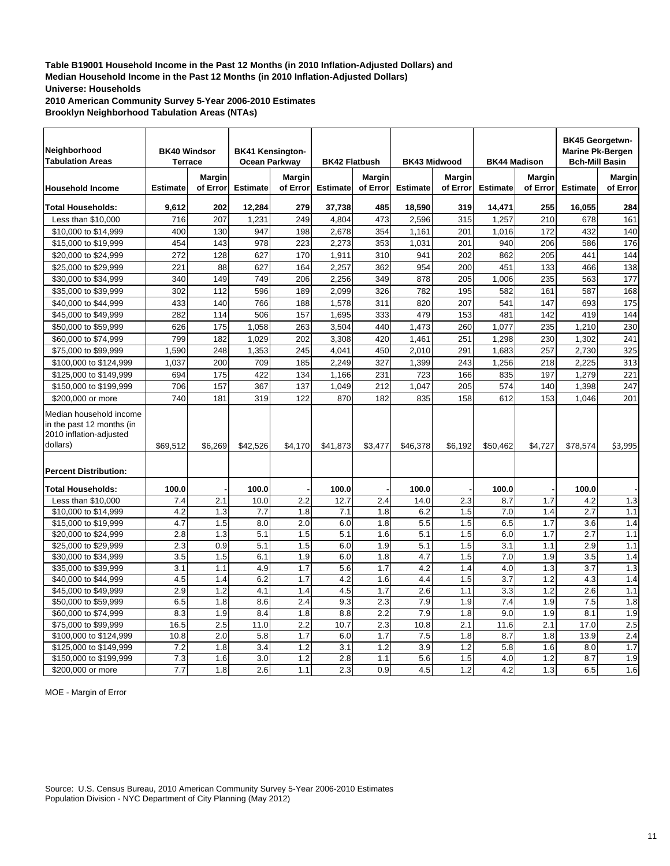**2010 American Community Survey 5-Year 2006-2010 Estimates Brooklyn Neighborhood Tabulation Areas (NTAs)**

| Neighborhood<br><b>Tabulation Areas</b>                                                     | <b>BK40 Windsor</b><br><b>Terrace</b> |               | <b>BK41 Kensington-</b><br>Ocean Parkway |               | <b>BK42 Flatbush</b> |            | <b>BK43 Midwood</b> |               | <b>BK44 Madison</b> |               | <b>BK45 Georgetwn-</b><br><b>Marine Pk-Bergen</b><br><b>Bch-Mill Basin</b> |               |
|---------------------------------------------------------------------------------------------|---------------------------------------|---------------|------------------------------------------|---------------|----------------------|------------|---------------------|---------------|---------------------|---------------|----------------------------------------------------------------------------|---------------|
|                                                                                             |                                       | <b>Margin</b> |                                          | <b>Margin</b> |                      | Margin     |                     | <b>Margin</b> |                     | <b>Margin</b> |                                                                            | <b>Margin</b> |
| <b>Household Income</b>                                                                     | <b>Estimate</b>                       | of Error      | <b>Estimate</b>                          | of Error      | <b>Estimate</b>      | of Error   | <b>Estimate</b>     | of Error      | <b>Estimate</b>     | of Error      | <b>Estimate</b>                                                            | of Error      |
| <b>Total Households:</b>                                                                    | 9,612                                 | 202           | 12,284                                   | 279           | 37,738               | 485        | 18,590              | 319           | 14,471              | 255           | 16,055                                                                     | 284           |
| Less than \$10,000                                                                          | 716                                   | 207           | 1,231                                    | 249           | 4,804                | 473        | 2,596               | 315           | 1,257               | 210           | 678                                                                        | 161           |
| \$10,000 to \$14,999                                                                        | 400                                   | 130           | 947                                      | 198           | 2,678                | 354        | 1,161               | 201           | 1,016               | 172           | 432                                                                        | 140           |
| \$15,000 to \$19,999                                                                        | 454                                   | 143           | 978                                      | 223           | 2,273                | 353        | 1,031               | 201           | 940                 | 206           | 586                                                                        | 176           |
| \$20,000 to \$24,999                                                                        | 272                                   | 128           | 627                                      | 170           | 1,911                | 310        | 941                 | 202           | 862                 | 205           | 441                                                                        | 144           |
| \$25,000 to \$29,999                                                                        | 221                                   | 88            | 627                                      | 164           | 2,257                | 362        | 954                 | 200           | 451                 | 133           | 466                                                                        | 138           |
| \$30,000 to \$34,999                                                                        | 340                                   | 149           | 749                                      | 206           | 2.256                | 349        | 878                 | 205           | 1.006               | 235           | 563                                                                        | 177           |
| \$35,000 to \$39,999                                                                        | 302                                   | 112           | 596                                      | 189           | 2,099                | 326        | 782                 | 195           | 582                 | 161           | 587                                                                        | 168           |
| \$40,000 to \$44,999                                                                        | 433                                   | 140           | 766                                      | 188           | 1,578                | 311        | 820                 | 207           | 541                 | 147           | 693                                                                        | 175           |
| \$45,000 to \$49,999                                                                        | 282                                   | 114           | 506                                      | 157           | 1.695                | 333        | 479                 | 153           | 481                 | 142           | 419                                                                        | 144           |
| \$50,000 to \$59,999                                                                        | 626                                   | 175           | 1,058                                    | 263           | 3,504                | 440        | 1,473               | 260           | 1,077               | 235           | 1,210                                                                      | 230           |
| \$60,000 to \$74,999                                                                        | 799                                   | 182           | 1,029                                    | 202           | 3,308                | 420        | 1,461               | 251           | 1,298               | 230           | 1,302                                                                      | 241           |
| \$75,000 to \$99,999                                                                        | 1,590                                 | 248           | 1,353                                    | 245           | 4,041                | 450        | 2,010               | 291           | 1,683               | 257           | 2,730                                                                      | 325           |
| \$100,000 to \$124,999                                                                      | 1,037                                 | 200           | 709                                      | 185           | 2,249                | 327        | 1,399               | 243           | 1,256               | 218           | 2,225                                                                      | 313           |
| \$125,000 to \$149,999                                                                      | 694                                   | 175           | 422                                      | 134           | 1,166                | 231        | 723                 | 166           | 835                 | 197           | 1,279                                                                      | 221           |
| \$150,000 to \$199,999                                                                      | 706                                   | 157           | 367                                      | 137           | 1,049                | 212        | 1,047               | 205           | 574                 | 140           | 1,398                                                                      | 247           |
| \$200,000 or more                                                                           | 740                                   | 181           | 319                                      | 122           | 870                  | 182        | 835                 | 158           | 612                 | 153           | 1,046                                                                      | 201           |
| Median household income<br>in the past 12 months (in<br>2010 inflation-adjusted<br>dollars) | \$69,512                              | \$6,269       | \$42,526                                 | \$4,170       | \$41,873             | \$3,477    | \$46,378            | \$6,192       | \$50,462            | \$4,727       | \$78.574                                                                   | \$3,995       |
| <b>Percent Distribution:</b>                                                                |                                       |               |                                          |               |                      |            |                     |               |                     |               |                                                                            |               |
| <b>Total Households:</b>                                                                    | 100.0                                 |               | 100.0                                    |               | 100.0                |            | 100.0               |               | 100.0               |               | 100.0                                                                      |               |
| Less than \$10,000                                                                          | 7.4                                   | 2.1           | 10.0                                     | 2.2           | 12.7                 | 2.4        | 14.0                | 2.3           | 8.7                 | 1.7           | 4.2                                                                        | 1.3           |
| \$10,000 to \$14,999                                                                        | 4.2                                   | 1.3           | 7.7                                      | 1.8           | 7.1                  | 1.8        | 6.2                 | 1.5           | 7.0                 | 1.4           | 2.7                                                                        | 1.1           |
| \$15,000 to \$19,999                                                                        | 4.7                                   | 1.5           | 8.0                                      | 2.0           | 6.0                  | 1.8        | 5.5                 | 1.5           | 6.5                 | 1.7           | 3.6                                                                        | 1.4           |
| \$20,000 to \$24,999                                                                        | 2.8                                   | 1.3           | 5.1                                      | 1.5           | 5.1                  | 1.6        | 5.1                 | 1.5           | 6.0                 | 1.7           | 2.7                                                                        | 1.1           |
| \$25,000 to \$29,999                                                                        | 2.3                                   | 0.9           | 5.1                                      | 1.5           | 6.0                  | 1.9        | 5.1                 | 1.5           | 3.1                 | 1.1           | 2.9                                                                        | 1.1           |
| \$30,000 to \$34,999                                                                        | 3.5                                   | 1.5           | 6.1                                      | 1.9           | 6.0                  | 1.8        | 4.7                 | 1.5           | 7.0                 | 1.9           | 3.5                                                                        | 1.4           |
| \$35,000 to \$39,999                                                                        | 3.1                                   | 1.1           | 4.9                                      | 1.7           | 5.6                  | 1.7        | 4.2                 | 1.4           | 4.0                 | 1.3           | 3.7                                                                        | 1.3           |
| \$40,000 to \$44,999                                                                        | 4.5                                   | 1.4           | 6.2                                      | 1.7           | 4.2                  | 1.6        | 4.4                 | 1.5           | 3.7                 | 1.2           | 4.3                                                                        | 1.4           |
| \$45,000 to \$49,999                                                                        | 2.9                                   | 1.2           | 4.1                                      | 1.4           | 4.5                  | 1.7        | 2.6                 | 1.1           | 3.3                 | 1.2           | 2.6                                                                        | 1.1           |
| \$50,000 to \$59,999                                                                        | 6.5                                   | 1.8           | 8.6                                      | 2.4           | 9.3                  | 2.3        | 7.9                 | 1.9           | 7.4                 | 1.9           | 7.5                                                                        | 1.8           |
| \$60,000 to \$74,999                                                                        | 8.3                                   | 1.9           | 8.4                                      | 1.8           | 8.8                  | 2.2        | $\overline{7.9}$    | 1.8           | 9.0                 | 1.9           | 8.1                                                                        | 1.9           |
| \$75,000 to \$99,999                                                                        | 16.5                                  | 2.5           | 11.0                                     | 2.2           | 10.7                 | 2.3        | 10.8                | 2.1           | 11.6                | 2.1           | 17.0                                                                       | 2.5           |
| \$100,000 to \$124,999                                                                      | 10.8                                  | 2.0           | 5.8                                      | 1.7           | 6.0                  | 1.7        | 7.5                 | 1.8           | 8.7                 | 1.8           | 13.9                                                                       | 2.4           |
| \$125,000 to \$149,999                                                                      | 7.2<br>7.3                            | 1.8<br>1.6    | 3.4<br>3.0                               | 1.2<br>1.2    | 3.1<br>2.8           | 1.2<br>1.1 | 3.9<br>5.6          | 1.2<br>1.5    | 5.8<br>4.0          | 1.6<br>1.2    | 8.0<br>8.7                                                                 | 1.7<br>1.9    |
| \$150,000 to \$199,999<br>\$200,000 or more                                                 | 7.7                                   | 1.8           | 2.6                                      | 1.1           | 2.3                  | 0.9        | 4.5                 | 1.2           | 4.2                 | 1.3           | 6.5                                                                        | 1.6           |
|                                                                                             |                                       |               |                                          |               |                      |            |                     |               |                     |               |                                                                            |               |

MOE - Margin of Error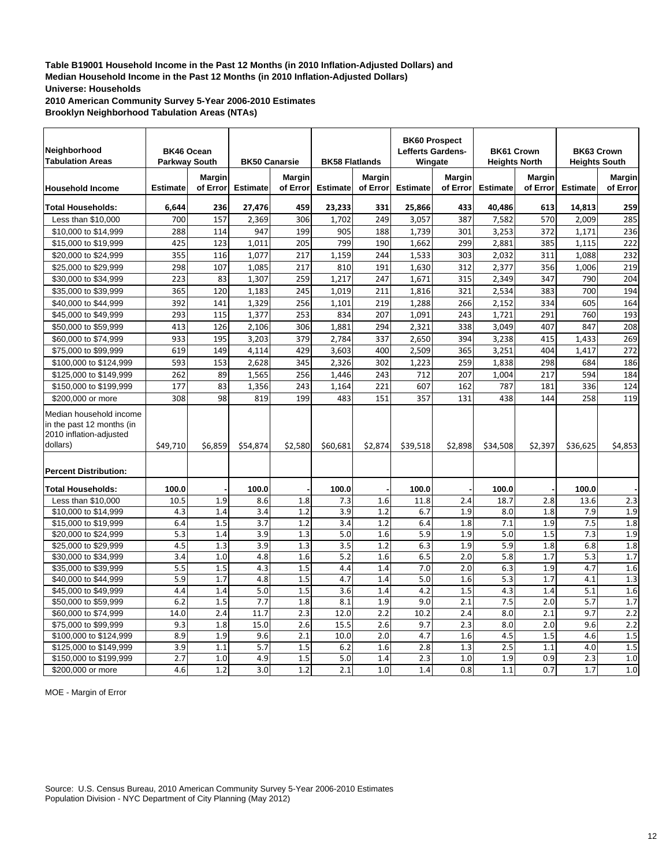**2010 American Community Survey 5-Year 2006-2010 Estimates Brooklyn Neighborhood Tabulation Areas (NTAs)**

| Neighborhood<br><b>Tabulation Areas</b>                                                                                     | <b>BK46 Ocean</b><br><b>Parkway South</b> |                    | <b>BK50 Canarsie</b> |                    | <b>BK58 Flatlands</b> |                           | <b>Lefferts Gardens-</b><br>Wingate | <b>BK60 Prospect</b>      | <b>Heights North</b> | <b>BK61 Crown</b>  | <b>BK63 Crown</b><br><b>Heights South</b> |                           |
|-----------------------------------------------------------------------------------------------------------------------------|-------------------------------------------|--------------------|----------------------|--------------------|-----------------------|---------------------------|-------------------------------------|---------------------------|----------------------|--------------------|-------------------------------------------|---------------------------|
| <b>Household Income</b>                                                                                                     | <b>Estimate</b>                           | Margin<br>of Error | <b>Estimate</b>      | Margin<br>of Error | <b>Estimate</b>       | <b>Margin</b><br>of Error | <b>Estimate</b>                     | <b>Margin</b><br>of Error | <b>Estimate</b>      | Margin<br>of Error | <b>Estimate</b>                           | <b>Margin</b><br>of Error |
| <b>Total Households:</b>                                                                                                    | 6,644                                     | 236                | 27,476               | 459                | 23,233                | 331                       | 25,866                              | 433                       | 40,486               | 613                | 14,813                                    | 259                       |
| Less than \$10,000                                                                                                          | 700                                       | 157                | 2,369                | 306                | 1.702                 | 249                       | 3,057                               | 387                       | 7,582                | 570                | 2.009                                     | 285                       |
| \$10,000 to \$14,999                                                                                                        | 288                                       | 114                | 947                  | 199                | 905                   | 188                       | 1,739                               | 301                       | 3,253                | 372                | 1,171                                     | 236                       |
| \$15,000 to \$19,999                                                                                                        | 425                                       | 123                | 1,011                | 205                | 799                   | 190                       | 1,662                               | 299                       | 2,881                | 385                | 1,115                                     | 222                       |
| \$20,000 to \$24,999                                                                                                        | 355                                       | 116                | 1,077                | 217                | 1,159                 | 244                       | 1,533                               | 303                       | 2,032                | 311                | 1,088                                     | 232                       |
| \$25,000 to \$29,999                                                                                                        | 298                                       | 107                | 1,085                | 217                | 810                   | 191                       | 1,630                               | 312                       | 2,377                | 356                | 1,006                                     | 219                       |
| \$30,000 to \$34,999                                                                                                        | 223                                       | 83                 | 1,307                | 259                | 1,217                 | 247                       | 1,671                               | 315                       | 2,349                | 347                | 790                                       | 204                       |
| \$35,000 to \$39,999                                                                                                        | 365                                       | 120                | 1,183                | 245                | 1,019                 | 211                       | 1,816                               | 321                       | 2,534                | 383                | 700                                       | 194                       |
| \$40,000 to \$44,999                                                                                                        | 392                                       | 141                | 1,329                | 256                | 1,101                 | 219                       | 1,288                               | 266                       | 2,152                | 334                | 605                                       | 164                       |
| \$45,000 to \$49,999                                                                                                        | 293                                       | 115                | 1,377                | 253                | 834                   | 207                       | 1,091                               | 243                       | 1,721                | 291                | 760                                       | 193                       |
| \$50,000 to \$59,999                                                                                                        | 413                                       | 126                | 2,106                | 306                | 1,881                 | 294                       | 2,321                               | 338                       | 3,049                | 407                | 847                                       | 208                       |
| \$60,000 to \$74,999                                                                                                        | 933                                       | 195                | 3,203                | 379                | 2,784                 | 337                       | 2,650                               | 394                       | 3,238                | 415                | 1,433                                     | 269                       |
| \$75,000 to \$99,999                                                                                                        | 619                                       | 149                | 4,114                | 429                | 3,603                 | 400                       | 2,509                               | 365                       | 3,251                | 404                | 1,417                                     | 272                       |
| \$100,000 to \$124,999                                                                                                      | 593                                       | 153                | 2,628                | 345                | 2,326                 | 302                       | 1,223                               | 259                       | 1,838                | 298                | 684                                       | 186                       |
| \$125,000 to \$149,999                                                                                                      | 262                                       | 89                 | 1,565                | 256                | 1,446                 | 243                       | 712                                 | 207                       | 1,004                | 217                | 594                                       | 184                       |
| \$150,000 to \$199,999                                                                                                      | 177                                       | 83                 | 1,356                | 243                | 1,164                 | 221                       | 607                                 | 162                       | 787                  | 181                | 336                                       | 124                       |
| \$200,000 or more                                                                                                           | 308                                       | 98                 | 819                  | 199                | 483                   | 151                       | 357                                 | 131                       | 438                  | 144                | 258                                       | 119                       |
| Median household income<br>in the past 12 months (in<br>2010 inflation-adjusted<br>dollars)<br><b>Percent Distribution:</b> | \$49,710                                  | \$6,859            | \$54,874             | \$2,580            | \$60,681              | \$2,874                   | \$39,518                            | \$2,898                   | \$34,508             | \$2,397            | \$36.625                                  | \$4,853                   |
| <b>Total Households:</b>                                                                                                    | 100.0                                     |                    | 100.0                |                    | 100.0                 |                           | 100.0                               |                           | 100.0                |                    | 100.0                                     |                           |
| Less than \$10,000                                                                                                          | 10.5                                      | 1.9                | 8.6                  | 1.8                | 7.3                   | 1.6                       | 11.8                                | 2.4                       | 18.7                 | 2.8                | 13.6                                      | 2.3                       |
| \$10,000 to \$14,999                                                                                                        | 4.3                                       | 1.4                | 3.4                  | 1.2                | 3.9                   | 1.2                       | 6.7                                 | 1.9                       | 8.0                  | 1.8                | 7.9                                       | 1.9                       |
| \$15,000 to \$19,999                                                                                                        | 6.4                                       | 1.5                | 3.7                  | 1.2                | 3.4                   | 1.2                       | 6.4                                 | 1.8                       | 7.1                  | 1.9                | 7.5                                       | 1.8                       |
| \$20,000 to \$24,999                                                                                                        | 5.3                                       | 1.4                | 3.9                  | 1.3                | 5.0                   | 1.6                       | 5.9                                 | 1.9                       | 5.0                  | 1.5                | 7.3                                       | 1.9                       |
| \$25,000 to \$29,999                                                                                                        | 4.5                                       | 1.3                | 3.9                  | 1.3                | 3.5                   | 1.2                       | 6.3                                 | 1.9                       | 5.9                  | 1.8                | 6.8                                       | 1.8                       |
| \$30,000 to \$34,999                                                                                                        | 3.4                                       | 1.0                | 4.8                  | 1.6                | 5.2                   | 1.6                       | 6.5                                 | 2.0                       | 5.8                  | 1.7                | 5.3                                       | 1.7                       |
| \$35,000 to \$39,999                                                                                                        | 5.5                                       | 1.5                | 4.3                  | 1.5                | 4.4                   | 1.4                       | 7.0                                 | 2.0                       | 6.3                  | 1.9                | 4.7                                       | 1.6                       |
| \$40,000 to \$44,999                                                                                                        | 5.9                                       | 1.7                | 4.8                  | 1.5                | 4.7                   | 1.4                       | 5.0                                 | 1.6                       | 5.3                  | 1.7                | 4.1                                       | 1.3                       |
| \$45,000 to \$49,999                                                                                                        | 4.4                                       | 1.4                | 5.0                  | 1.5                | 3.6                   | 1.4                       | 4.2                                 | 1.5                       | 4.3                  | 1.4                | 5.1                                       | 1.6                       |
| \$50,000 to \$59,999                                                                                                        | 6.2                                       | 1.5                | 7.7                  | 1.8                | 8.1                   | 1.9                       | 9.0                                 | 2.1                       | 7.5                  | 2.0                | 5.7                                       | 1.7                       |
| \$60,000 to \$74,999                                                                                                        | 14.0                                      | 2.4                | 11.7                 | 2.3                | 12.0                  | 2.2                       | 10.2                                | 2.4                       | 8.0                  | 2.1                | 9.7                                       | 2.2                       |
| \$75,000 to \$99,999                                                                                                        | 9.3                                       | 1.8                | 15.0                 | 2.6                | 15.5                  | 2.6                       | 9.7                                 | 2.3                       | 8.0                  | 2.0                | 9.6                                       | 2.2                       |
| \$100,000 to \$124,999                                                                                                      | 8.9                                       | 1.9                | 9.6                  | 2.1                | 10.0                  | 2.0                       | 4.7                                 | 1.6                       | 4.5                  | 1.5                | 4.6                                       | 1.5                       |
| \$125,000 to \$149,999                                                                                                      | 3.9                                       | 1.1                | 5.7                  | 1.5                | 6.2                   | 1.6                       | 2.8                                 | 1.3                       | 2.5                  | 1.1                | 4.0                                       | 1.5                       |
| \$150,000 to \$199,999                                                                                                      | 2.7                                       | 1.0                | 4.9                  | 1.5                | 5.0                   | 1.4                       | 2.3                                 | 1.0                       | 1.9                  | 0.9                | 2.3                                       | 1.0                       |
| \$200,000 or more                                                                                                           | 4.6                                       | 1.2                | 3.0                  | 1.2                | 2.1                   | 1.0                       | 1.4                                 | 0.8                       | 1.1                  | 0.7                | 1.7                                       | 1.0                       |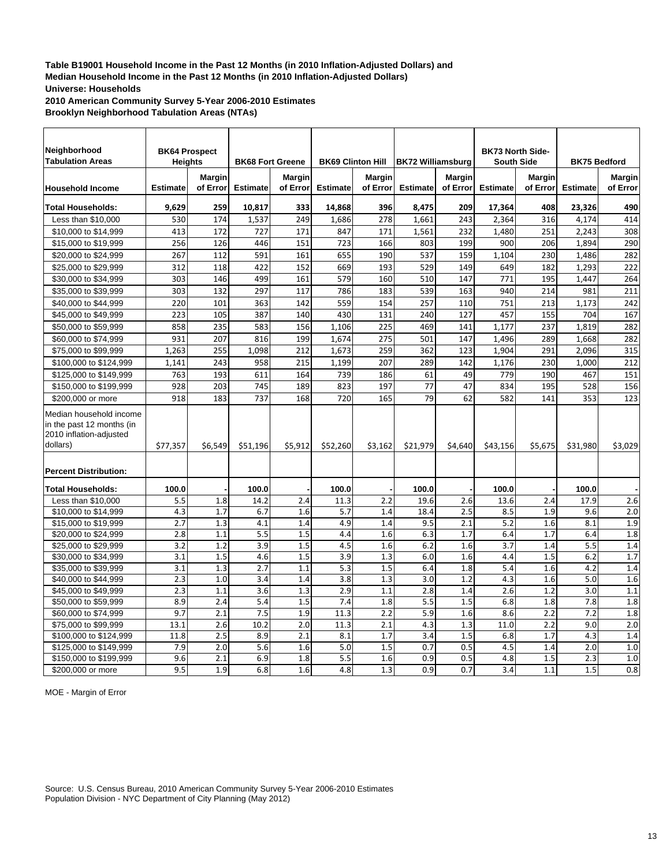**2010 American Community Survey 5-Year 2006-2010 Estimates Brooklyn Neighborhood Tabulation Areas (NTAs)**

| Neighborhood<br><b>Tabulation Areas</b>                                                                                     | <b>BK64 Prospect</b><br><b>Heights</b> |                           | <b>BK68 Fort Greene</b> |                           | <b>BK69 Clinton Hill</b> |                           | <b>BK72 Williamsburg</b> |                           | <b>BK73 North Side-</b><br><b>South Side</b> |                    | <b>BK75 Bedford</b> |                    |
|-----------------------------------------------------------------------------------------------------------------------------|----------------------------------------|---------------------------|-------------------------|---------------------------|--------------------------|---------------------------|--------------------------|---------------------------|----------------------------------------------|--------------------|---------------------|--------------------|
| <b>Household Income</b>                                                                                                     | <b>Estimate</b>                        | <b>Margin</b><br>of Error | <b>Estimate</b>         | <b>Margin</b><br>of Error | <b>Estimate</b>          | <b>Margin</b><br>of Error | <b>Estimate</b>          | <b>Margin</b><br>of Error | <b>Estimate</b>                              | Margin<br>of Error | <b>Estimate</b>     | Margin<br>of Error |
| <b>Total Households:</b>                                                                                                    | 9,629                                  | 259                       | 10,817                  | 333                       | 14,868                   | 396                       | 8,475                    | 209                       | 17,364                                       | 408                | 23,326              | 490                |
| Less than \$10,000                                                                                                          | 530                                    | 174                       | 1,537                   | 249                       | 1,686                    | 278                       | 1,661                    | 243                       | 2,364                                        | 316                | 4,174               | 414                |
| \$10,000 to \$14,999                                                                                                        | 413                                    | 172                       | 727                     | 171                       | 847                      | 171                       | 1,561                    | 232                       | 1,480                                        | 251                | 2,243               | 308                |
| \$15,000 to \$19,999                                                                                                        | 256                                    | 126                       | 446                     | 151                       | 723                      | 166                       | 803                      | 199                       | 900                                          | 206                | 1.894               | 290                |
| \$20,000 to \$24,999                                                                                                        | 267                                    | 112                       | 591                     | 161                       | 655                      | 190                       | 537                      | 159                       | 1,104                                        | 230                | 1,486               | 282                |
| \$25,000 to \$29,999                                                                                                        | 312                                    | 118                       | 422                     | 152                       | 669                      | 193                       | 529                      | 149                       | 649                                          | 182                | 1,293               | 222                |
| \$30,000 to \$34,999                                                                                                        | 303                                    | 146                       | 499                     | 161                       | 579                      | 160                       | 510                      | 147                       | 771                                          | 195                | 1,447               | 264                |
| \$35,000 to \$39,999                                                                                                        | 303                                    | 132                       | 297                     | 117                       | 786                      | 183                       | 539                      | 163                       | 940                                          | 214                | 981                 | 211                |
| \$40,000 to \$44,999                                                                                                        | 220                                    | 101                       | 363                     | 142                       | 559                      | 154                       | 257                      | 110                       | 751                                          | 213                | 1,173               | 242                |
| \$45,000 to \$49,999                                                                                                        | 223                                    | 105                       | 387                     | 140                       | 430                      | 131                       | 240                      | 127                       | 457                                          | 155                | 704                 | 167                |
| \$50,000 to \$59,999                                                                                                        | 858                                    | 235                       | 583                     | 156                       | 1,106                    | 225                       | 469                      | 141                       | 1.177                                        | 237                | 1.819               | 282                |
| \$60,000 to \$74,999                                                                                                        | 931                                    | 207                       | 816                     | 199                       | 1,674                    | 275                       | 501                      | 147                       | 1,496                                        | 289                | 1,668               | 282                |
| \$75,000 to \$99,999                                                                                                        | 1,263                                  | 255                       | 1,098                   | 212                       | 1,673                    | 259                       | 362                      | 123                       | 1,904                                        | 291                | 2,096               | 315                |
| \$100,000 to \$124,999                                                                                                      | 1,141                                  | 243                       | 958                     | 215                       | 1,199                    | 207                       | 289                      | 142                       | 1,176                                        | 230                | 1,000               | 212                |
| \$125,000 to \$149,999                                                                                                      | 763                                    | 193                       | 611                     | 164                       | 739                      | 186                       | 61                       | 49                        | 779                                          | 190                | 467                 | 151                |
| \$150,000 to \$199,999                                                                                                      | 928                                    | 203                       | 745                     | 189                       | 823                      | 197                       | 77                       | 47                        | 834                                          | 195                | 528                 | 156                |
| \$200,000 or more                                                                                                           | 918                                    | 183                       | 737                     | 168                       | 720                      | 165                       | 79                       | 62                        | 582                                          | 141                | 353                 | 123                |
| Median household income<br>in the past 12 months (in<br>2010 inflation-adjusted<br>dollars)<br><b>Percent Distribution:</b> | \$77,357                               | \$6,549                   | \$51,196                | \$5,912                   | \$52,260                 | \$3,162                   | \$21,979                 | \$4,640                   | \$43,156                                     | \$5,675            | \$31,980            | \$3,029            |
| <b>Total Households:</b>                                                                                                    | 100.0                                  |                           | 100.0                   |                           | 100.0                    |                           | 100.0                    |                           | 100.0                                        |                    | 100.0               |                    |
| Less than \$10,000                                                                                                          | 5.5                                    | 1.8                       | 14.2                    | 2.4                       | 11.3                     | 2.2                       | 19.6                     | 2.6                       | 13.6                                         | 2.4                | 17.9                | 2.6                |
| \$10,000 to \$14,999                                                                                                        | 4.3                                    | 1.7                       | 6.7                     | 1.6                       | 5.7                      | 1.4                       | 18.4                     | 2.5                       | 8.5                                          | 1.9                | 9.6                 | 2.0                |
| \$15,000 to \$19,999                                                                                                        | 2.7                                    | 1.3                       | 4.1                     | 1.4                       | 4.9                      | 1.4                       | 9.5                      | 2.1                       | 5.2                                          | 1.6                | 8.1                 | 1.9                |
| \$20,000 to \$24,999                                                                                                        | 2.8                                    | 1.1                       | 5.5                     | 1.5                       | 4.4                      | 1.6                       | 6.3                      | 1.7                       | 6.4                                          | 1.7                | 6.4                 | 1.8                |
| \$25,000 to \$29,999                                                                                                        | 3.2                                    | 1.2                       | 3.9                     | 1.5                       | 4.5                      | 1.6                       | 6.2                      | 1.6                       | 3.7                                          | 1.4                | 5.5                 | 1.4                |
| \$30,000 to \$34,999                                                                                                        | 3.1                                    | 1.5                       | 4.6                     | 1.5                       | 3.9                      | 1.3                       | 6.0                      | 1.6                       | 4.4                                          | 1.5                | 6.2                 | 1.7                |
| \$35,000 to \$39,999                                                                                                        | 3.1                                    | 1.3                       | 2.7                     | 1.1                       | 5.3                      | 1.5                       | 6.4                      | 1.8                       | 5.4                                          | 1.6                | 4.2                 | 1.4                |
| \$40,000 to \$44,999                                                                                                        | 2.3                                    | 1.0                       | 3.4                     | 1.4                       | 3.8                      | 1.3                       | 3.0                      | 1.2                       | 4.3                                          | 1.6                | 5.0                 | 1.6                |
| \$45,000 to \$49,999                                                                                                        | 2.3                                    | 1.1                       | 3.6                     | 1.3                       | 2.9                      | 1.1                       | 2.8                      | 1.4                       | 2.6                                          | 1.2                | 3.0                 | 1.1                |
| \$50,000 to \$59,999                                                                                                        | 8.9                                    | 2.4                       | 5.4                     | 1.5                       | 7.4                      | 1.8                       | 5.5                      | 1.5                       | 6.8                                          | 1.8                | 7.8                 | 1.8                |
| \$60,000 to \$74,999                                                                                                        | 9.7                                    | 2.1                       | 7.5                     | 1.9                       | 11.3                     | 2.2                       | 5.9                      | 1.6                       | 8.6                                          | 2.2                | 7.2                 | 1.8                |
| \$75,000 to \$99,999                                                                                                        | 13.1                                   | 2.6                       | 10.2                    | 2.0                       | 11.3                     | 2.1                       | 4.3                      | 1.3                       | 11.0                                         | 2.2                | 9.0                 | 2.0                |
| \$100,000 to \$124,999                                                                                                      | 11.8                                   | 2.5                       | 8.9                     | 2.1                       | 8.1                      | 1.7                       | 3.4                      | 1.5                       | 6.8                                          | 1.7                | 4.3                 | 1.4                |
| \$125,000 to \$149,999                                                                                                      | 7.9                                    | 2.0                       | 5.6                     | 1.6                       | 5.0                      | 1.5                       | 0.7                      | 0.5                       | 4.5                                          | 1.4                | 2.0                 | 1.0                |
| \$150,000 to \$199,999                                                                                                      | 9.6                                    | 2.1                       | 6.9                     | 1.8                       | 5.5                      | 1.6                       | 0.9                      | 0.5                       | 4.8                                          | 1.5                | 2.3                 | 1.0                |
| \$200,000 or more                                                                                                           | 9.5                                    | 1.9                       | 6.8                     | 1.6                       | 4.8                      | 1.3                       | 0.9                      | 0.7                       | 3.4                                          | 1.1                | 1.5                 | 0.8                |

MOE - Margin of Error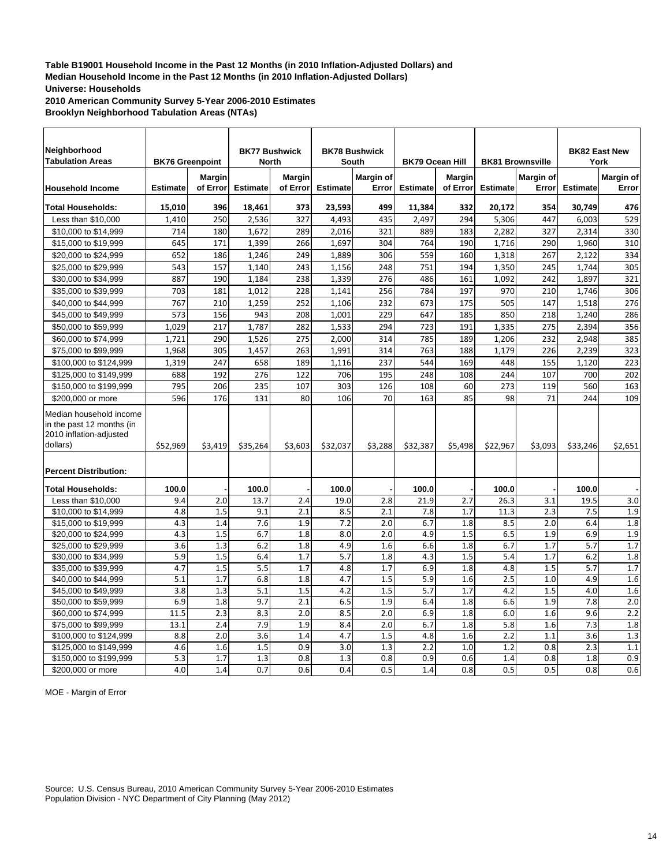**2010 American Community Survey 5-Year 2006-2010 Estimates Brooklyn Neighborhood Tabulation Areas (NTAs)**

| Neighborhood<br><b>Tabulation Areas</b>                                                                                     | <b>BK76 Greenpoint</b> |                           | <b>BK77 Bushwick</b><br><b>North</b> |                           |                 | <b>BK78 Bushwick</b><br>South | <b>BK79 Ocean Hill</b> |                           |                 | <b>BK81 Brownsville</b> |                 | <b>BK82 East New</b><br>York |
|-----------------------------------------------------------------------------------------------------------------------------|------------------------|---------------------------|--------------------------------------|---------------------------|-----------------|-------------------------------|------------------------|---------------------------|-----------------|-------------------------|-----------------|------------------------------|
| <b>Household Income</b>                                                                                                     | <b>Estimate</b>        | <b>Margin</b><br>of Error | <b>Estimate</b>                      | <b>Margin</b><br>of Error | <b>Estimate</b> | <b>Margin of</b><br>Error     | <b>Estimate</b>        | <b>Margin</b><br>of Error | <b>Estimate</b> | Margin of<br>Error      | <b>Estimate</b> | Margin of<br>Error           |
| <b>Total Households:</b>                                                                                                    | 15,010                 | 396                       | 18,461                               | 373                       | 23,593          | 499                           | 11,384                 | 332                       | 20,172          | 354                     | 30,749          | 476                          |
| Less than \$10,000                                                                                                          | 1.410                  | 250                       | 2,536                                | 327                       | 4.493           | 435                           | 2.497                  | 294                       | 5,306           | 447                     | 6,003           | 529                          |
| \$10,000 to \$14,999                                                                                                        | 714                    | 180                       | 1,672                                | 289                       | 2,016           | 321                           | 889                    | 183                       | 2,282           | 327                     | 2,314           | 330                          |
| \$15,000 to \$19,999                                                                                                        | 645                    | 171                       | 1,399                                | 266                       | 1,697           | 304                           | 764                    | 190                       | 1,716           | 290                     | 1,960           | 310                          |
| \$20,000 to \$24,999                                                                                                        | 652                    | 186                       | 1,246                                | 249                       | 1,889           | 306                           | 559                    | 160                       | 1,318           | 267                     | 2,122           | 334                          |
| \$25,000 to \$29,999                                                                                                        | 543                    | 157                       | 1,140                                | 243                       | 1,156           | 248                           | 751                    | 194                       | 1,350           | 245                     | 1,744           | 305                          |
| \$30,000 to \$34,999                                                                                                        | 887                    | 190                       | 1,184                                | 238                       | 1,339           | 276                           | 486                    | 161                       | 1,092           | 242                     | 1,897           | 321                          |
| \$35,000 to \$39,999                                                                                                        | 703                    | 181                       | 1,012                                | 228                       | 1,141           | 256                           | 784                    | 197                       | 970             | 210                     | 1,746           | 306                          |
| \$40,000 to \$44,999                                                                                                        | 767                    | 210                       | 1,259                                | 252                       | 1,106           | 232                           | 673                    | 175                       | 505             | 147                     | 1,518           | 276                          |
| \$45,000 to \$49,999                                                                                                        | 573                    | 156                       | 943                                  | 208                       | 1.001           | 229                           | 647                    | 185                       | 850             | 218                     | 1,240           | 286                          |
| \$50,000 to \$59,999                                                                                                        | 1.029                  | 217                       | 1,787                                | 282                       | 1,533           | 294                           | 723                    | 191                       | 1,335           | 275                     | 2,394           | 356                          |
| \$60,000 to \$74,999                                                                                                        | 1,721                  | 290                       | 1,526                                | 275                       | 2,000           | 314                           | 785                    | 189                       | 1,206           | 232                     | 2,948           | 385                          |
| \$75,000 to \$99,999                                                                                                        | 1,968                  | 305                       | 1,457                                | 263                       | 1,991           | 314                           | 763                    | 188                       | 1,179           | 226                     | 2,239           | 323                          |
| \$100,000 to \$124,999                                                                                                      | 1,319                  | 247                       | 658                                  | 189                       | 1,116           | 237                           | 544                    | 169                       | 448             | 155                     | 1,120           | 223                          |
| \$125,000 to \$149,999                                                                                                      | 688                    | 192                       | 276                                  | 122                       | 706             | 195                           | 248                    | 108                       | 244             | 107                     | 700             | 202                          |
| \$150,000 to \$199,999                                                                                                      | 795                    | 206                       | 235                                  | 107                       | 303             | 126                           | 108                    | 60                        | 273             | 119                     | 560             | 163                          |
| \$200,000 or more                                                                                                           | 596                    | 176                       | 131                                  | 80                        | 106             | 70                            | 163                    | 85                        | 98              | 71                      | 244             | 109                          |
| Median household income<br>in the past 12 months (in<br>2010 inflation-adjusted<br>dollars)<br><b>Percent Distribution:</b> | \$52,969               | \$3,419                   | \$35,264                             | \$3,603                   | \$32,037        | \$3,288                       | \$32,387               | \$5,498                   | \$22,967        | \$3,093                 | \$33.246        | \$2,651                      |
| <b>Total Households:</b>                                                                                                    | 100.0                  |                           | 100.0                                |                           | 100.0           |                               | 100.0                  |                           | 100.0           |                         | 100.0           |                              |
| Less than \$10,000                                                                                                          | 9.4                    | 2.0                       | 13.7                                 | 2.4                       | 19.0            | 2.8                           | 21.9                   | 2.7                       | 26.3            | 3.1                     | 19.5            | 3.0                          |
| \$10,000 to \$14,999                                                                                                        | 4.8                    | 1.5                       | 9.1                                  | 2.1                       | 8.5             | 2.1                           | 7.8                    | 1.7                       | 11.3            | 2.3                     | 7.5             | 1.9                          |
| \$15,000 to \$19,999                                                                                                        | 4.3                    | 1.4                       | 7.6                                  | 1.9                       | 7.2             | 2.0                           | 6.7                    | 1.8                       | 8.5             | 2.0                     | 6.4             | 1.8                          |
| \$20,000 to \$24,999                                                                                                        | 4.3                    | 1.5                       | 6.7                                  | 1.8                       | 8.0             | 2.0                           | 4.9                    | 1.5                       | 6.5             | 1.9                     | 6.9             | 1.9                          |
| \$25,000 to \$29,999                                                                                                        | 3.6                    | 1.3                       | 6.2                                  | 1.8                       | 4.9             | 1.6                           | 6.6                    | 1.8                       | 6.7             | 1.7                     | 5.7             | 1.7                          |
| \$30,000 to \$34,999                                                                                                        | 5.9                    | 1.5                       | 6.4                                  | 1.7                       | 5.7             | 1.8                           | 4.3                    | 1.5                       | 5.4             | 1.7                     | 6.2             | 1.8                          |
| \$35,000 to \$39,999                                                                                                        | 4.7                    | 1.5                       | 5.5                                  | 1.7                       | 4.8             | 1.7                           | 6.9                    | 1.8                       | 4.8             | 1.5                     | 5.7             | 1.7                          |
| \$40,000 to \$44,999                                                                                                        | 5.1                    | 1.7                       | 6.8                                  | 1.8                       | 4.7             | 1.5                           | 5.9                    | 1.6                       | 2.5             | 1.0                     | 4.9             | 1.6                          |
| \$45,000 to \$49,999                                                                                                        | 3.8                    | 1.3                       | 5.1                                  | 1.5                       | 4.2             | 1.5                           | 5.7                    | 1.7                       | 4.2             | 1.5                     | 4.0             | 1.6                          |
| \$50,000 to \$59,999                                                                                                        | 6.9                    | 1.8                       | 9.7                                  | 2.1                       | 6.5             | 1.9                           | 6.4                    | 1.8                       | 6.6             | 1.9                     | 7.8             | 2.0                          |
| \$60,000 to \$74,999                                                                                                        | 11.5                   | 2.3                       | 8.3                                  | 2.0                       | 8.5             | 2.0                           | 6.9                    | 1.8                       | 6.0             | 1.6                     | 9.6             | 2.2                          |
| \$75,000 to \$99,999                                                                                                        | 13.1                   | 2.4                       | 7.9                                  | 1.9                       | 8.4             | 2.0                           | 6.7                    | 1.8                       | 5.8             | 1.6                     | 7.3             | 1.8                          |
| \$100,000 to \$124,999                                                                                                      | 8.8                    | 2.0                       | 3.6                                  | 1.4                       | 4.7             | 1.5                           | 4.8                    | 1.6                       | 2.2             | 1.1                     | 3.6             | 1.3                          |
| \$125,000 to \$149,999                                                                                                      | 4.6                    | 1.6                       | 1.5                                  | 0.9                       | 3.0             | 1.3                           | 2.2                    | 1.0                       | 1.2             | 0.8                     | 2.3             | 1.1                          |
| \$150,000 to \$199,999                                                                                                      | 5.3                    | 1.7                       | 1.3                                  | 0.8                       | 1.3             | 0.8                           | 0.9                    | 0.6                       | 1.4             | 0.8                     | 1.8             | 0.9                          |
| \$200,000 or more                                                                                                           | 4.0                    | 1.4                       | 0.7                                  | 0.6                       | 0.4             | 0.5                           | 1.4                    | 0.8                       | 0.5             | 0.5                     | 0.8             | 0.6                          |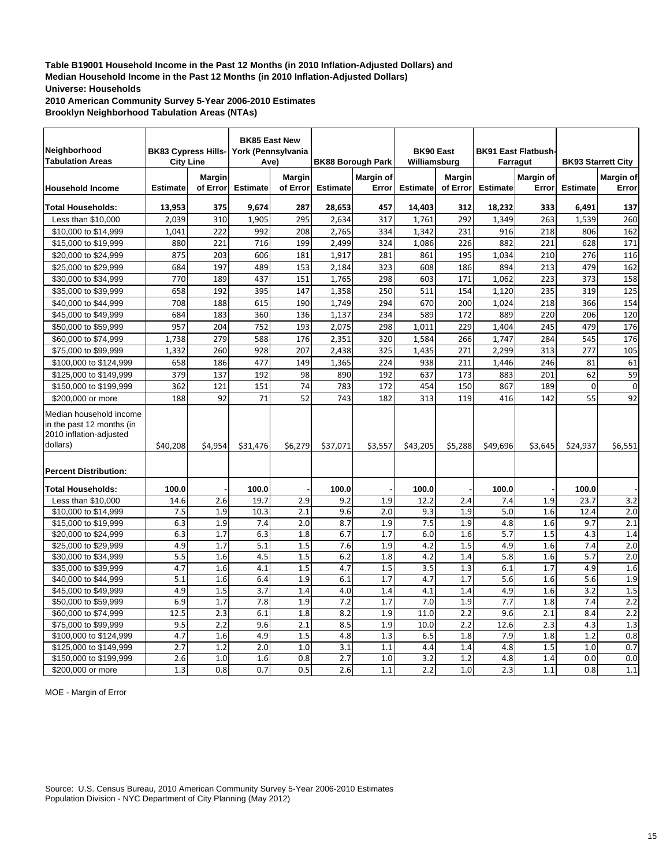**2010 American Community Survey 5-Year 2006-2010 Estimates Brooklyn Neighborhood Tabulation Areas (NTAs)**

| Neighborhood<br><b>Tabulation Areas</b>                                                                                     | <b>City Line</b> |               | <b>BK85 East New</b><br>BK83 Cypress Hills- York (Pennsylvania<br>Ave) |               |                 | <b>BK88 Borough Park</b> | <b>BK90 East</b><br>Williamsburg |               |                 | <b>BK91 East Flatbush-</b><br>Farragut |                 | <b>BK93 Starrett City</b> |
|-----------------------------------------------------------------------------------------------------------------------------|------------------|---------------|------------------------------------------------------------------------|---------------|-----------------|--------------------------|----------------------------------|---------------|-----------------|----------------------------------------|-----------------|---------------------------|
|                                                                                                                             |                  | <b>Margin</b> |                                                                        | <b>Margin</b> |                 | <b>Margin of</b>         |                                  | <b>Margin</b> |                 | Margin of                              |                 | Margin of                 |
| <b>Household Income</b>                                                                                                     | <b>Estimate</b>  | of Error      | <b>Estimate</b>                                                        | of Error      | <b>Estimate</b> | Error                    | <b>Estimate</b>                  | of Error      | <b>Estimate</b> | Error                                  | <b>Estimate</b> | Error                     |
| <b>Total Households:</b>                                                                                                    | 13,953           | 375           | 9,674                                                                  | 287           | 28,653          | 457                      | 14,403                           | 312           | 18,232          | 333                                    | 6,491           | 137                       |
| Less than \$10,000                                                                                                          | 2,039            | 310           | 1,905                                                                  | 295           | 2,634           | 317                      | 1,761                            | 292           | 1,349           | 263                                    | 1,539           | 260                       |
| \$10,000 to \$14,999                                                                                                        | 1,041            | 222           | 992                                                                    | 208           | 2,765           | 334                      | 1.342                            | 231           | 916             | 218                                    | 806             | 162                       |
| \$15,000 to \$19,999                                                                                                        | 880              | 221           | 716                                                                    | 199           | 2,499           | 324                      | 1,086                            | 226           | 882             | 221                                    | 628             | 171                       |
| \$20,000 to \$24,999                                                                                                        | 875              | 203           | 606                                                                    | 181           | 1,917           | 281                      | 861                              | 195           | 1,034           | 210                                    | 276             | 116                       |
| \$25,000 to \$29,999                                                                                                        | 684              | 197           | 489                                                                    | 153           | 2,184           | 323                      | 608                              | 186           | 894             | 213                                    | 479             | 162                       |
| \$30,000 to \$34,999                                                                                                        | 770              | 189           | 437                                                                    | 151           | 1,765           | 298                      | 603                              | 171           | 1,062           | 223                                    | 373             | 158                       |
| \$35,000 to \$39,999                                                                                                        | 658              | 192           | 395                                                                    | 147           | 1,358           | 250                      | 511                              | 154           | 1,120           | 235                                    | 319             | 125                       |
| \$40,000 to \$44,999                                                                                                        | 708              | 188           | 615                                                                    | 190           | 1,749           | 294                      | 670                              | 200           | 1,024           | 218                                    | 366             | 154                       |
| \$45,000 to \$49,999                                                                                                        | 684              | 183           | 360                                                                    | 136           | 1,137           | 234                      | 589                              | 172           | 889             | 220                                    | 206             | 120                       |
| \$50,000 to \$59,999                                                                                                        | 957              | 204           | 752                                                                    | 193           | 2,075           | 298                      | 1,011                            | 229           | 1,404           | 245                                    | 479             | 176                       |
| \$60,000 to \$74,999                                                                                                        | 1,738            | 279           | 588                                                                    | 176           | 2,351           | 320                      | 1,584                            | 266           | 1,747           | 284                                    | 545             | 176                       |
| \$75,000 to \$99,999                                                                                                        | 1,332            | 260           | 928                                                                    | 207           | 2,438           | 325                      | 1.435                            | 271           | 2,299           | 313                                    | 277             | 105                       |
| \$100,000 to \$124,999                                                                                                      | 658              | 186           | 477                                                                    | 149           | 1,365           | 224                      | 938                              | 211           | 1.446           | 246                                    | 81              | 61                        |
| \$125,000 to \$149,999                                                                                                      | 379              | 137           | 192                                                                    | 98            | 890             | 192                      | 637                              | 173           | 883             | 201                                    | 62              | 59                        |
| \$150,000 to \$199,999                                                                                                      | 362              | 121           | 151                                                                    | 74            | 783             | 172                      | 454                              | 150           | 867             | 189                                    | 0               | $\mathbf{0}$              |
| \$200,000 or more                                                                                                           | 188              | 92            | 71                                                                     | 52            | 743             | 182                      | 313                              | 119           | 416             | 142                                    | 55              | 92                        |
| Median household income<br>in the past 12 months (in<br>2010 inflation-adjusted<br>dollars)<br><b>Percent Distribution:</b> | \$40,208         | \$4,954       | \$31,476                                                               | \$6,279       | \$37,071        | \$3,557                  | \$43,205                         | \$5,288       | \$49,696        | \$3,645                                | \$24,937        | \$6,551                   |
| <b>Total Households:</b>                                                                                                    | 100.0            |               | 100.0                                                                  |               | 100.0           |                          | 100.0                            |               | 100.0           |                                        | 100.0           |                           |
| Less than \$10,000                                                                                                          | 14.6             | 2.6           | 19.7                                                                   | 2.9           | 9.2             | 1.9                      | 12.2                             | 2.4           | 7.4             | 1.9                                    | 23.7            | 3.2                       |
| \$10,000 to \$14,999                                                                                                        | 7.5              | 1.9           | 10.3                                                                   | 2.1           | 9.6             | 2.0                      | 9.3                              | 1.9           | 5.0             | 1.6                                    | 12.4            | 2.0                       |
| \$15,000 to \$19,999                                                                                                        | 6.3              | 1.9           | 7.4                                                                    | 2.0           | 8.7             | 1.9                      | 7.5                              | 1.9           | 4.8             | 1.6                                    | 9.7             | 2.1                       |
| \$20,000 to \$24,999                                                                                                        | 6.3              | 1.7           | 6.3                                                                    | 1.8           | 6.7             | 1.7                      | 6.0                              | 1.6           | 5.7             | 1.5                                    | 4.3             | 1.4                       |
| \$25,000 to \$29,999                                                                                                        | 4.9              | 1.7           | 5.1                                                                    | 1.5           | 7.6             | 1.9                      | 4.2                              | 1.5           | 4.9             | 1.6                                    | 7.4             | 2.0                       |
| \$30,000 to \$34,999                                                                                                        | 5.5              | 1.6           | 4.5                                                                    | 1.5           | 6.2             | 1.8                      | 4.2                              | 1.4           | 5.8             | 1.6                                    | 5.7             | 2.0                       |
| \$35,000 to \$39,999                                                                                                        | 4.7              | 1.6           | 4.1                                                                    | 1.5           | 4.7             | 1.5                      | 3.5                              | 1.3           | 6.1             | 1.7                                    | 4.9             | 1.6                       |
| \$40,000 to \$44,999                                                                                                        | 5.1              | 1.6           | 6.4                                                                    | 1.9           | 6.1             | 1.7                      | 4.7                              | 1.7           | 5.6             | 1.6                                    | 5.6             | 1.9                       |
| \$45,000 to \$49,999                                                                                                        | 4.9              | 1.5           | 3.7                                                                    | 1.4           | 4.0             | 1.4                      | 4.1                              | 1.4           | 4.9             | 1.6                                    | 3.2             | 1.5                       |
| \$50,000 to \$59,999                                                                                                        | 6.9              | 1.7           | 7.8                                                                    | 1.9           | 7.2             | 1.7                      | 7.0                              | 1.9           | 7.7             | 1.8                                    | 7.4             | 2.2                       |
| \$60,000 to \$74,999                                                                                                        | 12.5             | 2.3           | 6.1                                                                    | 1.8           | 8.2             | 1.9                      | 11.0                             | 2.2           | 9.6             | 2.1                                    | 8.4             | 2.2                       |
| \$75,000 to \$99,999                                                                                                        | 9.5              | 2.2           | 9.6                                                                    | 2.1           | 8.5             | 1.9                      | 10.0                             | 2.2           | 12.6            | 2.3                                    | 4.3             | 1.3                       |
| \$100,000 to \$124,999                                                                                                      | 4.7              | 1.6           | 4.9                                                                    | 1.5           | 4.8             | 1.3                      | 6.5                              | 1.8           | 7.9             | 1.8                                    | 1.2             | 0.8                       |
| \$125,000 to \$149,999                                                                                                      | 2.7              | 1.2           | 2.0                                                                    | 1.0           | 3.1             | 1.1                      | 4.4                              | 1.4           | 4.8             | 1.5                                    | 1.0             | 0.7                       |
| \$150,000 to \$199,999                                                                                                      | 2.6              | 1.0           | 1.6                                                                    | 0.8           | 2.7             | 1.0                      | 3.2                              | 1.2           | 4.8             | 1.4                                    | 0.0             | 0.0                       |
| \$200,000 or more                                                                                                           | 1.3              | 0.8           | 0.7                                                                    | 0.5           | 2.6             | 1.1                      | 2.2                              | 1.0           | 2.3             | 1.1                                    | 0.8             | 1.1                       |

MOE - Margin of Error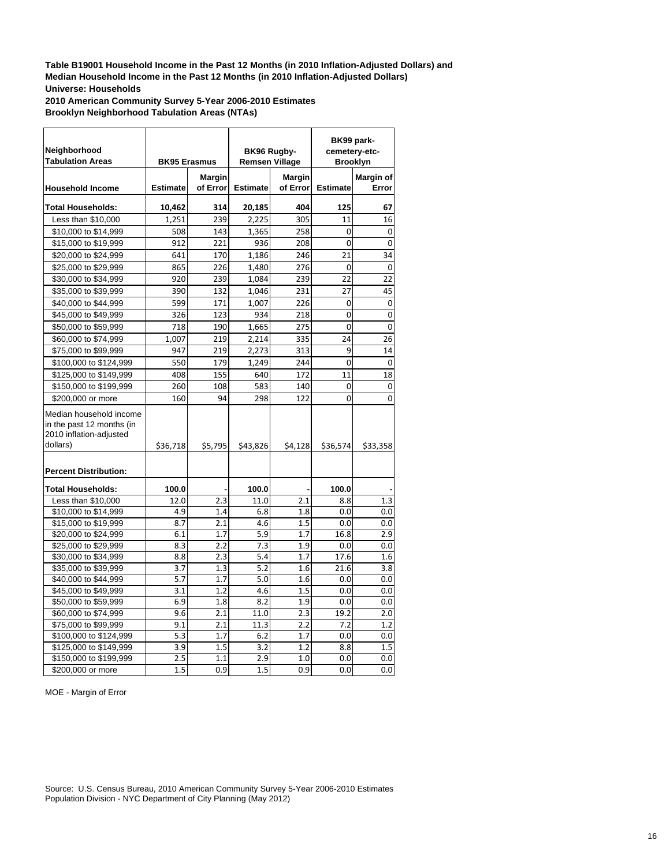**2010 American Community Survey 5-Year 2006-2010 Estimates Brooklyn Neighborhood Tabulation Areas (NTAs)**

| Neighborhood<br><b>Tabulation Areas</b>                                                                                     | <b>BK95 Erasmus</b> |               | BK96 Rugby-<br><b>Remsen Village</b> |                  |                 | BK99 park-<br>cemetery-etc-<br><b>Brooklyn</b> |
|-----------------------------------------------------------------------------------------------------------------------------|---------------------|---------------|--------------------------------------|------------------|-----------------|------------------------------------------------|
|                                                                                                                             |                     | <b>Margin</b> |                                      | <b>Margin</b>    |                 | Margin of                                      |
| <b>Household Income</b>                                                                                                     | <b>Estimate</b>     | of Error      | <b>Estimate</b>                      | of Error         | <b>Estimate</b> | Error                                          |
| <b>Total Households:</b>                                                                                                    | 10,462              | 314           | 20,185                               | 404              | 125             | 67                                             |
| Less than \$10,000                                                                                                          | 1,251               | 239           | 2,225                                | 305              | 11              | 16                                             |
| \$10,000 to \$14,999                                                                                                        | 508                 | 143           | 1,365                                | 258              | 0               | 0                                              |
| \$15,000 to \$19,999                                                                                                        | 912                 | 221           | 936                                  | 208              | $\Omega$        | $\overline{0}$                                 |
| \$20,000 to \$24,999                                                                                                        | 641                 | 170           | 1,186                                | 246              | 21              | 34                                             |
| \$25,000 to \$29,999                                                                                                        | 865                 | 226           | 1,480                                | 276              | $\Omega$        | $\overline{0}$                                 |
| \$30,000 to \$34,999                                                                                                        | 920                 | 239           | 1,084                                | 239              | 22              | 22                                             |
| \$35,000 to \$39,999                                                                                                        | 390                 | 132           | 1,046                                | 231              | 27              | 45                                             |
| \$40,000 to \$44,999                                                                                                        | 599                 | 171           | 1,007                                | 226              | 0               | 0                                              |
| \$45,000 to \$49,999                                                                                                        | 326                 | 123           | 934                                  | 218              | $\mathbf 0$     | 0                                              |
| \$50,000 to \$59,999                                                                                                        | 718                 | 190           | 1,665                                | 275              | $\Omega$        | 0                                              |
| \$60,000 to \$74,999                                                                                                        | 1,007               | 219           | 2,214                                | 335              | 24              | 26                                             |
| \$75,000 to \$99,999                                                                                                        | 947                 | 219           | 2,273                                | 313              | 9               | 14                                             |
| \$100,000 to \$124,999                                                                                                      | 550                 | 179           | 1,249                                | 244              | $\mathbf 0$     | 0                                              |
| \$125,000 to \$149,999                                                                                                      | 408                 | 155           | 640                                  | 172              | 11              | 18                                             |
| \$150,000 to \$199,999                                                                                                      | 260                 | 108           | 583                                  | 140              | 0               | 0                                              |
| \$200,000 or more                                                                                                           | 160                 | 94            | 298                                  | 122              | 0               | 0                                              |
| Median household income<br>in the past 12 months (in<br>2010 inflation-adjusted<br>dollars)<br><b>Percent Distribution:</b> | \$36,718            | \$5,795       | \$43,826                             | \$4,128          | \$36,574        | \$33,358                                       |
| <b>Total Households:</b>                                                                                                    | 100.0               |               | 100.0                                |                  | 100.0           |                                                |
| Less than \$10,000                                                                                                          | 12.0                | 2.3           | 11.0                                 | $2.\overline{1}$ | 8.8             | 1.3                                            |
| \$10,000 to \$14,999                                                                                                        | 4.9                 | 1.4           | 6.8                                  | 1.8              | 0.0             | 0.0                                            |
| \$15,000 to \$19,999                                                                                                        | 8.7                 | 2.1           | 4.6                                  | 1.5              | 0.0             | 0.0                                            |
| \$20,000 to \$24,999                                                                                                        | 6.1                 | 1.7           | 5.9                                  | 1.7              | 16.8            | 2.9                                            |
| \$25,000 to \$29,999                                                                                                        | 8.3                 | 2.2           | 7.3                                  | 1.9              | 0.0             | 0.0                                            |
| \$30,000 to \$34,999                                                                                                        | 8.8                 | 2.3           | 5.4                                  | 1.7              | 17.6            | 1.6                                            |
| \$35,000 to \$39,999                                                                                                        | 3.7                 | 1.3           | 5.2                                  | 1.6              | 21.6            | 3.8                                            |
| \$40,000 to \$44,999                                                                                                        | 5.7                 | 1.7           | 5.0                                  | 1.6              | 0.0             | 0.0                                            |
| \$45,000 to \$49,999                                                                                                        | 3.1                 | 1.2           | 4.6                                  | 1.5              | 0.0             | 0.0                                            |
| \$50,000 to \$59,999                                                                                                        | 6.9                 | 1.8           | 8.2                                  | 1.9              | 0.0             | 0.0                                            |
| \$60,000 to \$74,999                                                                                                        | 9.6                 | 2.1           | 11.0                                 | 2.3              | 19.2            | 2.0                                            |
| \$75,000 to \$99,999                                                                                                        | 9.1                 | 2.1           | 11.3                                 | 2.2              | 7.2             | 1.2                                            |
| \$100,000 to \$124,999                                                                                                      | 5.3                 | 1.7           | 6.2                                  | 1.7              | 0.0             | 0.0                                            |
| \$125,000 to \$149,999                                                                                                      | 3.9                 | 1.5           | 3.2                                  | 1.2              | 8.8             | 1.5                                            |
| \$150,000 to \$199,999                                                                                                      | 2.5                 | 1.1           | 2.9                                  | 1.0              | 0.0             | 0.0                                            |
| \$200,000 or more                                                                                                           | 1.5                 | 0.9           | 1.5                                  | 0.9              | 0.0             | 0.0                                            |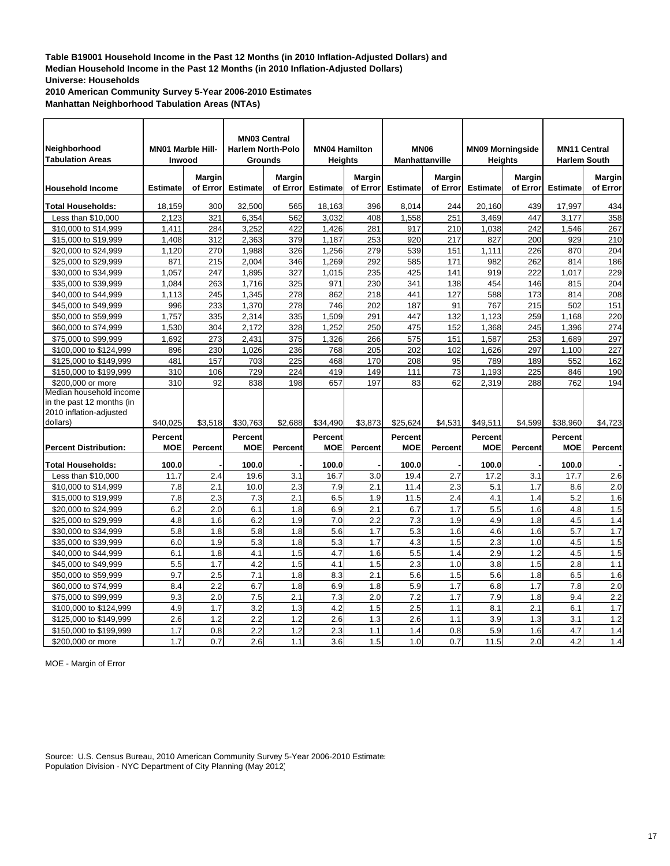**2010 American Community Survey 5-Year 2006-2010 Estimates**

**Manhattan Neighborhood Tabulation Areas (NTAs)**

| Neighborhood<br><b>Tabulation Areas</b>              | <b>MN01 Marble Hill-</b><br>Inwood |                           | <b>MN03 Central</b><br><b>Harlem North-Polo</b><br><b>Grounds</b> |                    | <b>MN04 Hamilton</b><br><b>Heights</b> |                           | <b>MN06</b><br><b>Manhattanville</b> |                    | <b>MN09 Morningside</b> | <b>Heights</b>     | <b>MN11 Central</b><br><b>Harlem South</b> |                           |
|------------------------------------------------------|------------------------------------|---------------------------|-------------------------------------------------------------------|--------------------|----------------------------------------|---------------------------|--------------------------------------|--------------------|-------------------------|--------------------|--------------------------------------------|---------------------------|
| <b>Household Income</b>                              | <b>Estimate</b>                    | <b>Margin</b><br>of Error | <b>Estimate</b>                                                   | Margin<br>of Error | <b>Estimate</b>                        | <b>Margin</b><br>of Error | <b>Estimate</b>                      | Margin<br>of Error | <b>Estimate</b>         | Margin<br>of Error | <b>Estimate</b>                            | <b>Margin</b><br>of Error |
|                                                      |                                    |                           |                                                                   |                    |                                        |                           |                                      |                    |                         |                    |                                            |                           |
| <b>Total Households:</b>                             | 18,159                             | 300                       | 32,500                                                            | 565                | 18,163                                 | 396                       | 8.014                                | 244                | 20.160                  | 439                | 17,997                                     | 434                       |
| Less than \$10,000                                   | 2,123                              | 321                       | 6,354                                                             | 562                | 3,032                                  | 408                       | 1,558                                | 251                | 3,469                   | 447                | 3,177                                      | 358                       |
| \$10,000 to \$14,999                                 | 1,411                              | 284                       | 3,252                                                             | 422                | 1,426                                  | 281                       | 917                                  | 210                | 1,038                   | 242                | 1.546                                      | 267                       |
| \$15,000 to \$19,999                                 | 1,408                              | 312                       | 2,363                                                             | 379                | 1,187                                  | 253                       | 920                                  | 217                | 827                     | 200                | 929                                        | 210                       |
| \$20,000 to \$24,999                                 | 1,120                              | 270                       | 1,988                                                             | 326                | 1,256                                  | 279                       | 539                                  | 151                | 1,111                   | 226                | 870                                        | 204                       |
| \$25,000 to \$29,999                                 | 871                                | 215                       | 2,004                                                             | 346                | 1,269                                  | 292                       | 585                                  | 171                | 982                     | 262                | 814                                        | 186                       |
| \$30,000 to \$34,999                                 | 1.057                              | 247                       | 1,895                                                             | 327                | 1.015                                  | 235                       | 425                                  | 141                | 919                     | 222                | 1,017                                      | 229                       |
| \$35,000 to \$39,999                                 | 1.084                              | 263                       | 1,716                                                             | 325                | 971                                    | 230                       | 341                                  | 138                | 454                     | 146                | 815                                        | 204                       |
| \$40,000 to \$44,999                                 | 1,113                              | 245                       | 1,345                                                             | 278                | 862                                    | 218                       | 441                                  | 127                | 588                     | 173                | 814                                        | 208                       |
| \$45,000 to \$49,999                                 | 996                                | 233                       | 1,370                                                             | 278                | 746                                    | 202                       | 187                                  | 91                 | 767                     | 215                | 502                                        | 151                       |
| \$50,000 to \$59,999                                 | 1,757                              | 335                       | 2,314                                                             | 335                | 1,509                                  | 291                       | 447                                  | 132                | 1,123                   | 259                | 1,168                                      | 220                       |
| \$60,000 to \$74,999                                 | 1,530                              | 304                       | 2,172                                                             | 328                | 1,252                                  | 250                       | 475                                  | 152                | 1,368                   | 245                | 1,396                                      | 274                       |
| \$75,000 to \$99,999                                 | 1,692                              | 273                       | 2,431                                                             | 375                | 1,326                                  | 266                       | 575                                  | 151                | 1,587                   | 253                | 1,689                                      | 297                       |
| \$100,000 to \$124,999                               | 896                                | 230                       | 1,026                                                             | 236                | 768                                    | 205                       | 202                                  | 102                | 1,626                   | 297                | 1,100                                      | 227                       |
| \$125,000 to \$149,999                               | 481                                | 157                       | 703                                                               | 225                | 468                                    | 170                       | 208                                  | 95                 | 789                     | 189                | 552                                        | 162                       |
| \$150,000 to \$199,999                               | 310                                | 106                       | 729                                                               | 224                | 419                                    | 149                       | 111                                  | 73                 | 1,193                   | 225                | 846                                        | 190                       |
| \$200,000 or more                                    | 310                                | 92                        | 838                                                               | 198                | 657                                    | 197                       | 83                                   | 62                 | 2,319                   | 288                | 762                                        | 194                       |
| Median household income<br>in the past 12 months (in |                                    |                           |                                                                   |                    |                                        |                           |                                      |                    |                         |                    |                                            |                           |
| 2010 inflation-adjusted<br>dollars)                  | \$40,025                           | \$3,518                   | \$30,763                                                          | \$2,688            | \$34,490                               | \$3,873                   | \$25,624                             | \$4,531            | \$49,511                | \$4,599            | \$38,960                                   | \$4,723                   |
|                                                      |                                    |                           |                                                                   |                    |                                        |                           |                                      |                    |                         |                    |                                            |                           |
| <b>Percent Distribution:</b>                         | Percent<br><b>MOE</b>              | Percent                   | <b>Percent</b><br><b>MOE</b>                                      | <b>Percent</b>     | Percent<br><b>MOE</b>                  | <b>Percent</b>            | Percent<br><b>MOE</b>                | Percent            | Percent<br><b>MOE</b>   | Percent            | <b>Percent</b><br><b>MOE</b>               | Percent                   |
| <b>Total Households:</b>                             | 100.0                              |                           | 100.0                                                             |                    | 100.0                                  |                           | 100.0                                |                    | 100.0                   |                    | 100.0                                      |                           |
| Less than \$10,000                                   | 11.7                               | 2.4                       | 19.6                                                              | 3.1                | 16.7                                   | 3.0                       | 19.4                                 | 2.7                | 17.2                    | 3.1                | 17.7                                       | 2.6                       |
| \$10,000 to \$14,999                                 | 7.8                                | 2.1                       | 10.0                                                              | 2.3                | 7.9                                    | 2.1                       | 11.4                                 | 2.3                | 5.1                     | 1.7                | 8.6                                        | 2.0                       |
| \$15,000 to \$19,999                                 | 7.8                                | 2.3                       | 7.3                                                               | 2.1                | 6.5                                    | 1.9                       | 11.5                                 | 2.4                | 4.1                     | 1.4                | 5.2                                        | 1.6                       |
| \$20,000 to \$24,999                                 | 6.2                                | 2.0                       | 6.1                                                               | 1.8                | 6.9                                    | 2.1                       | 6.7                                  | 1.7                | 5.5                     | 1.6                | 4.8                                        | 1.5                       |
| \$25,000 to \$29,999                                 | 4.8                                | 1.6                       | 6.2                                                               | 1.9                | 7.0                                    | 2.2                       | 7.3                                  | 1.9                | 4.9                     | 1.8                | 4.5                                        | 1.4                       |
| \$30,000 to \$34,999                                 | 5.8                                | 1.8                       | 5.8                                                               | 1.8                | 5.6                                    | 1.7                       | 5.3                                  | 1.6                | 4.6                     | 1.6                | 5.7                                        | 1.7                       |
| \$35,000 to \$39,999                                 | 6.0                                | 1.9                       | 5.3                                                               | 1.8                | 5.3                                    | 1.7                       | 4.3                                  | 1.5                | 2.3                     | 1.0                | 4.5                                        | 1.5                       |
| \$40,000 to \$44,999                                 | 6.1                                | 1.8                       | 4.1                                                               | 1.5                | 4.7                                    | 1.6                       | 5.5                                  | 1.4                | 2.9                     | 1.2                | 4.5                                        | 1.5                       |
| \$45,000 to \$49,999                                 | 5.5                                | 1.7                       | 4.2                                                               | 1.5                | 4.1                                    | 1.5                       | 2.3                                  | 1.0                | 3.8                     | 1.5                | 2.8                                        | 1.1                       |
| \$50,000 to \$59,999                                 | 9.7                                | 2.5                       | 7.1                                                               | 1.8                | 8.3                                    | 2.1                       | 5.6                                  | 1.5                | 5.6                     | 1.8                | 6.5                                        | 1.6                       |
| \$60,000 to \$74,999                                 | 8.4                                | 2.2                       | 6.7                                                               | 1.8                | 6.9                                    | 1.8                       | 5.9                                  | 1.7                | 6.8                     | 1.7                | 7.8                                        | 2.0                       |
| \$75,000 to \$99,999                                 | 9.3                                | 2.0                       | 7.5                                                               | 2.1                | 7.3                                    | 2.0                       | 7.2                                  | 1.7                | 7.9                     | 1.8                | 9.4                                        | 2.2                       |
| \$100,000 to \$124,999                               | 4.9                                | 1.7                       | 3.2                                                               | 1.3                | 4.2                                    | 1.5                       | 2.5                                  | 1.1                | 8.1                     | 2.1                | 6.1                                        | 1.7                       |
| \$125,000 to \$149,999                               | 2.6                                | 1.2                       | 2.2                                                               | 1.2                | 2.6                                    | 1.3                       | 2.6                                  | 1.1                | 3.9                     | 1.3                | 3.1                                        | 1.2                       |
| \$150,000 to \$199,999                               | 1.7                                | 0.8                       | 2.2                                                               | 1.2                | 2.3                                    | 1.1                       | 1.4                                  | 0.8                | 5.9                     | 1.6                | 4.7                                        | 1.4                       |
| \$200,000 or more                                    | 1.7                                | 0.7                       | 2.6                                                               | 1.1                | 3.6                                    | 1.5                       | 1.0                                  | 0.7                | 11.5                    | 2.0                | 4.2                                        | 1.4                       |

MOE - Margin of Error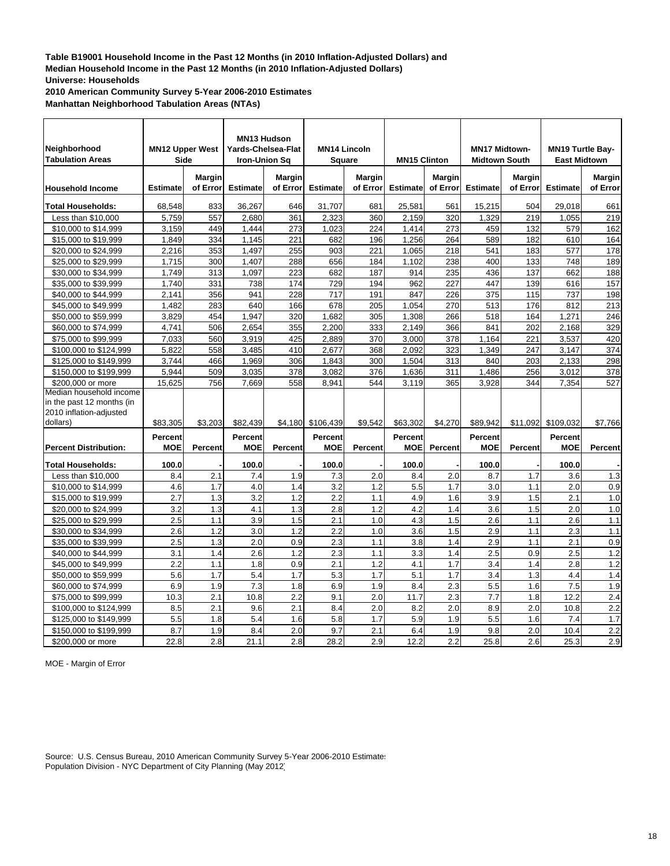**2010 American Community Survey 5-Year 2006-2010 Estimates**

**Manhattan Neighborhood Tabulation Areas (NTAs)**

| Neighborhood<br><b>Tabulation Areas</b> |                 | <b>MN12 Upper West</b><br><b>Side</b> | MN13 Hudson<br>Yards-Chelsea-Flat<br><b>Iron-Union Sq</b> |                    | <b>MN14 Lincoln</b><br><b>Square</b> |                    | <b>MN15 Clinton</b> |                    | <b>MN17 Midtown-</b><br><b>Midtown South</b> |                    | <b>MN19 Turtle Bay-</b><br><b>East Midtown</b> |                    |
|-----------------------------------------|-----------------|---------------------------------------|-----------------------------------------------------------|--------------------|--------------------------------------|--------------------|---------------------|--------------------|----------------------------------------------|--------------------|------------------------------------------------|--------------------|
| <b>Household Income</b>                 | <b>Estimate</b> | <b>Margin</b><br>of Error             | <b>Estimate</b>                                           | Margin<br>of Error | <b>Estimate</b>                      | Margin<br>of Error | <b>Estimate</b>     | Margin<br>of Error | <b>Estimate</b>                              | Margin<br>of Error | <b>Estimate</b>                                | Margin<br>of Error |
| <b>Total Households:</b>                | 68,548          | 833                                   | 36,267                                                    | 646                | 31,707                               | 681                | 25,581              | 561                | 15,215                                       | 504                | 29,018                                         | 661                |
| Less than \$10,000                      | 5,759           | 557                                   | 2,680                                                     | 361                | 2,323                                | 360                | 2,159               | 320                | 1,329                                        | 219                | 1,055                                          | 219                |
| \$10,000 to \$14,999                    | 3.159           | 449                                   | 1.444                                                     | 273                | 1,023                                | 224                | 1,414               | 273                | 459                                          | 132                | 579                                            | 162                |
| \$15,000 to \$19,999                    | 1,849           | 334                                   | 1,145                                                     | 221                | 682                                  | 196                | 1,256               | 264                | 589                                          | 182                | 610                                            | 164                |
| \$20,000 to \$24,999                    | 2,216           | 353                                   | 1,497                                                     | 255                | 903                                  | 221                | 1,065               | 218                | 541                                          | 183                | 577                                            | 178                |
| \$25,000 to \$29,999                    | 1,715           | 300                                   | 1,407                                                     | 288                | 656                                  | 184                | 1,102               | 238                | 400                                          | 133                | 748                                            | 189                |
| \$30,000 to \$34,999                    | 1,749           | 313                                   | 1,097                                                     | 223                | 682                                  | 187                | 914                 | 235                | 436                                          | 137                | 662                                            | 188                |
| \$35,000 to \$39,999                    | 1,740           | 331                                   | 738                                                       | 174                | 729                                  | 194                | 962                 | 227                | 447                                          | 139                | 616                                            | 157                |
| \$40,000 to \$44,999                    | 2.141           | 356                                   | 941                                                       | 228                | 717                                  | 191                | 847                 | 226                | 375                                          | 115                | 737                                            | 198                |
| \$45,000 to \$49,999                    | 1.482           | 283                                   | 640                                                       | 166                | 678                                  | 205                | 1.054               | 270                | 513                                          | 176                | 812                                            | 213                |
| \$50,000 to \$59,999                    | 3,829           | 454                                   | 1,947                                                     | 320                | 1,682                                | 305                | 1,308               | 266                | 518                                          | 164                | 1,271                                          | 246                |
| \$60,000 to \$74,999                    | 4,741           | 506                                   | 2,654                                                     | 355                | 2,200                                | 333                | 2,149               | 366                | 841                                          | 202                | 2,168                                          | 329                |
| \$75,000 to \$99,999                    | 7,033           | 560                                   | 3,919                                                     | 425                | 2,889                                | 370                | 3,000               | 378                | 1,164                                        | 221                | 3,537                                          | 420                |
| \$100,000 to \$124,999                  | 5,822           | 558                                   | 3,485                                                     | 410                | 2,677                                | 368                | 2,092               | 323                | 1,349                                        | 247                | 3,147                                          | 374                |
| \$125,000 to \$149.999                  | 3.744           | 466                                   | 1,969                                                     | 306                | 1.843                                | 300                | 1.504               | 313                | 840                                          | 203                | 2.133                                          | 298                |
| \$150,000 to \$199,999                  | 5,944           | 509                                   | 3,035                                                     | 378                | 3,082                                | 376                | 1,636               | 311                | 1,486                                        | 256                | 3,012                                          | 378                |
| \$200,000 or more                       | 15,625          | 756                                   | 7,669                                                     | 558                | 8.941                                | 544                | 3,119               | 365                | 3.928                                        | 344                | 7,354                                          | 527                |
| Median household income                 |                 |                                       |                                                           |                    |                                      |                    |                     |                    |                                              |                    |                                                |                    |
| in the past 12 months (in               |                 |                                       |                                                           |                    |                                      |                    |                     |                    |                                              |                    |                                                |                    |
| 2010 inflation-adjusted                 |                 |                                       |                                                           |                    |                                      |                    |                     |                    |                                              |                    |                                                |                    |
| dollars)                                | \$83,305        | \$3,203                               | \$82,439                                                  | \$4,180            | \$106,439                            | \$9,542            | \$63,302            | \$4,270            | \$89,942                                     | \$11,092           | \$109,032                                      | \$7,766            |
|                                         | Percent         |                                       | Percent                                                   |                    | <b>Percent</b>                       |                    | <b>Percent</b>      |                    | Percent                                      |                    | Percent                                        |                    |
| <b>Percent Distribution:</b>            | <b>MOE</b>      | Percent                               | <b>MOE</b>                                                | Percent            | <b>MOE</b>                           | Percent            | <b>MOE</b>          | Percent            | <b>MOE</b>                                   | Percent            | <b>MOE</b>                                     | Percent            |
| <b>Total Households:</b>                | 100.0           |                                       | 100.0                                                     |                    | 100.0                                |                    | 100.0               |                    | 100.0                                        |                    | 100.0                                          |                    |
| Less than \$10,000                      | 8.4             | 2.1                                   | 7.4                                                       | 1.9                | 7.3                                  | 2.0                | 8.4                 | 2.0                | 8.7                                          | 1.7                | 3.6                                            | 1.3                |
| \$10,000 to \$14,999                    | 4.6             | 1.7                                   | 4.0                                                       | 1.4                | 3.2                                  | 1.2                | 5.5                 | 1.7                | 3.0                                          | 1.1                | 2.0                                            | 0.9                |
| \$15,000 to \$19,999                    | 2.7             | 1.3                                   | 3.2                                                       | 1.2                | 2.2                                  | 1.1                | 4.9                 | 1.6                | 3.9                                          | 1.5                | 2.1                                            | 1.0                |
| \$20,000 to \$24,999                    | 3.2             | 1.3                                   | 4.1                                                       | 1.3                | 2.8                                  | 1.2                | 4.2                 | 1.4                | 3.6                                          | 1.5                | 2.0                                            | 1.0                |
| \$25,000 to \$29,999                    | 2.5             | 1.1                                   | 3.9                                                       | 1.5                | 2.1                                  | 1.0                | 4.3                 | 1.5                | 2.6                                          | 1.1                | 2.6                                            | 1.1                |
| \$30,000 to \$34,999                    | 2.6             | 1.2                                   | 3.0                                                       | 1.2                | 2.2                                  | 1.0                | 3.6                 | 1.5                | 2.9                                          | 1.1                | 2.3                                            | 1.1                |
| \$35,000 to \$39,999                    | 2.5             | 1.3                                   | 2.0                                                       | 0.9                | 2.3                                  | 1.1                | 3.8                 | 1.4                | 2.9                                          | 1.1                | 2.1                                            | 0.9                |
| \$40,000 to \$44,999                    | 3.1             | 1.4                                   | 2.6                                                       | 1.2                | 2.3                                  | 1.1                | 3.3                 | 1.4                | 2.5                                          | 0.9                | $\overline{2.5}$                               | 1.2                |
| \$45,000 to \$49,999                    | 2.2             | 1.1                                   | 1.8                                                       | 0.9                | 2.1                                  | 1.2                | 4.1                 | 1.7                | 3.4                                          | 1.4                | 2.8                                            | 1.2                |
| \$50,000 to \$59,999                    | 5.6             | 1.7                                   | 5.4                                                       | 1.7                | 5.3                                  | 1.7                | 5.1                 | 1.7                | 3.4                                          | 1.3                | 4.4                                            | 1.4                |
| \$60,000 to \$74,999                    | 6.9             | 1.9                                   | 7.3                                                       | 1.8                | 6.9                                  | 1.9                | 8.4                 | 2.3                | 5.5                                          | 1.6                | 7.5                                            | 1.9                |
| \$75,000 to \$99,999                    | 10.3            | 2.1                                   | 10.8                                                      | 2.2                | 9.1                                  | 2.0                | 11.7                | 2.3                | 7.7                                          | 1.8                | 12.2                                           | $\overline{2.4}$   |
| \$100,000 to \$124,999                  | 8.5             | 2.1                                   | 9.6                                                       | 2.1                | 8.4                                  | 2.0                | 8.2                 | 2.0                | 8.9                                          | 2.0                | 10.8                                           | 2.2                |
| \$125,000 to \$149,999                  | 5.5             | 1.8                                   | 5.4                                                       | 1.6                | 5.8                                  | 1.7                | 5.9                 | 1.9                | 5.5                                          | 1.6                | 7.4                                            | 1.7                |
| \$150,000 to \$199,999                  | 8.7             | 1.9                                   | 8.4                                                       | 2.0                | 9.7                                  | 2.1                | 6.4                 | 1.9                | 9.8                                          | 2.0                | 10.4                                           | 2.2                |
| \$200,000 or more                       | 22.8            | 2.8                                   | 21.1                                                      | 2.8                | 28.2                                 | 2.9                | 12.2                | 2.2                | 25.8                                         | 2.6                | 25.3                                           | 2.9                |

MOE - Margin of Error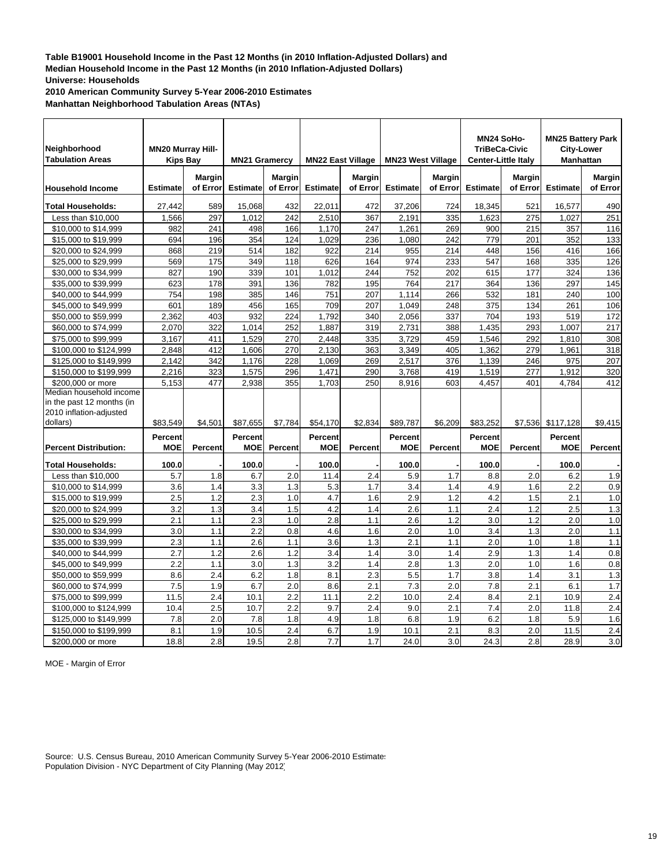**2010 American Community Survey 5-Year 2006-2010 Estimates**

**Manhattan Neighborhood Tabulation Areas (NTAs)**

| Neighborhood<br><b>Tabulation Areas</b>                                         |                 | <b>MN20 Murray Hill-</b><br><b>Kips Bay</b><br><b>MN21 Gramercy</b><br><b>Margin</b> |                 | Margin   | <b>MN22 East Village</b> | <b>Margin</b> | <b>MN23 West Village</b> | <b>Margin</b>  | MN24 SoHo-<br><b>TriBeCa-Civic</b><br><b>Center-Little Italy</b> | <b>Margin</b> | <b>MN25 Battery Park</b><br><b>City-Lower</b><br><b>Manhattan</b> | Margin   |
|---------------------------------------------------------------------------------|-----------------|--------------------------------------------------------------------------------------|-----------------|----------|--------------------------|---------------|--------------------------|----------------|------------------------------------------------------------------|---------------|-------------------------------------------------------------------|----------|
| <b>Household Income</b>                                                         | <b>Estimate</b> | of Error                                                                             | <b>Estimate</b> | of Error | <b>Estimate</b>          | of Error      | <b>Estimate</b>          | of Error       | <b>Estimate</b>                                                  | of Error      | <b>Estimate</b>                                                   | of Error |
| Total Households:                                                               | 27,442          | 589                                                                                  | 15,068          | 432      | 22,011                   | 472           | 37,206                   | 724            | 18,345                                                           | 521           | 16,577                                                            | 490      |
| Less than \$10,000                                                              | 1,566           | 297                                                                                  | 1,012           | 242      | 2,510                    | 367           | 2,191                    | 335            | 1,623                                                            | 275           | 1,027                                                             | 251      |
| \$10,000 to \$14,999                                                            | 982             | 241                                                                                  | 498             | 166      | 1,170                    | 247           | 1,261                    | 269            | 900                                                              | 215           | 357                                                               | 116      |
| \$15,000 to \$19,999                                                            | 694             | 196                                                                                  | 354             | 124      | 1,029                    | 236           | 1,080                    | 242            | 779                                                              | 201           | 352                                                               | 133      |
| \$20,000 to \$24,999                                                            | 868             | 219                                                                                  | 514             | 182      | 922                      | 214           | 955                      | 214            | 448                                                              | 156           | 416                                                               | 166      |
| \$25,000 to \$29,999                                                            | 569             | 175                                                                                  | 349             | 118      | 626                      | 164           | 974                      | 233            | 547                                                              | 168           | 335                                                               | 126      |
| \$30,000 to \$34,999                                                            | 827             | 190                                                                                  | 339             | 101      | 1,012                    | 244           | 752                      | 202            | 615                                                              | 177           | 324                                                               | 136      |
| \$35,000 to \$39,999                                                            | 623             | 178                                                                                  | 391             | 136      | 782                      | 195           | 764                      | 217            | 364                                                              | 136           | 297                                                               | 145      |
| \$40,000 to \$44,999                                                            | 754             | 198                                                                                  | 385             | 146      | 751                      | 207           | 1,114                    | 266            | 532                                                              | 181           | 240                                                               | 100      |
| \$45,000 to \$49,999                                                            | 601             | 189                                                                                  | 456             | 165      | 709                      | 207           | 1,049                    | 248            | 375                                                              | 134           | 261                                                               | 106      |
| \$50,000 to \$59,999                                                            | 2,362           | 403                                                                                  | 932             | 224      | 1,792                    | 340           | 2,056                    | 337            | 704                                                              | 193           | 519                                                               | 172      |
| \$60,000 to \$74,999                                                            | 2,070           | 322                                                                                  | 1,014           | 252      | 1,887                    | 319           | 2,731                    | 388            | 1,435                                                            | 293           | 1,007                                                             | 217      |
| \$75,000 to \$99,999                                                            | 3,167           | 411                                                                                  | 1,529           | 270      | 2,448                    | 335           | 3,729                    | 459            | 1,546                                                            | 292           | 1,810                                                             | 308      |
| \$100,000 to \$124,999                                                          | 2,848           | 412                                                                                  | 1,606           | 270      | 2,130                    | 363           | 3,349                    | 405            | 1,362                                                            | 279           | 1,961                                                             | 318      |
| \$125,000 to \$149,999                                                          | 2,142           | 342                                                                                  | 1,176           | 228      | 1,069                    | 269           | 2,517                    | 376            | 1,139                                                            | 246           | 975                                                               | 207      |
| \$150,000 to \$199,999                                                          | 2,216           | 323                                                                                  | 1,575           | 296      | 1,471                    | 290           | 3,768                    | 419            | 1,519                                                            | 277           | 1,912                                                             | 320      |
| \$200,000 or more                                                               | 5,153           | 477                                                                                  | 2,938           | 355      | 1,703                    | 250           | 8,916                    | 603            | 4,457                                                            | 401           | 4,784                                                             | 412      |
| Median household income<br>in the past 12 months (in<br>2010 inflation-adjusted |                 |                                                                                      |                 |          |                          |               |                          |                |                                                                  |               |                                                                   |          |
| dollars)                                                                        | \$83,549        | \$4.501                                                                              | \$87.655        | \$7,784  | \$54.170                 | \$2.834       | \$89.787                 | \$6,209        | \$83.252                                                         | \$7,536       | \$117,128                                                         | \$9,415  |
|                                                                                 | Percent         |                                                                                      | <b>Percent</b>  |          | Percent                  |               | Percent                  |                | Percent                                                          |               | Percent                                                           |          |
| <b>Percent Distribution:</b>                                                    | <b>MOE</b>      | <b>Percent</b>                                                                       | <b>MOE</b>      | Percent  | <b>MOE</b>               | Percent       | <b>MOE</b>               | <b>Percent</b> | <b>MOE</b>                                                       | Percent       | <b>MOE</b>                                                        | Percent  |
| <b>Total Households:</b>                                                        | 100.0           |                                                                                      | 100.0           |          | 100.0                    |               | 100.0                    |                | 100.0                                                            |               | 100.0                                                             |          |
| Less than \$10,000                                                              | 5.7             | 1.8                                                                                  | 6.7             | 2.0      | 11.4                     | 2.4           | 5.9                      | 1.7            | 8.8                                                              | 2.0           | 6.2                                                               | 1.9      |
| \$10,000 to \$14,999                                                            | 3.6             | 1.4                                                                                  | 3.3             | 1.3      | 5.3                      | 1.7           | 3.4                      | 1.4            | 4.9                                                              | 1.6           | 2.2                                                               | 0.9      |
| \$15,000 to \$19,999                                                            | 2.5             | 1.2                                                                                  | 2.3             | 1.0      | 4.7                      | 1.6           | 2.9                      | 1.2            | 4.2                                                              | 1.5           | 2.1                                                               | 1.0      |
| \$20,000 to \$24,999                                                            | 3.2             | 1.3                                                                                  | 3.4             | 1.5      | 4.2                      | 1.4           | 2.6                      | 1.1            | 2.4                                                              | 1.2           | 2.5                                                               | 1.3      |
| \$25,000 to \$29,999                                                            | 2.1             | 1.1                                                                                  | 2.3             | 1.0      | 2.8                      | 1.1           | 2.6                      | 1.2            | 3.0                                                              | 1.2           | 2.0                                                               | 1.0      |
| \$30,000 to \$34,999                                                            | 3.0             | 1.1                                                                                  | 2.2             | 0.8      | 4.6                      | 1.6           | 2.0                      | 1.0            | 3.4                                                              | 1.3           | 2.0                                                               | 1.1      |
| \$35,000 to \$39,999                                                            | 2.3             | 1.1                                                                                  | 2.6             | 1.1      | 3.6                      | 1.3           | 2.1                      | 1.1            | 2.0                                                              | 1.0           | 1.8                                                               | 1.1      |
| \$40,000 to \$44,999                                                            | 2.7             | 1.2                                                                                  | 2.6             | 1.2      | 3.4                      | 1.4           | 3.0                      | 1.4            | 2.9                                                              | 1.3           | 1.4                                                               | 0.8      |
| \$45,000 to \$49,999                                                            | 2.2             | 1.1                                                                                  | 3.0             | 1.3      | 3.2                      | 1.4           | 2.8                      | 1.3            | 2.0                                                              | 1.0           | 1.6                                                               | 0.8      |
| \$50,000 to \$59,999                                                            | 8.6             | 2.4                                                                                  | 6.2             | 1.8      | 8.1                      | 2.3           | 5.5                      | 1.7            | 3.8                                                              | 1.4           | 3.1                                                               | 1.3      |
| \$60,000 to \$74,999                                                            | 7.5             | 1.9                                                                                  | 6.7             | 2.0      | 8.6                      | 2.1           | $\overline{7.3}$         | 2.0            | 7.8                                                              | 2.1           | 6.1                                                               | 1.7      |
| \$75,000 to \$99,999                                                            | 11.5            | 2.4                                                                                  | 10.1            | 2.2      | 11.1                     | 2.2           | 10.0                     | 2.4            | 8.4                                                              | 2.1           | 10.9                                                              | 2.4      |
| \$100,000 to \$124,999                                                          | 10.4            | 2.5                                                                                  | 10.7            | 2.2      | 9.7                      | 2.4           | 9.0                      | 2.1            | 7.4                                                              | 2.0           | 11.8                                                              | 2.4      |
| \$125,000 to \$149,999                                                          | 7.8             | 2.0                                                                                  | 7.8             | 1.8      | 4.9                      | 1.8           | 6.8                      | 1.9            | 6.2                                                              | 1.8           | 5.9                                                               | 1.6      |
| \$150,000 to \$199,999                                                          | 8.1             | 1.9                                                                                  | 10.5            | 2.4      | 6.7                      | 1.9           | 10.1                     | 2.1            | 8.3                                                              | 2.0           | 11.5                                                              | 2.4      |
| \$200,000 or more                                                               | 18.8            | 2.8                                                                                  | 19.5            | 2.8      | 7.7                      | 1.7           | 24.0                     | 3.0            | 24.3                                                             | 2.8           | 28.9                                                              | 3.0      |

MOE - Margin of Error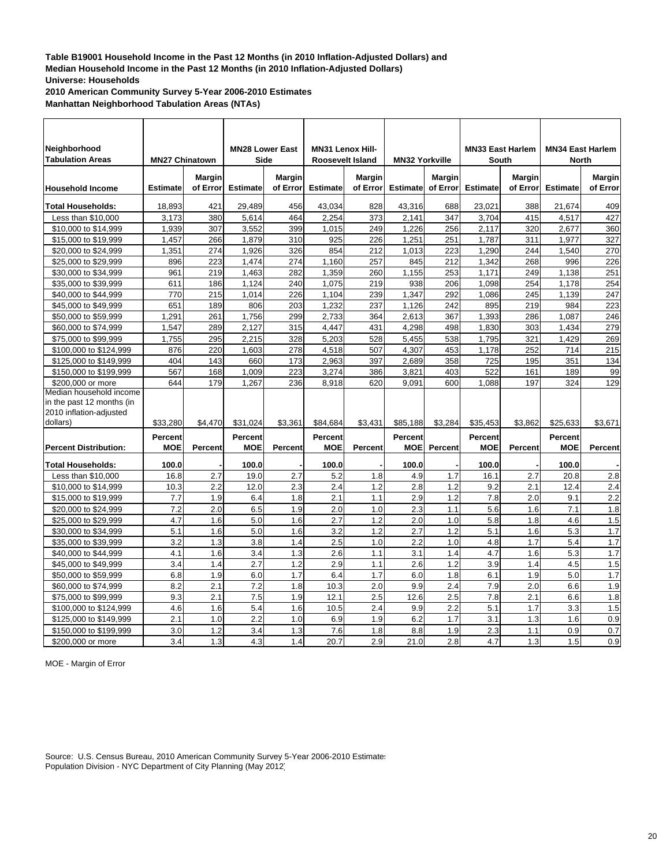**2010 American Community Survey 5-Year 2006-2010 Estimates**

**Manhattan Neighborhood Tabulation Areas (NTAs)**

| Neighborhood                        |                       |               | <b>MN28 Lower East</b> |               | <b>MN31 Lenox Hill-</b> |                |                       |               | <b>MN33 East Harlem</b> |                | <b>MN34 East Harlem</b> |               |
|-------------------------------------|-----------------------|---------------|------------------------|---------------|-------------------------|----------------|-----------------------|---------------|-------------------------|----------------|-------------------------|---------------|
| <b>Tabulation Areas</b>             | <b>MN27 Chinatown</b> |               | Side                   |               | Roosevelt Island        |                | <b>MN32 Yorkville</b> |               | South                   |                | <b>North</b>            |               |
|                                     |                       | <b>Margin</b> |                        | <b>Margin</b> |                         | <b>Margin</b>  |                       | <b>Margin</b> |                         | <b>Margin</b>  |                         | <b>Margin</b> |
| <b>Household Income</b>             | <b>Estimate</b>       | of Error      | <b>Estimate</b>        | of Error      | <b>Estimate</b>         | of Error       | <b>Estimate</b>       | of Error      | <b>Estimate</b>         | of Error       | <b>Estimate</b>         | of Error      |
| <b>Total Households:</b>            | 18,893                | 421           | 29,489                 | 456           | 43,034                  | 828            | 43,316                | 688           | 23,021                  | 388            | 21,674                  | 409           |
| Less than \$10,000                  | 3,173                 | 380           | 5,614                  | 464           | 2,254                   | 373            | 2,141                 | 347           | 3,704                   | 415            | 4,517                   | 427           |
| \$10,000 to \$14,999                | 1,939                 | 307           | 3,552                  | 399           | 1,015                   | 249            | 1,226                 | 256           | 2,117                   | 320            | 2,677                   | 360           |
| \$15,000 to \$19,999                | 1,457                 | 266           | 1,879                  | 310           | 925                     | 226            | 1,251                 | 251           | 1,787                   | 311            | 1,977                   | 327           |
| \$20,000 to \$24,999                | 1,351                 | 274           | 1,926                  | 326           | 854                     | 212            | 1,013                 | 223           | 1.290                   | 244            | 1.540                   | 270           |
| \$25,000 to \$29,999                | 896                   | 223           | 1,474                  | 274           | 1,160                   | 257            | 845                   | 212           | 1,342                   | 268            | 996                     | 226           |
| \$30,000 to \$34,999                | 961                   | 219           | 1,463                  | 282           | 1,359                   | 260            | 1,155                 | 253           | 1,171                   | 249            | 1,138                   | 251           |
| \$35,000 to \$39,999                | 611                   | 186           | 1,124                  | 240           | 1,075                   | 219            | 938                   | 206           | 1,098                   | 254            | 1,178                   | 254           |
| \$40,000 to \$44,999                | 770                   | 215           | 1,014                  | 226           | 1,104                   | 239            | 1,347                 | 292           | 1.086                   | 245            | 1,139                   | 247           |
| \$45,000 to \$49,999                | 651                   | 189           | 806                    | 203           | 1,232                   | 237            | 1,126                 | 242           | 895                     | 219            | 984                     | 223           |
| \$50,000 to \$59,999                | 1,291                 | 261           | 1,756                  | 299           | 2,733                   | 364            | 2,613                 | 367           | 1,393                   | 286            | 1,087                   | 246           |
| \$60,000 to \$74,999                | 1,547                 | 289           | 2,127                  | 315           | 4,447                   | 431            | 4,298                 | 498           | 1,830                   | 303            | 1,434                   | 279           |
| \$75,000 to \$99,999                | 1,755                 | 295           | 2,215                  | 328           | 5,203                   | 528            | 5,455                 | 538           | 1,795                   | 321            | 1,429                   | 269           |
| \$100,000 to \$124,999              | 876                   | 220           | 1,603                  | 278           | 4,518                   | 507            | 4,307                 | 453           | 1,178                   | 252            | 714                     | 215           |
| \$125,000 to \$149,999              | 404                   | 143           | 660                    | 173           | 2,963                   | 397            | 2,689                 | 358           | 725                     | 195            | 351                     | 134           |
| \$150,000 to \$199,999              | 567                   | 168           | 1,009                  | 223           | 3,274                   | 386            | 3,821                 | 403           | 522                     | 161            | 189                     | 99            |
| \$200,000 or more                   | 644                   | 179           | 1,267                  | 236           | 8,918                   | 620            | 9,091                 | 600           | 1,088                   | 197            | 324                     | 129           |
| Median household income             |                       |               |                        |               |                         |                |                       |               |                         |                |                         |               |
| in the past 12 months (in           |                       |               |                        |               |                         |                |                       |               |                         |                |                         |               |
| 2010 inflation-adjusted<br>dollars) | \$33,280              | \$4.470       | \$31.024               | \$3,361       | \$84.684                | \$3,431        | \$85,188              | \$3.284       | \$35.453                | \$3,862        | \$25.633                | \$3,671       |
|                                     |                       |               |                        |               |                         |                |                       |               |                         |                |                         |               |
|                                     | Percent               |               | <b>Percent</b>         |               | <b>Percent</b>          |                | <b>Percent</b>        |               | <b>Percent</b>          |                | Percent                 |               |
| <b>Percent Distribution:</b>        | <b>MOE</b>            | Percent       | <b>MOE</b>             | Percent       | <b>MOE</b>              | <b>Percent</b> | <b>MOE</b>            | Percent       | <b>MOE</b>              | <b>Percent</b> | <b>MOE</b>              | Percent       |
| Total Households:                   | 100.0                 |               | 100.0                  |               | 100.0                   |                | 100.0                 |               | 100.0                   |                | 100.0                   |               |
| Less than \$10,000                  | 16.8                  | 2.7           | 19.0                   | 2.7           | 5.2                     | 1.8            | 4.9                   | 1.7           | 16.1                    | 2.7            | 20.8                    | 2.8           |
| \$10,000 to \$14,999                | 10.3                  | 2.2           | 12.0                   | 2.3           | 2.4                     | 1.2            | 2.8                   | 1.2           | 9.2                     | 2.1            | 12.4                    | 2.4           |
| \$15,000 to \$19,999                | 7.7                   | 1.9           | 6.4                    | 1.8           | 2.1                     | 1.1            | 2.9                   | 1.2           | 7.8                     | 2.0            | 9.1                     | 2.2           |
| \$20,000 to \$24,999                | 7.2                   | 2.0           | 6.5                    | 1.9           | 2.0                     | 1.0            | 2.3                   | 1.1           | 5.6                     | 1.6            | 7.1                     | 1.8           |
| \$25,000 to \$29,999                | 4.7                   | 1.6           | 5.0                    | 1.6           | 2.7                     | 1.2            | 2.0                   | 1.0           | 5.8                     | 1.8            | 4.6                     | 1.5           |
| \$30,000 to \$34,999                | 5.1                   | 1.6           | 5.0                    | 1.6           | 3.2                     | 1.2            | 2.7                   | 1.2           | 5.1                     | 1.6            | 5.3                     | 1.7           |
| \$35,000 to \$39,999                | 3.2                   | 1.3           | 3.8                    | 1.4           | 2.5                     | 1.0            | 2.2                   | 1.0           | 4.8                     | 1.7            | 5.4                     | 1.7           |
| \$40,000 to \$44,999                | 4.1                   | 1.6           | 3.4                    | 1.3           | 2.6                     | 1.1            | 3.1                   | 1.4           | 4.7                     | 1.6            | 5.3                     | 1.7           |
| \$45,000 to \$49,999                | 3.4                   | 1.4           | 2.7                    | 1.2           | 2.9                     | 1.1            | 2.6                   | 1.2           | 3.9                     | 1.4            | 4.5                     | 1.5           |
| \$50,000 to \$59,999                | 6.8                   | 1.9           | 6.0                    | 1.7           | 6.4                     | 1.7            | 6.0                   | 1.8           | 6.1                     | 1.9            | 5.0                     | 1.7           |
| \$60,000 to \$74,999                | 8.2                   | 2.1           | 7.2                    | 1.8           | 10.3                    | 2.0            | 9.9                   | 2.4           | 7.9                     | 2.0            | 6.6                     | 1.9           |
| \$75,000 to \$99,999                | 9.3                   | 2.1           | 7.5                    | 1.9           | 12.1                    | 2.5            | 12.6                  | 2.5           | 7.8                     | 2.1            | 6.6                     | 1.8           |
| \$100,000 to \$124,999              | 4.6                   | 1.6           | 5.4                    | 1.6           | 10.5                    | 2.4            | 9.9                   | 2.2           | 5.1                     | 1.7            | 3.3                     | 1.5           |
| \$125,000 to \$149,999              | 2.1                   | 1.0           | 2.2                    | 1.0           | 6.9                     | 1.9            | 6.2                   | 1.7           | 3.1                     | 1.3            | 1.6                     | 0.9           |
| \$150,000 to \$199,999              | 3.0                   | 1.2           | 3.4                    | 1.3           | 7.6                     | 1.8            | 8.8                   | 1.9           | 2.3                     | 1.1            | 0.9                     | 0.7           |
| \$200,000 or more                   | 3.4                   | 1.3           | 4.3                    | 1.4           | 20.7                    | 2.9            | 21.0                  | 2.8           | 4.7                     | 1.3            | 1.5                     | 0.9           |

MOE - Margin of Error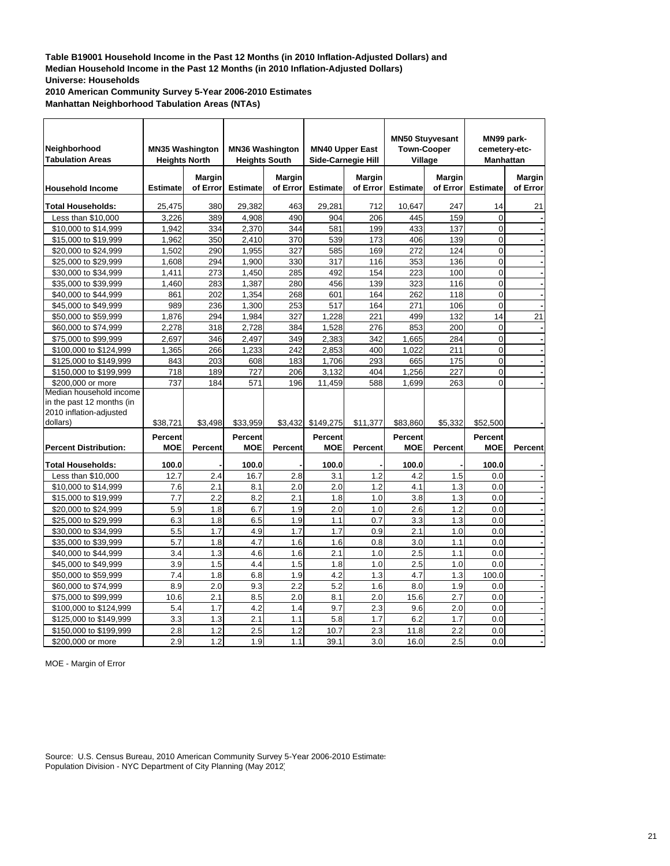**2010 American Community Survey 5-Year 2006-2010 Estimates**

**Manhattan Neighborhood Tabulation Areas (NTAs)**

| Neighborhood<br><b>Tabulation Areas</b> | <b>MN35 Washington</b><br><b>Heights North</b> |                           | <b>Heights South</b> | <b>MN36 Washington</b> | <b>Side-Carnegie Hill</b> | <b>MN40 Upper East</b>    |                 | <b>MN50 Stuyvesant</b><br><b>Town-Cooper</b><br>Village | MN99 park-<br>cemetery-etc-<br><b>Manhattan</b> |                           |
|-----------------------------------------|------------------------------------------------|---------------------------|----------------------|------------------------|---------------------------|---------------------------|-----------------|---------------------------------------------------------|-------------------------------------------------|---------------------------|
| <b>Household Income</b>                 | <b>Estimate</b>                                | <b>Margin</b><br>of Error | <b>Estimate</b>      | Margin<br>of Errorl    | <b>Estimate</b>           | <b>Margin</b><br>of Error | <b>Estimate</b> | Margin<br>of Error                                      | <b>Estimate</b>                                 | <b>Margin</b><br>of Error |
| <b>Total Households:</b>                | 25,475                                         | 380                       | 29,382               | 463                    | 29,281                    | 712                       | 10.647          | 247                                                     | 14                                              | 21                        |
| Less than \$10,000                      | 3,226                                          | 389                       | 4,908                | 490                    | 904                       | 206                       | 445             | 159                                                     | $\Omega$                                        |                           |
| \$10,000 to \$14,999                    | 1,942                                          | 334                       | 2,370                | 344                    | 581                       | 199                       | 433             | 137                                                     | 0                                               |                           |
| \$15,000 to \$19,999                    | 1,962                                          | 350                       | 2,410                | 370                    | 539                       | 173                       | 406             | 139                                                     | 0                                               |                           |
| \$20,000 to \$24,999                    | 1,502                                          | 290                       | 1,955                | 327                    | 585                       | 169                       | 272             | 124                                                     | 0                                               |                           |
| \$25,000 to \$29,999                    | 1,608                                          | 294                       | 1,900                | 330                    | 317                       | 116                       | 353             | 136                                                     | $\overline{0}$                                  |                           |
| \$30,000 to \$34,999                    | 1,411                                          | 273                       | 1,450                | 285                    | 492                       | 154                       | 223             | 100                                                     | $\overline{0}$                                  |                           |
| \$35,000 to \$39,999                    | 1,460                                          | 283                       | 1,387                | 280                    | 456                       | 139                       | 323             | 116                                                     | $\overline{0}$                                  |                           |
| \$40,000 to \$44,999                    | 861                                            | 202                       | 1,354                | 268                    | 601                       | 164                       | 262             | 118                                                     | 0                                               |                           |
| \$45,000 to \$49,999                    | 989                                            | 236                       | 1,300                | 253                    | 517                       | 164                       | 271             | 106                                                     | $\overline{0}$                                  |                           |
| \$50,000 to \$59,999                    | 1,876                                          | 294                       | 1,984                | 327                    | 1,228                     | 221                       | 499             | 132                                                     | 14                                              | 21                        |
| \$60,000 to \$74,999                    | 2,278                                          | 318                       | 2,728                | 384                    | 1,528                     | 276                       | 853             | 200                                                     | $\overline{0}$                                  |                           |
| \$75,000 to \$99,999                    | 2,697                                          | 346                       | 2,497                | 349                    | 2,383                     | 342                       | 1,665           | 284                                                     | 0                                               |                           |
| \$100,000 to \$124,999                  | 1,365                                          | 266                       | 1,233                | 242                    | 2,853                     | 400                       | 1,022           | 211                                                     | $\overline{0}$                                  |                           |
| \$125,000 to \$149,999                  | 843                                            | 203                       | 608                  | 183                    | 1,706                     | 293                       | 665             | 175                                                     | $\overline{0}$                                  |                           |
| \$150,000 to \$199,999                  | 718                                            | 189                       | 727                  | 206                    | 3,132                     | 404                       | 1,256           | 227                                                     | $\Omega$                                        |                           |
| \$200,000 or more                       | 737                                            | 184                       | 571                  | 196                    | 11,459                    | 588                       | 1.699           | 263                                                     | $\overline{O}$                                  |                           |
| Median household income                 |                                                |                           |                      |                        |                           |                           |                 |                                                         |                                                 |                           |
| in the past 12 months (in               |                                                |                           |                      |                        |                           |                           |                 |                                                         |                                                 |                           |
| 2010 inflation-adjusted                 |                                                |                           |                      |                        |                           |                           |                 |                                                         |                                                 |                           |
| dollars)                                | \$38,721                                       | \$3,498                   | \$33,959             | \$3,432                | \$149,275                 | \$11,377                  | \$83,860        | \$5,332                                                 | \$52,500                                        |                           |
|                                         | Percent                                        |                           | <b>Percent</b>       |                        | <b>Percent</b>            |                           | <b>Percent</b>  |                                                         | <b>Percent</b>                                  |                           |
| <b>Percent Distribution:</b>            | <b>MOE</b>                                     | <b>Percent</b>            | <b>MOE</b>           | <b>Percent</b>         | MOE                       | Percent                   | MOE             | Percent                                                 | MOE                                             | Percent                   |
|                                         |                                                |                           |                      |                        |                           |                           |                 |                                                         |                                                 |                           |
| <b>Total Households:</b>                | 100.0                                          |                           | 100.0                |                        | 100.0                     |                           | 100.0           |                                                         | 100.0                                           |                           |
| Less than \$10,000                      | 12.7                                           | 2.4                       | 16.7                 | 2.8                    | 3.1                       | 1.2                       | 4.2             | 1.5                                                     | 0.0                                             |                           |
| \$10,000 to \$14,999                    | 7.6                                            | 2.1                       | 8.1                  | 2.0                    | 2.0                       | 1.2                       | 4.1             | 1.3                                                     | 0.0                                             |                           |
| \$15,000 to \$19,999                    | 7.7                                            | 2.2                       | 8.2                  | 2.1                    | 1.8                       | 1.0                       | 3.8             | 1.3                                                     | 0.0                                             |                           |
| \$20,000 to \$24,999                    | 5.9                                            | 1.8                       | 6.7                  | 1.9                    | 2.0                       | 1.0                       | 2.6             | 1.2                                                     | 0.0                                             |                           |
| \$25,000 to \$29,999                    | 6.3                                            | 1.8                       | 6.5                  | 1.9                    | 1.1                       | 0.7                       | 3.3             | 1.3                                                     | 0.0                                             |                           |
| \$30,000 to \$34,999                    | 5.5                                            | 1.7                       | 4.9                  | 1.7                    | 1.7                       | 0.9                       | 2.1             | 1.0                                                     | 0.0                                             |                           |
| \$35,000 to \$39,999                    | 5.7                                            | 1.8                       | 4.7                  | 1.6                    | 1.6                       | 0.8                       | 3.0             | 1.1                                                     | 0.0                                             |                           |
| \$40,000 to \$44,999                    | 3.4                                            | 1.3                       | 4.6                  | 1.6<br>1.5             | 2.1                       | 1.0                       | 2.5             | 1.1                                                     | 0.0                                             |                           |
| \$45,000 to \$49,999                    | 3.9<br>7.4                                     | 1.5                       | 4.4                  |                        | 1.8<br>4.2                | 1.0                       | 2.5<br>4.7      | 1.0                                                     | 0.0                                             |                           |
| \$50,000 to \$59,999                    |                                                | 1.8<br>2.0                | 6.8                  | 1.9<br>2.2             | 5.2                       | 1.3<br>1.6                |                 | 1.3                                                     | 100.0<br>0.0                                    |                           |
| \$60,000 to \$74,999                    | 8.9                                            |                           | 9.3                  |                        |                           | $\overline{2.0}$          | 8.0             | 1.9<br>2.7                                              |                                                 |                           |
| \$75,000 to \$99,999                    | 10.6                                           | 2.1                       | 8.5                  | 2.0                    | 8.1                       |                           | 15.6            |                                                         | 0.0                                             |                           |
| \$100,000 to \$124,999                  | 5.4                                            | 1.7                       | 4.2                  | 1.4                    | 9.7                       | 2.3                       | 9.6             | 2.0                                                     | 0.0                                             |                           |
| \$125,000 to \$149,999                  | 3.3<br>2.8                                     | 1.3<br>1.2                | 2.1<br>2.5           | 1.1<br>1.2             | 5.8<br>10.7               | 1.7<br>2.3                | 6.2<br>11.8     | 1.7<br>2.2                                              | 0.0<br>0.0                                      |                           |
| \$150,000 to \$199,999                  | 2.9                                            | 1.2                       | 1.9                  | 1.1                    | 39.1                      | 3.0                       | 16.0            | 2.5                                                     | 0.0                                             |                           |
| \$200,000 or more                       |                                                |                           |                      |                        |                           |                           |                 |                                                         |                                                 |                           |

MOE - Margin of Error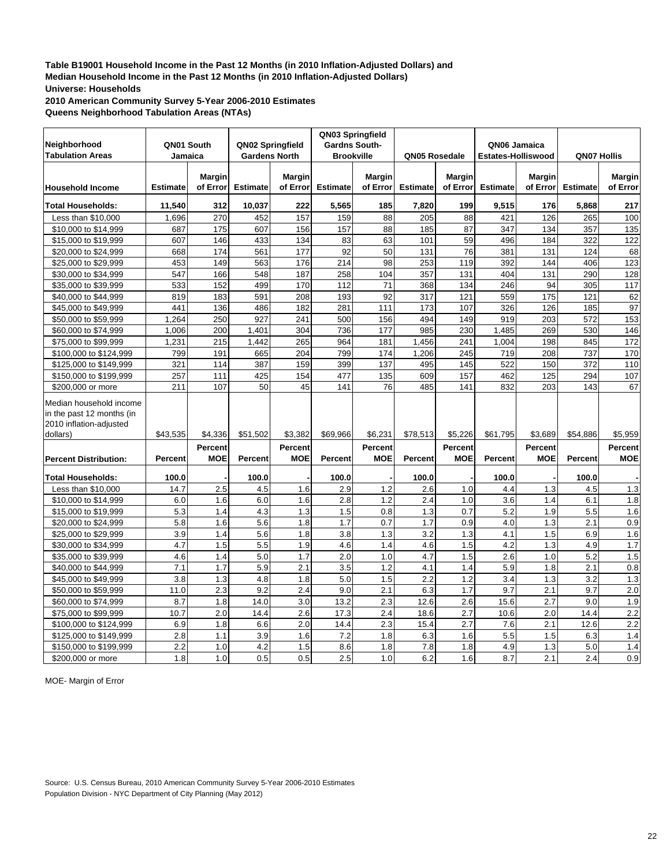**2010 American Community Survey 5-Year 2006-2010 Estimates Queens Neighborhood Tabulation Areas (NTAs)**

| Neighborhood                                                                                | QN01 South      |                       | QN02 Springfield     |                           | QN03 Springfield<br><b>Gardns South-</b> |                              |                 |                           | QN06 Jamaica              |                       |                 |                              |
|---------------------------------------------------------------------------------------------|-----------------|-----------------------|----------------------|---------------------------|------------------------------------------|------------------------------|-----------------|---------------------------|---------------------------|-----------------------|-----------------|------------------------------|
| <b>Tabulation Areas</b>                                                                     | Jamaica         |                       | <b>Gardens North</b> |                           | <b>Brookville</b>                        |                              | QN05 Rosedale   |                           | <b>Estates-Holliswood</b> |                       | QN07 Hollis     |                              |
| <b>Household Income</b>                                                                     | <b>Estimate</b> | Margin<br>of Error    | <b>Estimate</b>      | <b>Margin</b><br>of Error | <b>Estimate</b>                          | Margin<br>of Error           | <b>Estimate</b> | <b>Margin</b><br>of Error | <b>Estimate</b>           | Margin<br>of Error    | <b>Estimate</b> | Margin<br>of Error           |
| <b>Total Households:</b>                                                                    | 11,540          | 312                   | 10,037               | 222                       | 5,565                                    | 185                          | 7,820           | 199                       | 9,515                     | 176                   | 5,868           | 217                          |
| Less than \$10,000                                                                          | 1,696           | 270                   | 452                  | 157                       | 159                                      | 88                           | 205             | 88                        | 421                       | 126                   | 265             | 100                          |
| \$10,000 to \$14,999                                                                        | 687             | 175                   | 607                  | 156                       | 157                                      | 88                           | 185             | 87                        | 347                       | 134                   | 357             | 135                          |
| \$15,000 to \$19,999                                                                        | 607             | 146                   | 433                  | 134                       | 83                                       | 63                           | 101             | 59                        | 496                       | 184                   | 322             | 122                          |
| \$20,000 to \$24,999                                                                        | 668             | 174                   | 561                  | 177                       | 92                                       | 50                           | 131             | 76                        | 381                       | 131                   | 124             | 68                           |
| \$25,000 to \$29,999                                                                        | 453             | 149                   | 563                  | 176                       | 214                                      | 98                           | 253             | 119                       | 392                       | 144                   | 406             | 123                          |
| \$30,000 to \$34,999                                                                        | 547             | 166                   | 548                  | 187                       | 258                                      | 104                          | 357             | 131                       | 404                       | 131                   | 290             | 128                          |
| \$35,000 to \$39,999                                                                        | 533             | 152                   | 499                  | 170                       | 112                                      | 71                           | 368             | 134                       | 246                       | 94                    | 305             | 117                          |
| \$40,000 to \$44,999                                                                        | 819             | 183                   | 591                  | 208                       | 193                                      | 92                           | 317             | 121                       | 559                       | 175                   | 121             | 62                           |
| \$45,000 to \$49,999                                                                        | 441             | 136                   | 486                  | 182                       | 281                                      | 111                          | 173             | 107                       | 326                       | 126                   | 185             | 97                           |
| \$50,000 to \$59,999                                                                        | 1,264           | 250                   | 927                  | 241                       | 500                                      | 156                          | 494             | 149                       | 919                       | 203                   | 572             | 153                          |
| \$60,000 to \$74,999                                                                        | 1,006           | 200                   | 1,401                | 304                       | 736                                      | 177                          | 985             | 230                       | 1,485                     | 269                   | 530             | 146                          |
| \$75,000 to \$99,999                                                                        | 1,231           | 215                   | 1,442                | 265                       | 964                                      | 181                          | 1,456           | 241                       | 1,004                     | 198                   | 845             | 172                          |
| \$100,000 to \$124,999                                                                      | 799             | 191                   | 665                  | 204                       | 799                                      | 174                          | 1,206           | 245                       | 719                       | 208                   | 737             | 170                          |
| \$125,000 to \$149,999                                                                      | 321             | 114                   | 387                  | 159                       | 399                                      | 137                          | 495             | 145                       | 522                       | 150                   | 372             | 110                          |
| \$150,000 to \$199,999<br>\$200,000 or more                                                 | 257<br>211      | 111<br>107            | 425<br>50            | 154<br>45                 | 477<br>141                               | 135<br>76                    | 609<br>485      | 157<br>141                | 462<br>832                | 125<br>203            | 294<br>143      | 107<br>67                    |
| Median household income<br>in the past 12 months (in<br>2010 inflation-adjusted<br>dollars) | \$43,535        | \$4,336               | \$51,502             | \$3,382                   | \$69,966                                 | \$6,231                      | \$78,513        | \$5,226                   | \$61,795                  | \$3,689               | \$54,886        | \$5,959                      |
|                                                                                             |                 |                       |                      |                           |                                          |                              |                 |                           |                           |                       |                 |                              |
| <b>Percent Distribution:</b>                                                                | Percent         | Percent<br><b>MOE</b> | <b>Percent</b>       | Percent<br><b>MOE</b>     | Percent                                  | <b>Percent</b><br><b>MOE</b> | <b>Percent</b>  | Percent<br><b>MOE</b>     | Percent                   | <b>Percent</b><br>MOE | <b>Percent</b>  | <b>Percent</b><br><b>MOE</b> |
| <b>Total Households:</b>                                                                    | 100.0           |                       | 100.0                |                           | 100.0                                    |                              | 100.0           |                           | 100.0                     |                       | 100.0           |                              |
| Less than \$10,000                                                                          | 14.7            | 2.5                   | 4.5                  | 1.6                       | 2.9                                      | 1.2                          | 2.6             | 1.0                       | 4.4                       | 1.3                   | 4.5             | 1.3                          |
| \$10,000 to \$14,999                                                                        | 6.0             | 1.6                   | 6.0                  | 1.6                       | 2.8                                      | 1.2                          | 2.4             | 1.0                       | 3.6                       | 1.4                   | 6.1             | 1.8                          |
| \$15,000 to \$19,999                                                                        | 5.3             | 1.4                   | 4.3                  | 1.3                       | 1.5                                      | 0.8                          | 1.3             | 0.7                       | 5.2                       | 1.9                   | 5.5             | 1.6                          |
| \$20,000 to \$24,999                                                                        | 5.8             | 1.6                   | 5.6                  | 1.8                       | 1.7                                      | 0.7                          | 1.7             | 0.9                       | 4.0                       | 1.3                   | 2.1             | 0.9                          |
| \$25,000 to \$29,999                                                                        | 3.9             | 1.4                   | 5.6                  | 1.8                       | 3.8                                      | 1.3                          | 3.2             | 1.3                       | 4.1                       | 1.5                   | 6.9             | 1.6                          |
| \$30,000 to \$34,999                                                                        | 4.7             | 1.5                   | 5.5                  | 1.9                       | 4.6                                      | 1.4                          | 4.6             | 1.5                       | 4.2                       | 1.3                   | 4.9             | 1.7                          |
| \$35,000 to \$39,999                                                                        | 4.6             | 1.4                   | 5.0                  | 1.7                       | 2.0                                      | 1.0                          | 4.7             | 1.5                       | 2.6                       | 1.0                   | 5.2             | 1.5                          |
| \$40,000 to \$44,999                                                                        | 7.1             | 1.7                   | 5.9                  | 2.1                       | 3.5                                      | 1.2                          | 4.1             | 1.4                       | 5.9                       | 1.8                   | 2.1             | 0.8                          |
| \$45,000 to \$49,999                                                                        | 3.8             | 1.3                   | 4.8                  | 1.8                       | 5.0                                      | 1.5                          | 2.2             | 1.2                       | 3.4                       | 1.3                   | 3.2             | 1.3                          |
| \$50,000 to \$59,999                                                                        | 11.0            | 2.3                   | 9.2                  | 2.4                       | 9.0                                      | 2.1                          | 6.3             | 1.7                       | 9.7                       | 2.1                   | 9.7             | 2.0                          |
| \$60,000 to \$74,999                                                                        | 8.7             | 1.8                   | 14.0                 | 3.0                       | 13.2                                     | 2.3                          | 12.6            | 2.6                       | 15.6                      | 2.7                   | 9.0             | 1.9                          |
| \$75,000 to \$99,999                                                                        | 10.7            | 2.0                   | 14.4                 | 2.6                       | 17.3                                     | 2.4                          | 18.6            | 2.7                       | 10.6                      | 2.0                   | 14.4            | 2.2                          |
| \$100,000 to \$124,999                                                                      | 6.9             | 1.8                   | 6.6                  | 2.0                       | 14.4                                     | 2.3                          | 15.4            | 2.7                       | 7.6                       | 2.1                   | 12.6            | 2.2                          |
| \$125,000 to \$149,999                                                                      | 2.8             | 1.1                   | 3.9                  | 1.6                       | 7.2                                      | 1.8                          | 6.3             | 1.6                       | 5.5                       | 1.5                   | 6.3             | 1.4                          |
| \$150,000 to \$199,999                                                                      | 2.2<br>1.8      | 1.0<br>1.0            | 4.2<br>0.5           | 1.5<br>0.5                | 8.6<br>2.5                               | 1.8<br>1.0                   | 7.8<br>6.2      | 1.8<br>1.6                | 4.9<br>8.7                | 1.3<br>2.1            | 5.0<br>2.4      | 1.4<br>0.9                   |
| \$200,000 or more                                                                           |                 |                       |                      |                           |                                          |                              |                 |                           |                           |                       |                 |                              |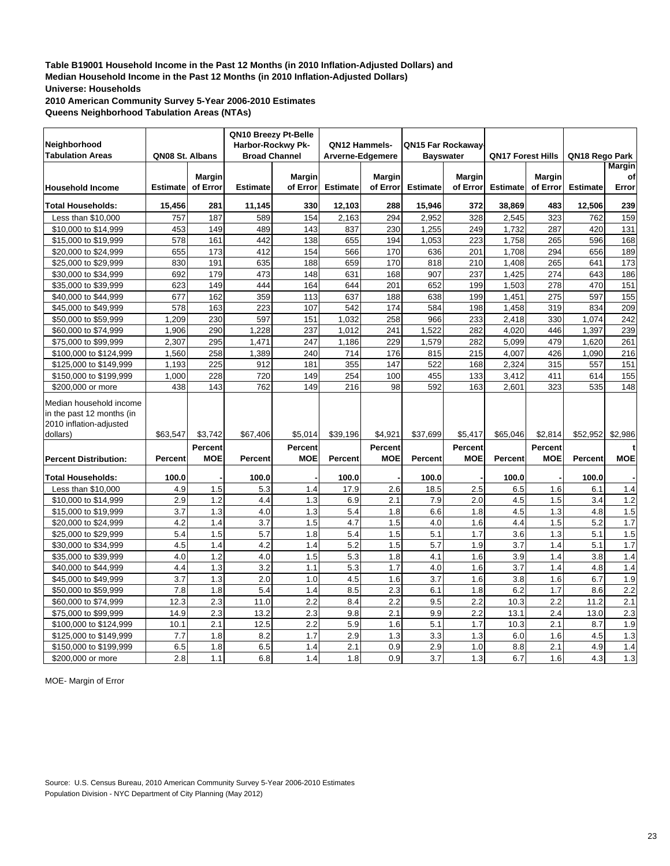**2010 American Community Survey 5-Year 2006-2010 Estimates Queens Neighborhood Tabulation Areas (NTAs)**

|                                                                                 |                 |               | QN10 Breezy Pt-Belle |                |                  |                |                   |               |                          |                |                 |                  |
|---------------------------------------------------------------------------------|-----------------|---------------|----------------------|----------------|------------------|----------------|-------------------|---------------|--------------------------|----------------|-----------------|------------------|
| Neighborhood                                                                    |                 |               | Harbor-Rockwy Pk-    |                | QN12 Hammels-    |                | QN15 Far Rockaway |               |                          |                |                 |                  |
| <b>Tabulation Areas</b>                                                         | QN08 St. Albans |               | <b>Broad Channel</b> |                | Arverne-Edgemere |                | <b>Bayswater</b>  |               | <b>QN17 Forest Hills</b> |                | QN18 Rego Park  |                  |
|                                                                                 |                 |               |                      |                |                  |                |                   |               |                          |                |                 | <b>Margin</b>    |
|                                                                                 |                 | <b>Margin</b> |                      | <b>Margin</b>  |                  | <b>Margin</b>  |                   | <b>Margin</b> |                          | <b>Margin</b>  |                 | of               |
| <b>Household Income</b>                                                         | <b>Estimate</b> | of Error      | <b>Estimate</b>      | of Error       | <b>Estimate</b>  | of Error       | <b>Estimate</b>   | of Error      | <b>Estimate</b>          | of Error       | <b>Estimate</b> | Error            |
| <b>Total Households:</b>                                                        | 15,456          | 281           | 11,145               | 330            | 12,103           | 288            | 15,946            | 372           | 38,869                   | 483            | 12,506          | 239              |
| Less than \$10,000                                                              | 757             | 187           | 589                  | 154            | 2,163            | 294            | 2,952             | 328           | 2,545                    | 323            | 762             | 159              |
| \$10,000 to \$14,999                                                            | 453             | 149           | 489                  | 143            | 837              | 230            | 1,255             | 249           | 1,732                    | 287            | 420             | 131              |
| \$15,000 to \$19,999                                                            | 578             | 161           | 442                  | 138            | 655              | 194            | 1,053             | 223           | 1,758                    | 265            | 596             | 168              |
| \$20,000 to \$24,999                                                            | 655             | 173           | 412                  | 154            | 566              | 170            | 636               | 201           | 1,708                    | 294            | 656             | 189              |
| \$25,000 to \$29,999                                                            | 830             | 191           | 635                  | 188            | 659              | 170            | 818               | 210           | 1.408                    | 265            | 641             | 173              |
| \$30,000 to \$34,999                                                            | 692             | 179           | 473                  | 148            | 631              | 168            | 907               | 237           | 1,425                    | 274            | 643             | 186              |
| \$35,000 to \$39,999                                                            | 623             | 149           | 444                  | 164            | 644              | 201            | 652               | 199           | 1,503                    | 278            | 470             | 151              |
| \$40,000 to \$44,999                                                            | 677             | 162           | 359                  | 113            | 637              | 188            | 638               | 199           | 1,451                    | 275            | 597             | 155              |
| \$45,000 to \$49,999                                                            | 578             | 163           | 223                  | 107            | 542              | 174            | 584               | 198           | 1,458                    | 319            | 834             | 209              |
| \$50,000 to \$59,999                                                            | 1,209           | 230           | 597                  | 151            | 1,032            | 258            | 966               | 233           | 2,418                    | 330            | 1,074           | 242              |
| \$60,000 to \$74,999                                                            | 1,906           | 290           | 1,228                | 237            | 1,012            | 241            | 1,522             | 282           | 4,020                    | 446            | 1,397           | 239              |
| \$75,000 to \$99,999                                                            | 2,307           | 295           | 1,471                | 247            | 1,186            | 229            | 1,579             | 282           | 5,099                    | 479            | 1,620           | 261              |
| \$100,000 to \$124,999                                                          | 1,560           | 258           | 1,389                | 240            | 714              | 176            | 815               | 215           | 4,007                    | 426            | 1,090           | 216              |
| \$125,000 to \$149,999                                                          | 1,193           | 225           | 912                  | 181            | 355              | 147            | 522               | 168           | 2,324                    | 315            | 557             | 151              |
| \$150,000 to \$199,999                                                          | 1,000           | 228           | 720                  | 149            | 254              | 100            | 455               | 133           | 3,412                    | 411            | 614             | 155              |
| \$200,000 or more                                                               | 438             | 143           | 762                  | 149            | 216              | 98             | 592               | 163           | 2,601                    | 323            | 535             | 148              |
| Median household income<br>in the past 12 months (in<br>2010 inflation-adjusted |                 |               |                      |                |                  |                |                   |               |                          |                |                 |                  |
| dollars)                                                                        | \$63,547        | \$3,742       | \$67,406             | \$5,014        | \$39,196         | \$4,921        | \$37,699          | \$5,417       | \$65,046                 | \$2,814        | \$52,952        | \$2,986          |
|                                                                                 |                 | Percent       |                      | <b>Percent</b> |                  | <b>Percent</b> |                   | Percent       |                          | <b>Percent</b> |                 |                  |
| <b>Percent Distribution:</b>                                                    | <b>Percent</b>  | <b>MOE</b>    | Percent              | <b>MOE</b>     | Percent          | <b>MOE</b>     | <b>Percent</b>    | <b>MOE</b>    | Percent                  | <b>MOE</b>     | Percent         | <b>MOE</b>       |
| <b>Total Households:</b>                                                        | 100.0           |               | 100.0                |                | 100.0            |                | 100.0             |               | 100.0                    |                | 100.0           |                  |
| Less than \$10,000                                                              | 4.9             | 1.5           | 5.3                  | 1.4            | 17.9             | 2.6            | 18.5              | 2.5           | 6.5                      | 1.6            | 6.1             | 1.4              |
| \$10,000 to \$14,999                                                            | 2.9             | 1.2           | 4.4                  | 1.3            | 6.9              | 2.1            | 7.9               | 2.0           | 4.5                      | 1.5            | 3.4             | 1.2              |
| \$15,000 to \$19,999                                                            | 3.7             | 1.3           | 4.0                  | 1.3            | 5.4              | 1.8            | 6.6               | 1.8           | 4.5                      | 1.3            | 4.8             | 1.5              |
| \$20,000 to \$24,999                                                            | 4.2             | 1.4           | 3.7                  | 1.5            | 4.7              | 1.5            | 4.0               | 1.6           | 4.4                      | 1.5            | 5.2             | 1.7              |
| \$25,000 to \$29,999                                                            | 5.4             | 1.5           | 5.7                  | 1.8            | 5.4              | 1.5            | 5.1               | 1.7           | 3.6                      | 1.3            | 5.1             | 1.5              |
| \$30,000 to \$34,999                                                            | 4.5             | 1.4           | 4.2                  | 1.4            | 5.2              | 1.5            | 5.7               | 1.9           | 3.7                      | 1.4            | 5.1             | 1.7              |
| \$35,000 to \$39,999                                                            | 4.0             | 1.2           | 4.0                  | 1.5            | 5.3              | 1.8            | 4.1               | 1.6           | 3.9                      | 1.4            | 3.8             | 1.4              |
| \$40,000 to \$44,999                                                            | 4.4             | 1.3           | 3.2                  | 1.1            | 5.3              | 1.7            | 4.0               | 1.6           | 3.7                      | 1.4            | 4.8             | 1.4              |
| \$45,000 to \$49,999                                                            | 3.7             | 1.3           | 2.0                  | 1.0            | 4.5              | 1.6            | 3.7               | 1.6           | 3.8                      | 1.6            | 6.7             | 1.9              |
| \$50,000 to \$59,999                                                            | 7.8             | 1.8           | 5.4                  | 1.4            | 8.5              | 2.3            | 6.1               | 1.8           | 6.2                      | 1.7            | 8.6             | $\overline{2.2}$ |
| \$60,000 to \$74,999                                                            | 12.3            | 2.3           | 11.0                 | 2.2            | 8.4              | 2.2            | 9.5               | 2.2           | 10.3                     | 2.2            | 11.2            | 2.1              |
| \$75,000 to \$99,999                                                            | 14.9            | 2.3           | 13.2                 | 2.3            | 9.8              | 2.1            | 9.9               | 2.2           | 13.1                     | 2.4            | 13.0            | 2.3              |
| \$100,000 to \$124,999                                                          | 10.1            | 2.1           | 12.5                 | 2.2            | 5.9              | 1.6            | 5.1               | 1.7           | 10.3                     | 2.1            | 8.7             | 1.9              |
| \$125,000 to \$149,999                                                          | 7.7             | 1.8           | 8.2                  | 1.7            | 2.9              | 1.3            | 3.3               | 1.3           | 6.0                      | 1.6            | 4.5             | 1.3              |
| \$150,000 to \$199,999                                                          | 6.5             | 1.8           | 6.5                  | 1.4            | 2.1              | 0.9            | 2.9               | 1.0           | 8.8                      | 2.1            | 4.9             | 1.4              |
| \$200,000 or more                                                               | 2.8             | 1.1           | 6.8                  | 1.4            | 1.8              | 0.9            | 3.7               | 1.3           | 6.7                      | 1.6            | 4.3             | 1.3              |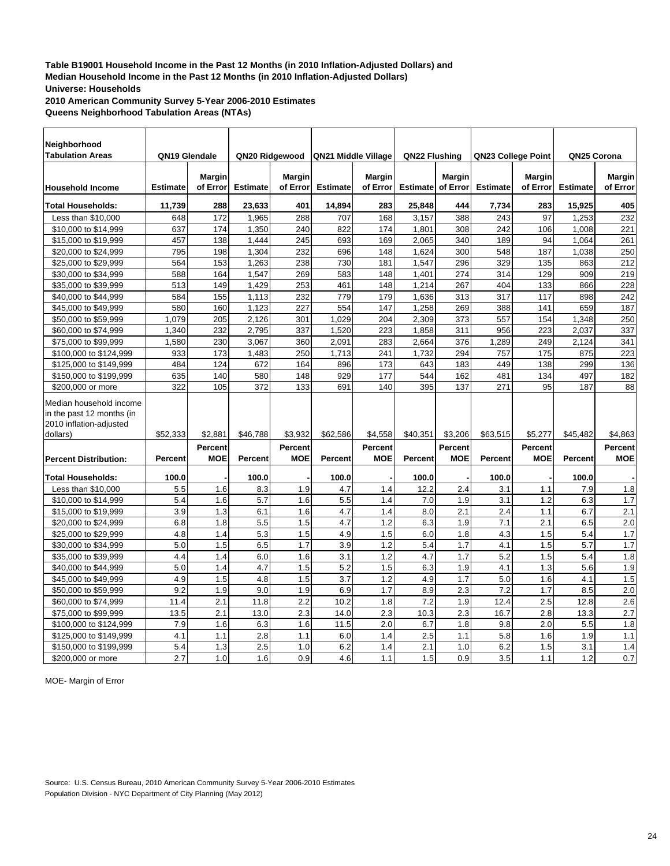**2010 American Community Survey 5-Year 2006-2010 Estimates Queens Neighborhood Tabulation Areas (NTAs)**

| Neighborhood                                                                    |                 |                              |                 |                           |                     |                              |                 |                       |                    |                           |                 |                           |
|---------------------------------------------------------------------------------|-----------------|------------------------------|-----------------|---------------------------|---------------------|------------------------------|-----------------|-----------------------|--------------------|---------------------------|-----------------|---------------------------|
| <b>Tabulation Areas</b>                                                         | QN19 Glendale   |                              | QN20 Ridgewood  |                           | QN21 Middle Village |                              | QN22 Flushing   |                       | QN23 College Point |                           | QN25 Corona     |                           |
| <b>Household Income</b>                                                         | <b>Estimate</b> | <b>Margin</b><br>of Error    | <b>Estimate</b> | <b>Margin</b><br>of Error | <b>Estimate</b>     | <b>Margin</b><br>of Error    | <b>Estimate</b> | Margin<br>of Error    | <b>Estimate</b>    | <b>Margin</b><br>of Error | <b>Estimate</b> | <b>Margin</b><br>of Error |
| <b>Total Households:</b>                                                        | 11,739          | 288                          | 23,633          | 401                       | 14,894              | 283                          | 25,848          | 444                   | 7,734              | 283                       | 15,925          | 405                       |
| Less than \$10,000                                                              | 648             | 172                          | 1,965           | 288                       | 707                 | 168                          | 3,157           | 388                   | 243                | 97                        | 1,253           | 232                       |
| \$10,000 to \$14,999                                                            | 637             | 174                          | 1,350           | 240                       | 822                 | 174                          | 1,801           | 308                   | 242                | 106                       | 1,008           | 221                       |
| \$15,000 to \$19,999                                                            | 457             | 138                          | 1,444           | 245                       | 693                 | 169                          | 2,065           | 340                   | 189                | 94                        | 1,064           | 261                       |
| \$20,000 to \$24,999                                                            | 795             | 198                          | 1,304           | 232                       | 696                 | 148                          | 1,624           | 300                   | 548                | 187                       | 1,038           | 250                       |
| \$25,000 to \$29,999                                                            | 564             | 153                          | 1,263           | 238                       | 730                 | 181                          | 1,547           | 296                   | 329                | 135                       | 863             | 212                       |
| \$30,000 to \$34,999                                                            | 588             | 164                          | 1,547           | 269                       | 583                 | 148                          | 1,401           | 274                   | 314                | 129                       | 909             | 219                       |
| \$35,000 to \$39,999                                                            | 513             | 149                          | 1,429           | 253                       | 461                 | 148                          | 1,214           | 267                   | 404                | 133                       | 866             | 228                       |
| \$40,000 to \$44,999                                                            | 584             | 155                          | 1,113           | 232                       | 779                 | 179                          | 1,636           | 313                   | 317                | 117                       | 898             | 242                       |
| \$45,000 to \$49,999                                                            | 580             | 160                          | 1,123           | 227                       | 554                 | 147                          | 1,258           | 269                   | 388                | 141                       | 659             | 187                       |
| \$50,000 to \$59,999                                                            | 1,079           | 205                          | 2,126           | 301                       | 1,029               | 204                          | 2,309           | 373                   | 557                | 154                       | 1,348           | 250                       |
| \$60,000 to \$74,999                                                            | 1.340           | 232                          | 2,795           | 337                       | 1,520               | 223                          | 1,858           | 311                   | 956                | 223                       | 2,037           | 337                       |
| \$75,000 to \$99,999                                                            | 1,580           | 230                          | 3,067           | 360                       | 2,091               | 283                          | 2,664           | 376                   | 1,289              | 249                       | 2,124           | 341                       |
| \$100,000 to \$124,999                                                          | 933             | 173                          | 1,483           | 250                       | 1,713               | 241                          | 1,732           | 294                   | 757                | 175                       | 875             | 223                       |
| \$125,000 to \$149,999                                                          | 484             | 124                          | 672             | 164                       | 896                 | 173                          | 643             | 183                   | 449                | 138                       | 299             | 136                       |
| \$150,000 to \$199,999                                                          | 635             | 140                          | 580             | 148                       | 929                 | 177                          | 544             | 162                   | 481                | 134                       | 497             | 182                       |
| \$200,000 or more                                                               | 322             | 105                          | 372             | 133                       | 691                 | 140                          | 395             | 137                   | 271                | 95                        | 187             | 88                        |
| Median household income<br>in the past 12 months (in<br>2010 inflation-adjusted |                 |                              |                 |                           |                     |                              |                 |                       |                    |                           |                 |                           |
| dollars)                                                                        | \$52,333        | \$2,881                      | \$46,788        | \$3,932                   | \$62,586            | \$4,558                      | \$40,351        | \$3,206               | \$63,515           | \$5,277                   | \$45,482        | \$4,863                   |
| <b>Percent Distribution:</b>                                                    | <b>Percent</b>  | <b>Percent</b><br><b>MOE</b> | <b>Percent</b>  | Percent<br><b>MOE</b>     | <b>Percent</b>      | <b>Percent</b><br><b>MOE</b> | Percent         | Percent<br><b>MOE</b> | <b>Percent</b>     | Percent<br><b>MOE</b>     | <b>Percent</b>  | Percent<br><b>MOE</b>     |
| <b>Total Households:</b>                                                        | 100.0           |                              | 100.0           |                           | 100.0               |                              | 100.0           |                       | 100.0              |                           | 100.0           |                           |
| Less than \$10,000                                                              | 5.5             | 1.6                          | 8.3             | 1.9                       | 4.7                 | 1.4                          | 12.2            | 2.4                   | 3.1                | 1.1                       | 7.9             | 1.8                       |
| \$10,000 to \$14,999                                                            | 5.4             | 1.6                          | 5.7             | 1.6                       | 5.5                 | 1.4                          | 7.0             | 1.9                   | 3.1                | 1.2                       | 6.3             | 1.7                       |
| \$15,000 to \$19,999                                                            | 3.9             | 1.3                          | 6.1             | 1.6                       | 4.7                 | 1.4                          | 8.0             | 2.1                   | 2.4                | 1.1                       | 6.7             | 2.1                       |
| \$20,000 to \$24,999                                                            | 6.8             | 1.8                          | 5.5             | 1.5                       | 4.7                 | 1.2                          | 6.3             | 1.9                   | 7.1                | 2.1                       | 6.5             | 2.0                       |
| \$25,000 to \$29,999                                                            | 4.8             | 1.4                          | 5.3             | 1.5                       | 4.9                 | 1.5                          | 6.0             | 1.8                   | 4.3                | 1.5                       | 5.4             | 1.7                       |
| \$30,000 to \$34,999                                                            | 5.0             | 1.5                          | 6.5             | 1.7                       | 3.9                 | 1.2                          | 5.4             | 1.7                   | 4.1                | 1.5                       | 5.7             | 1.7                       |
| \$35,000 to \$39,999                                                            | 4.4             | 1.4                          | 6.0             | 1.6                       | 3.1                 | 1.2                          | 4.7             | 1.7                   | 5.2                | 1.5                       | 5.4             | 1.8                       |
| \$40,000 to \$44,999                                                            | 5.0             | 1.4                          | 4.7             | 1.5                       | 5.2                 | 1.5                          | 6.3             | 1.9                   | 4.1                | 1.3                       | 5.6             | 1.9                       |
| \$45,000 to \$49,999                                                            | 4.9             | 1.5                          | 4.8             | 1.5                       | 3.7                 | 1.2                          | 4.9             | 1.7                   | 5.0                | 1.6                       | 4.1             | 1.5                       |
| \$50,000 to \$59,999                                                            | 9.2             | 1.9                          | 9.0             | 1.9                       | 6.9                 | 1.7                          | 8.9             | 2.3                   | 7.2                | 1.7                       | 8.5             | $\overline{2.0}$          |
| \$60,000 to \$74,999                                                            | 11.4            | 2.1                          | 11.8            | 2.2                       | 10.2                | 1.8                          | 7.2             | 1.9                   | 12.4               | 2.5                       | 12.8            | 2.6                       |
| \$75,000 to \$99,999                                                            | 13.5            | 2.1                          | 13.0            | 2.3                       | 14.0                | 2.3                          | 10.3            | 2.3                   | 16.7               | 2.8                       | 13.3            | $\overline{2.7}$          |
| \$100,000 to \$124,999                                                          | 7.9             | 1.6                          | 6.3             | 1.6                       | 11.5                | 2.0                          | 6.7             | 1.8                   | 9.8                | 2.0                       | 5.5             | 1.8                       |
| \$125,000 to \$149,999                                                          | 4.1             | 1.1                          | 2.8             | 1.1                       | 6.0                 | 1.4                          | 2.5             | 1.1                   | 5.8                | 1.6                       | 1.9             | 1.1                       |
| \$150,000 to \$199,999                                                          | 5.4             | 1.3                          | 2.5             | 1.0                       | 6.2                 | 1.4                          | 2.1             | 1.0                   | 6.2                | 1.5                       | 3.1             | 1.4                       |
| \$200,000 or more                                                               | 2.7             | 1.0                          | 1.6             | 0.9                       | 4.6                 | 1.1                          | 1.5             | 0.9                   | 3.5                | 1.1                       | 1.2             | 0.7                       |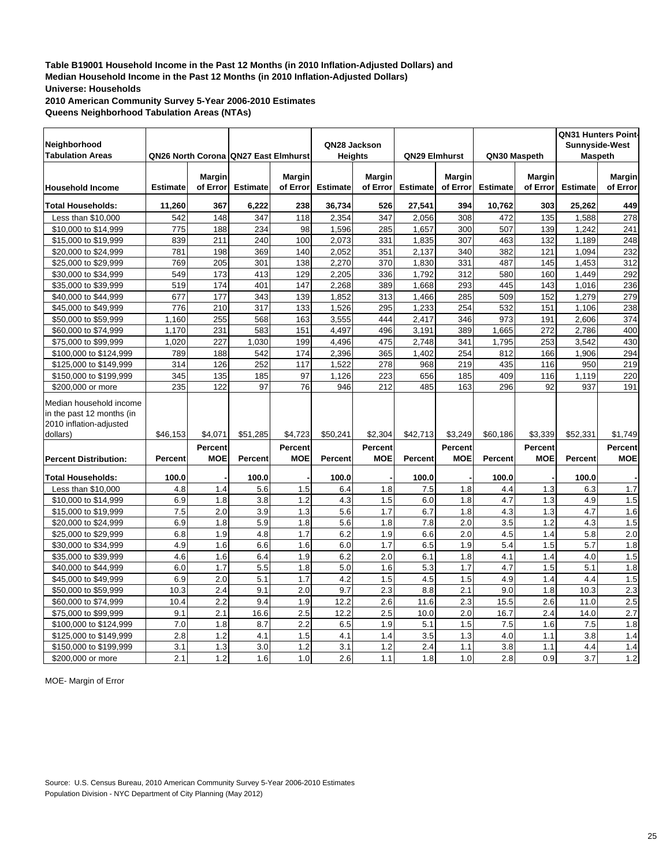**2010 American Community Survey 5-Year 2006-2010 Estimates Queens Neighborhood Tabulation Areas (NTAs)**

|                                                                                 |                 |                |                                             |                |                 |            |                 |               |                 |                | QN31 Hunters Point-   |                  |
|---------------------------------------------------------------------------------|-----------------|----------------|---------------------------------------------|----------------|-----------------|------------|-----------------|---------------|-----------------|----------------|-----------------------|------------------|
| Neighborhood                                                                    |                 |                |                                             |                | QN28 Jackson    |            |                 |               |                 |                | <b>Sunnyside-West</b> |                  |
| <b>Tabulation Areas</b>                                                         |                 |                | <b>QN26 North Corona QN27 East Elmhurst</b> |                | <b>Heights</b>  |            | QN29 Elmhurst   |               | QN30 Maspeth    |                | <b>Maspeth</b>        |                  |
|                                                                                 |                 | <b>Margin</b>  |                                             | <b>Margin</b>  |                 | Margin     |                 | <b>Margin</b> |                 | <b>Margin</b>  |                       | <b>Margin</b>    |
| <b>Household Income</b>                                                         | <b>Estimate</b> | of Error       | <b>Estimate</b>                             | of Error       | <b>Estimate</b> | of Error   | <b>Estimate</b> | of Error      | <b>Estimate</b> | of Error       | <b>Estimate</b>       | of Error         |
| <b>Total Households:</b>                                                        | 11,260          | 367            | 6,222                                       | 238            | 36,734          | 526        | 27,541          | 394           | 10,762          | 303            | 25,262                | 449              |
| Less than \$10,000                                                              | 542             | 148            | 347                                         | 118            | 2,354           | 347        | 2.056           | 308           | 472             | 135            | 1,588                 | 278              |
| \$10,000 to \$14,999                                                            | 775             | 188            | 234                                         | 98             | 1,596           | 285        | 1,657           | 300           | 507             | 139            | 1,242                 | 241              |
| \$15,000 to \$19,999                                                            | 839             | 211            | 240                                         | 100            | 2,073           | 331        | 1,835           | 307           | 463             | 132            | 1,189                 | 248              |
| \$20,000 to \$24,999                                                            | 781             | 198            | 369                                         | 140            | 2,052           | 351        | 2,137           | 340           | 382             | 121            | 1,094                 | 232              |
| \$25,000 to \$29,999                                                            | 769             | 205            | 301                                         | 138            | 2,270           | 370        | 1,830           | 331           | 487             | 145            | 1,453                 | 312              |
| \$30,000 to \$34,999                                                            | 549             | 173            | 413                                         | 129            | 2,205           | 336        | 1,792           | 312           | 580             | 160            | 1,449                 | 292              |
| \$35,000 to \$39,999                                                            | 519             | 174            | 401                                         | 147            | 2,268           | 389        | 1,668           | 293           | 445             | 143            | 1,016                 | 236              |
| \$40,000 to \$44,999                                                            | 677             | 177            | 343                                         | 139            | 1,852           | 313        | 1,466           | 285           | 509             | 152            | 1,279                 | 279              |
| \$45,000 to \$49,999                                                            | 776             | 210            | 317                                         | 133            | 1,526           | 295        | 1,233           | 254           | 532             | 151            | 1,106                 | 238              |
| \$50,000 to \$59,999                                                            | 1,160           | 255            | 568                                         | 163            | 3,555           | 444        | 2,417           | 346           | 973             | 191            | 2,606                 | 374              |
| \$60,000 to \$74,999                                                            | 1,170           | 231            | 583                                         | 151            | 4,497           | 496        | 3,191           | 389           | 1,665           | 272            | 2,786                 | 400              |
| \$75,000 to \$99,999                                                            | 1,020           | 227            | 1,030                                       | 199            | 4,496           | 475        | 2,748           | 341           | 1,795           | 253            | 3,542                 | 430              |
| \$100,000 to \$124,999                                                          | 789             | 188            | 542                                         | 174            | 2,396           | 365        | 1.402           | 254           | 812             | 166            | 1.906                 | 294              |
| \$125,000 to \$149,999                                                          | 314             | 126            | 252                                         | 117            | 1,522           | 278        | 968             | 219           | 435             | 116            | 950                   | 219              |
| \$150,000 to \$199,999                                                          | 345             | 135            | 185                                         | 97             | 1,126           | 223        | 656             | 185           | 409             | 116            | 1,119                 | 220              |
| \$200,000 or more                                                               | 235             | 122            | 97                                          | 76             | 946             | 212        | 485             | 163           | 296             | 92             | 937                   | 191              |
| Median household income<br>in the past 12 months (in<br>2010 inflation-adjusted |                 |                |                                             |                |                 |            |                 |               |                 |                |                       |                  |
| dollars)                                                                        | \$46,153        | \$4,071        | \$51,285                                    | \$4,723        | \$50,241        | \$2,304    | \$42,713        | \$3,249       | \$60,186        | \$3,339        | \$52,331              | \$1,749          |
|                                                                                 |                 | <b>Percent</b> |                                             | <b>Percent</b> |                 | Percent    |                 | Percent       |                 | <b>Percent</b> |                       | <b>Percent</b>   |
| <b>Percent Distribution:</b>                                                    | Percent         | <b>MOE</b>     | Percent                                     | <b>MOE</b>     | <b>Percent</b>  | <b>MOE</b> | Percent         | <b>MOE</b>    | Percent         | <b>MOE</b>     | <b>Percent</b>        | <b>MOE</b>       |
| <b>Total Households:</b>                                                        | 100.0           |                | 100.0                                       |                | 100.0           |            | 100.0           |               | 100.0           |                | 100.0                 |                  |
| Less than \$10,000                                                              | 4.8             | 1.4            | 5.6                                         | 1.5            | 6.4             | 1.8        | 7.5             | 1.8           | 4.4             | 1.3            | 6.3                   | 1.7              |
| \$10,000 to \$14,999                                                            | 6.9             | 1.8            | 3.8                                         | 1.2            | 4.3             | 1.5        | 6.0             | 1.8           | 4.7             | 1.3            | 4.9                   | 1.5              |
| \$15,000 to \$19,999                                                            | 7.5             | 2.0            | 3.9                                         | 1.3            | 5.6             | 1.7        | 6.7             | 1.8           | 4.3             | 1.3            | 4.7                   | 1.6              |
| \$20,000 to \$24,999                                                            | 6.9             | 1.8            | 5.9                                         | 1.8            | 5.6             | 1.8        | 7.8             | 2.0           | 3.5             | 1.2            | 4.3                   | 1.5              |
| \$25,000 to \$29,999                                                            | 6.8             | 1.9            | 4.8                                         | 1.7            | 6.2             | 1.9        | 6.6             | 2.0           | 4.5             | 1.4            | 5.8                   | $\overline{2.0}$ |
| \$30,000 to \$34,999                                                            | 4.9             | 1.6            | 6.6                                         | 1.6            | 6.0             | 1.7        | 6.5             | 1.9           | 5.4             | 1.5            | 5.7                   | 1.8              |
| \$35,000 to \$39,999                                                            | 4.6             | 1.6            | 6.4                                         | 1.9            | 6.2             | 2.0        | 6.1             | 1.8           | 4.1             | 1.4            | 4.0                   | 1.5              |
| \$40,000 to \$44,999                                                            | 6.0             | 1.7            | 5.5                                         | 1.8            | 5.0             | 1.6        | 5.3             | 1.7           | 4.7             | 1.5            | 5.1                   | 1.8              |
| \$45,000 to \$49,999                                                            | 6.9             | 2.0            | 5.1                                         | 1.7            | 4.2             | 1.5        | 4.5             | 1.5           | 4.9             | 1.4            | 4.4                   | 1.5              |
| \$50,000 to \$59,999                                                            | 10.3            | 2.4            | 9.1                                         | 2.0            | 9.7             | 2.3        | 8.8             | 2.1           | 9.0             | 1.8            | 10.3                  | 2.3              |
| \$60,000 to \$74,999                                                            | 10.4            | 2.2            | 9.4                                         | 1.9            | 12.2            | 2.6        | 11.6            | 2.3           | 15.5            | 2.6            | 11.0                  | 2.5              |
| \$75,000 to \$99,999                                                            | 9.1             | 2.1            | 16.6                                        | 2.5            | 12.2            | 2.5        | 10.0            | 2.0           | 16.7            | 2.4            | 14.0                  | $\overline{2.7}$ |
| \$100,000 to \$124,999                                                          | 7.0             | 1.8            | 8.7                                         | 2.2            | 6.5             | 1.9        | 5.1             | 1.5           | 7.5             | 1.6            | 7.5                   | 1.8              |
| \$125,000 to \$149,999                                                          | 2.8             | 1.2            | 4.1                                         | 1.5            | 4.1             | 1.4        | 3.5             | 1.3           | 4.0             | 1.1            | 3.8                   | 1.4              |
| \$150,000 to \$199,999                                                          | 3.1             | 1.3            | 3.0                                         | 1.2            | 3.1             | 1.2        | 2.4             | 1.1           | 3.8             | 1.1            | 4.4                   | 1.4              |
| \$200,000 or more                                                               | 2.1             | 1.2            | 1.6                                         | 1.0            | 2.6             | 1.1        | 1.8             | 1.0           | 2.8             | 0.9            | 3.7                   | 1.2              |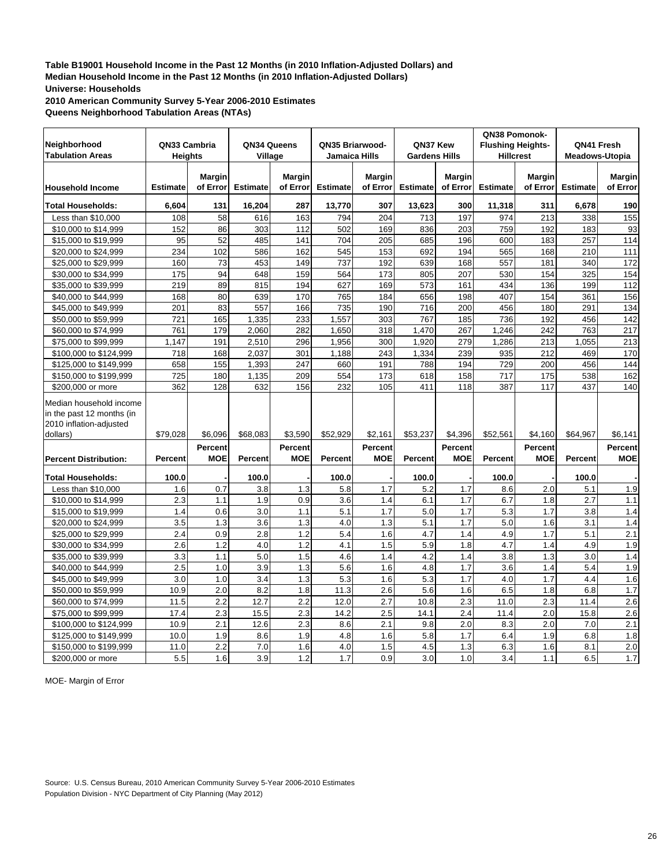**2010 American Community Survey 5-Year 2006-2010 Estimates Queens Neighborhood Tabulation Areas (NTAs)**

|                                                                                 |                 |                           |                 |                           |                 |                           |                      |                           | QN38 Pomonok-            |                           |                       |                           |
|---------------------------------------------------------------------------------|-----------------|---------------------------|-----------------|---------------------------|-----------------|---------------------------|----------------------|---------------------------|--------------------------|---------------------------|-----------------------|---------------------------|
| Neighborhood                                                                    | QN33 Cambria    |                           | QN34 Queens     |                           | QN35 Briarwood- |                           | QN37 Kew             |                           | <b>Flushing Heights-</b> |                           | QN41 Fresh            |                           |
| <b>Tabulation Areas</b>                                                         | <b>Heights</b>  |                           | Village         |                           | Jamaica Hills   |                           | <b>Gardens Hills</b> |                           | <b>Hillcrest</b>         |                           | <b>Meadows-Utopia</b> |                           |
|                                                                                 |                 |                           |                 |                           |                 |                           |                      |                           |                          |                           |                       |                           |
| <b>Household Income</b>                                                         | <b>Estimate</b> | <b>Margin</b><br>of Error | <b>Estimate</b> | <b>Margin</b><br>of Error | <b>Estimate</b> | <b>Margin</b><br>of Error | <b>Estimate</b>      | <b>Margin</b><br>of Error | <b>Estimate</b>          | <b>Margin</b><br>of Error | <b>Estimate</b>       | <b>Margin</b><br>of Error |
|                                                                                 |                 |                           |                 |                           |                 |                           |                      |                           |                          |                           |                       |                           |
| <b>Total Households:</b>                                                        | 6,604           | 131                       | 16,204          | 287                       | 13,770          | 307                       | 13,623               | 300                       | 11,318                   | 311                       | 6,678                 | 190                       |
| Less than \$10,000                                                              | 108             | 58                        | 616             | 163                       | 794             | 204                       | 713                  | 197                       | 974                      | 213                       | 338                   | 155                       |
| \$10,000 to \$14,999                                                            | 152             | 86                        | 303             | 112                       | 502             | 169                       | 836                  | 203                       | 759                      | 192                       | 183                   | 93                        |
| \$15,000 to \$19,999                                                            | 95              | 52                        | 485             | 141                       | 704             | 205                       | 685                  | 196                       | 600                      | 183                       | 257                   | 114                       |
| \$20,000 to \$24,999                                                            | 234             | 102                       | 586             | 162                       | 545             | 153                       | 692                  | 194                       | 565                      | 168                       | 210                   | 111                       |
| \$25,000 to \$29,999                                                            | 160             | $\overline{73}$           | 453             | 149                       | 737             | 192                       | 639                  | 168                       | 557                      | 181                       | 340                   | 172                       |
| \$30,000 to \$34,999                                                            | 175             | 94                        | 648             | 159                       | 564             | 173                       | 805                  | 207                       | 530                      | 154                       | 325                   | 154                       |
| \$35,000 to \$39,999                                                            | 219             | 89                        | 815             | 194                       | 627             | 169                       | 573                  | 161                       | 434                      | 136                       | 199                   | 112                       |
| \$40,000 to \$44,999                                                            | 168             | 80                        | 639             | 170                       | 765             | 184                       | 656                  | 198                       | 407                      | 154                       | 361                   | 156                       |
| \$45,000 to \$49,999                                                            | 201             | 83                        | 557             | 166                       | 735             | 190                       | 716                  | 200                       | 456                      | 180                       | 291                   | 134                       |
| \$50,000 to \$59,999                                                            | 721             | 165                       | 1,335           | 233                       | 1,557           | 303                       | 767                  | 185                       | 736                      | 192                       | 456                   | 142                       |
| \$60,000 to \$74,999                                                            | 761             | 179                       | 2,060           | 282                       | 1,650           | 318                       | 1,470                | 267                       | 1,246                    | 242                       | 763                   | 217                       |
| \$75,000 to \$99,999                                                            | 1,147           | 191                       | 2,510           | 296                       | 1,956           | 300                       | 1,920                | 279                       | 1,286                    | 213                       | 1,055                 | 213                       |
| \$100,000 to \$124,999                                                          | 718             | 168                       | 2,037           | 301                       | 1,188           | 243                       | 1,334                | 239                       | 935                      | 212                       | 469                   | 170                       |
| \$125,000 to \$149,999                                                          | 658             | 155                       | 1,393           | 247                       | 660             | 191                       | 788                  | 194                       | 729                      | 200                       | 456                   | 144                       |
| \$150,000 to \$199,999                                                          | 725             | 180                       | 1,135           | 209                       | 554             | 173                       | 618                  | 158                       | 717                      | 175                       | 538                   | 162                       |
| \$200,000 or more                                                               | 362             | 128                       | 632             | 156                       | 232             | 105                       | 411                  | 118                       | 387                      | 117                       | 437                   | 140                       |
| Median household income<br>in the past 12 months (in<br>2010 inflation-adjusted |                 |                           |                 |                           |                 |                           |                      |                           |                          |                           |                       |                           |
| dollars)                                                                        | \$79,028        | \$6,096                   | \$68,083        | \$3,590                   | \$52,929        | \$2,161                   | \$53,237             | \$4,396                   | \$52,561                 | \$4,160                   | \$64,967              | \$6,141                   |
|                                                                                 |                 | Percent                   |                 | Percent                   |                 | Percent                   |                      | Percent                   |                          | <b>Percent</b>            |                       | Percent                   |
| <b>Percent Distribution:</b>                                                    | Percent         | <b>MOE</b>                | Percent         | <b>MOE</b>                | <b>Percent</b>  | <b>MOE</b>                | Percent              | <b>MOE</b>                | <b>Percent</b>           | <b>MOE</b>                | Percent               | <b>MOE</b>                |
| <b>Total Households:</b>                                                        | 100.0           |                           | 100.0           |                           | 100.0           |                           | 100.0                |                           | 100.0                    |                           | 100.0                 |                           |
| Less than \$10,000                                                              | 1.6             | 0.7                       | 3.8             | 1.3                       | 5.8             | 1.7                       | 5.2                  | 1.7                       | 8.6                      | 2.0                       | 5.1                   | 1.9                       |
| \$10,000 to \$14,999                                                            | 2.3             | 1.1                       | 1.9             | 0.9                       | 3.6             | 1.4                       | 6.1                  | 1.7                       | 6.7                      | 1.8                       | 2.7                   | 1.1                       |
| \$15,000 to \$19,999                                                            | 1.4             | 0.6                       | 3.0             | 1.1                       | 5.1             | 1.7                       | 5.0                  | 1.7                       | 5.3                      | 1.7                       | 3.8                   | 1.4                       |
| \$20,000 to \$24,999                                                            | 3.5             | 1.3                       | 3.6             | 1.3                       | 4.0             | 1.3                       | 5.1                  | 1.7                       | 5.0                      | 1.6                       | 3.1                   | 1.4                       |
| \$25,000 to \$29,999                                                            | 2.4             | 0.9                       | 2.8             | 1.2                       | 5.4             | 1.6                       | 4.7                  | 1.4                       | 4.9                      | 1.7                       | 5.1                   | 2.1                       |
| \$30,000 to \$34,999                                                            | 2.6             | 1.2                       | 4.0             | 1.2                       | 4.1             | 1.5                       | 5.9                  | 1.8                       | 4.7                      | 1.4                       | 4.9                   | 1.9                       |
| \$35,000 to \$39,999                                                            | 3.3             | 1.1                       | 5.0             | 1.5                       | 4.6             | 1.4                       | 4.2                  | 1.4                       | 3.8                      | 1.3                       | 3.0                   | 1.4                       |
| \$40,000 to \$44,999                                                            | 2.5             | 1.0                       | 3.9             | 1.3                       | 5.6             | 1.6                       | 4.8                  | 1.7                       | 3.6                      | 1.4                       | 5.4                   | 1.9                       |
| \$45,000 to \$49,999                                                            | 3.0             | 1.0                       | 3.4             | 1.3                       | 5.3             | 1.6                       | 5.3                  | 1.7                       | 4.0                      | 1.7                       | 4.4                   | 1.6                       |
| \$50,000 to \$59,999                                                            | 10.9            | 2.0                       | 8.2             | 1.8                       | 11.3            | 2.6                       | 5.6                  | 1.6                       | 6.5                      | 1.8                       | 6.8                   | 1.7                       |
| \$60,000 to \$74,999                                                            | 11.5            | 2.2                       | 12.7            | 2.2                       | 12.0            | 2.7                       | 10.8                 | 2.3                       | 11.0                     | 2.3                       | 11.4                  | 2.6                       |
| \$75,000 to \$99,999                                                            | 17.4            | 2.3                       | 15.5            | 2.3                       | 14.2            | 2.5                       | 14.1                 | 2.4                       | 11.4                     | 2.0                       | 15.8                  | 2.6                       |
| \$100,000 to \$124,999                                                          | 10.9            | 2.1                       | 12.6            | 2.3                       | 8.6             | 2.1                       | 9.8                  | 2.0                       | 8.3                      | 2.0                       | 7.0                   | 2.1                       |
| \$125,000 to \$149,999                                                          | 10.0            | 1.9                       | 8.6             | 1.9                       | 4.8             | 1.6                       | 5.8                  | 1.7                       | 6.4                      | 1.9                       | 6.8                   | 1.8                       |
| \$150,000 to \$199,999                                                          | 11.0            | 2.2                       | 7.0             | 1.6                       | 4.0             | 1.5                       | 4.5                  | 1.3                       | 6.3                      | 1.6                       | 8.1                   | 2.0                       |
| \$200,000 or more                                                               | 5.5             | 1.6                       | 3.9             | 1.2                       | 1.7             | 0.9                       | 3.0                  | 1.0                       | 3.4                      | 1.1                       | 6.5                   | 1.7                       |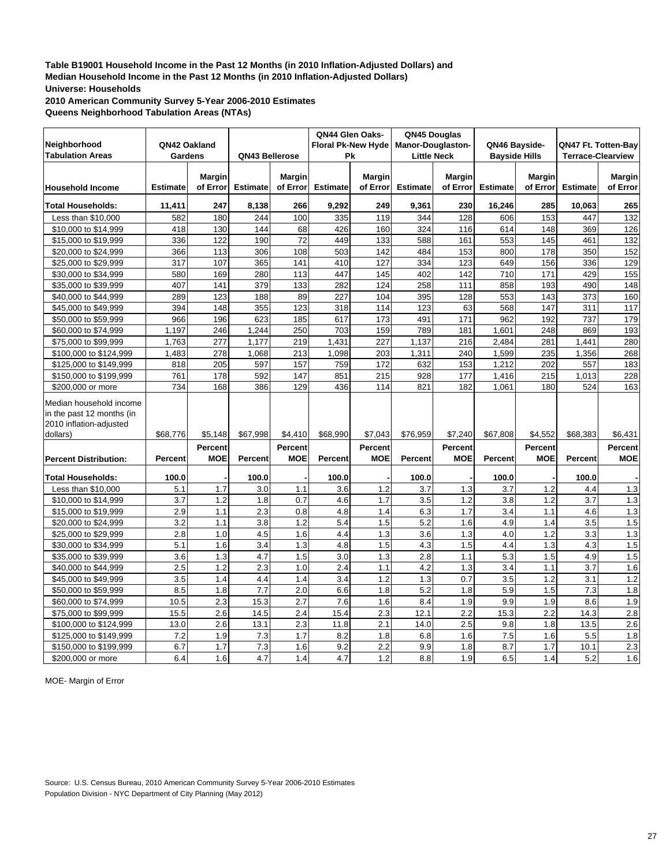**2010 American Community Survey 5-Year 2006-2010 Estimates Queens Neighborhood Tabulation Areas (NTAs)**

| Neighborhood<br><b>Tabulation Areas</b>                                         | QN42 Oakland<br>Gardens |                           | QN43 Bellerose  |                       | QN44 Glen Oaks-<br><b>Floral Pk-New Hyde</b><br>Pk |                              | QN45 Douglas<br>Manor-Douglaston-<br><b>Little Neck</b> |                           | QN46 Bayside-<br><b>Bayside Hills</b> |                           | QN47 Ft. Totten-Bay<br><b>Terrace-Clearview</b> |                       |
|---------------------------------------------------------------------------------|-------------------------|---------------------------|-----------------|-----------------------|----------------------------------------------------|------------------------------|---------------------------------------------------------|---------------------------|---------------------------------------|---------------------------|-------------------------------------------------|-----------------------|
| <b>Household Income</b>                                                         | <b>Estimate</b>         | <b>Margin</b><br>of Error | <b>Estimate</b> | Margin<br>of Error    | <b>Estimate</b>                                    | <b>Margin</b><br>of Error    | <b>Estimate</b>                                         | <b>Margin</b><br>of Error | <b>Estimate</b>                       | <b>Margin</b><br>of Error | <b>Estimate</b>                                 | Margin<br>of Error    |
| <b>Total Households:</b>                                                        | 11,411                  | 247                       | 8,138           | 266                   | 9,292                                              | 249                          | 9,361                                                   | 230                       | 16,246                                | 285                       | 10,063                                          | 265                   |
| Less than \$10,000                                                              | 582                     | 180                       | 244             | 100                   | 335                                                | 119                          | 344                                                     | 128                       | 606                                   | 153                       | 447                                             | 132                   |
| \$10,000 to \$14,999                                                            | 418                     | 130                       | 144             | 68                    | 426                                                | 160                          | 324                                                     | 116                       | 614                                   | 148                       | 369                                             | 126                   |
| \$15,000 to \$19,999                                                            | 336                     | 122                       | 190             | 72                    | 449                                                | 133                          | 588                                                     | 161                       | 553                                   | 145                       | 461                                             | 132                   |
| \$20,000 to \$24,999                                                            | 366                     | 113                       | 306             | 108                   | 503                                                | 142                          | 484                                                     | 153                       | 800                                   | 178                       | 350                                             | 152                   |
| \$25,000 to \$29,999                                                            | 317                     | 107                       | 365             | 141                   | 410                                                | 127                          | 334                                                     | 123                       | 649                                   | 156                       | 336                                             | 129                   |
| \$30,000 to \$34,999                                                            | 580                     | 169                       | 280             | 113                   | 447                                                | 145                          | 402                                                     | 142                       | 710                                   | 171                       | 429                                             | 155                   |
| \$35,000 to \$39,999                                                            | 407                     | 141                       | 379             | 133                   | 282                                                | 124                          | 258                                                     | 111                       | 858                                   | 193                       | 490                                             | 148                   |
| \$40,000 to \$44,999                                                            | 289                     | 123                       | 188             | 89                    | 227                                                | 104                          | 395                                                     | 128                       | 553                                   | 143                       | 373                                             | 160                   |
| \$45,000 to \$49,999                                                            | 394                     | 148                       | 355             | 123                   | 318                                                | 114                          | 123                                                     | 63                        | 568                                   | 147                       | 311                                             | 117                   |
| \$50,000 to \$59,999                                                            | 966                     | 196                       | 623             | 185                   | 617                                                | 173                          | 491                                                     | 171                       | 962                                   | 192                       | 737                                             | 179                   |
| \$60,000 to \$74,999                                                            | 1,197                   | 246                       | 1,244           | 250                   | 703                                                | 159                          | 789                                                     | 181                       | 1,601                                 | 248                       | 869                                             | 193                   |
| \$75,000 to \$99,999                                                            | 1,763                   | 277                       | 1,177           | 219                   | 1,431                                              | 227                          | 1,137                                                   | 216                       | 2,484                                 | 281                       | 1,441                                           | 280                   |
| \$100,000 to \$124,999                                                          | 1.483                   | 278                       | 1,068           | 213                   | 1.098                                              | 203                          | 1,311                                                   | 240                       | 1.599                                 | 235                       | 1,356                                           | 268                   |
| \$125,000 to \$149,999                                                          | 818                     | 205                       | 597             | 157                   | 759                                                | 172                          | 632                                                     | 153                       | 1,212                                 | 202                       | 557                                             | 183                   |
| \$150,000 to \$199,999                                                          | 761                     | 178                       | 592             | 147                   | 851                                                | 215                          | 928                                                     | 177                       | 1,416                                 | 215                       | 1,013                                           | 228                   |
| \$200,000 or more                                                               | 734                     | 168                       | 386             | 129                   | 436                                                | 114                          | 821                                                     | 182                       | 1,061                                 | 180                       | 524                                             | 163                   |
| Median household income<br>in the past 12 months (in<br>2010 inflation-adjusted |                         |                           |                 |                       |                                                    |                              |                                                         |                           |                                       |                           |                                                 |                       |
| dollars)                                                                        | \$68,776                | \$5,148                   | \$67,998        | \$4,410               | \$68,990                                           | \$7,043                      | \$76,959                                                | \$7,240                   | \$67,808                              | \$4,552                   | \$68,383                                        | \$6,431               |
| <b>Percent Distribution:</b>                                                    | <b>Percent</b>          | Percent<br><b>MOE</b>     | <b>Percent</b>  | Percent<br><b>MOE</b> | <b>Percent</b>                                     | <b>Percent</b><br><b>MOE</b> | Percent                                                 | Percent<br><b>MOE</b>     | Percent                               | Percent<br><b>MOE</b>     | Percent                                         | Percent<br><b>MOE</b> |
| <b>Total Households:</b>                                                        | 100.0                   |                           | 100.0           |                       | 100.0                                              |                              | 100.0                                                   |                           | 100.0                                 |                           | 100.0                                           |                       |
| Less than \$10,000                                                              | 5.1                     | 1.7                       | 3.0             | 1.1                   | 3.6                                                | 1.2                          | 3.7                                                     | 1.3                       | 3.7                                   | 1.2                       | 4.4                                             | 1.3                   |
| \$10,000 to \$14,999                                                            | 3.7                     | 1.2                       | 1.8             | 0.7                   | 4.6                                                | 1.7                          | 3.5                                                     | 1.2                       | 3.8                                   | 1.2                       | 3.7                                             | 1.3                   |
| \$15,000 to \$19,999                                                            | 2.9                     | 1.1                       | 2.3             | 0.8                   | 4.8                                                | 1.4                          | 6.3                                                     | 1.7                       | 3.4                                   | 1.1                       | 4.6                                             | 1.3                   |
| \$20,000 to \$24,999                                                            | 3.2                     | 1.1                       | 3.8             | 1.2                   | 5.4                                                | 1.5                          | 5.2                                                     | 1.6                       | 4.9                                   | 1.4                       | 3.5                                             | 1.5                   |
| \$25,000 to \$29,999                                                            | 2.8                     | 1.0                       | 4.5             | 1.6                   | 4.4                                                | 1.3                          | 3.6                                                     | 1.3                       | 4.0                                   | 1.2                       | 3.3                                             | 1.3                   |
| \$30,000 to \$34,999                                                            | 5.1                     | 1.6                       | 3.4             | 1.3                   | 4.8                                                | 1.5                          | 4.3                                                     | 1.5                       | 4.4                                   | 1.3                       | 4.3                                             | 1.5                   |
| \$35,000 to \$39,999                                                            | 3.6                     | 1.3                       | 4.7             | 1.5                   | 3.0                                                | 1.3                          | 2.8                                                     | 1.1                       | 5.3                                   | 1.5                       | 4.9                                             | 1.5                   |
| \$40,000 to \$44,999                                                            | 2.5                     | 1.2                       | 2.3             | 1.0                   | 2.4                                                | 1.1                          | 4.2                                                     | 1.3                       | 3.4                                   | 1.1                       | 3.7                                             | 1.6                   |
| \$45,000 to \$49,999                                                            | 3.5                     | 1.4                       | 4.4             | 1.4                   | 3.4                                                | 1.2                          | 1.3                                                     | 0.7                       | 3.5                                   | 1.2                       | 3.1                                             | 1.2                   |
| \$50,000 to \$59,999                                                            | 8.5                     | 1.8                       | 7.7             | 2.0                   | 6.6                                                | 1.8                          | 5.2                                                     | 1.8                       | 5.9                                   | 1.5                       | 7.3                                             | 1.8                   |
| \$60,000 to \$74,999                                                            | 10.5                    | 2.3                       | 15.3            | 2.7                   | 7.6                                                | 1.6                          | 8.4                                                     | 1.9                       | 9.9                                   | 1.9                       | 8.6                                             | 1.9                   |
| \$75,000 to \$99,999                                                            | 15.5                    | 2.6                       | 14.5            | 2.4                   | 15.4                                               | 2.3                          | 12.1                                                    | 2.2                       | 15.3                                  | 2.2                       | 14.3                                            | 2.8                   |
| \$100,000 to \$124,999                                                          | 13.0                    | 2.6                       | 13.1            | 2.3                   | 11.8                                               | 2.1                          | 14.0                                                    | 2.5                       | 9.8                                   | 1.8                       | 13.5                                            | 2.6                   |
| \$125,000 to \$149,999                                                          | 7.2                     | 1.9                       | 7.3             | 1.7                   | 8.2                                                | 1.8                          | 6.8                                                     | 1.6                       | 7.5                                   | 1.6                       | 5.5                                             | 1.8                   |
| \$150,000 to \$199,999                                                          | 6.7                     | 1.7                       | 7.3             | 1.6                   | 9.2                                                | 2.2                          | 9.9                                                     | 1.8                       | 8.7                                   | 1.7                       | 10.1                                            | 2.3                   |
| \$200,000 or more                                                               | 6.4                     | 1.6                       | 4.7             | 1.4                   | 4.7                                                | 1.2                          | 8.8                                                     | 1.9                       | 6.5                                   | 1.4                       | 5.2                                             | 1.6                   |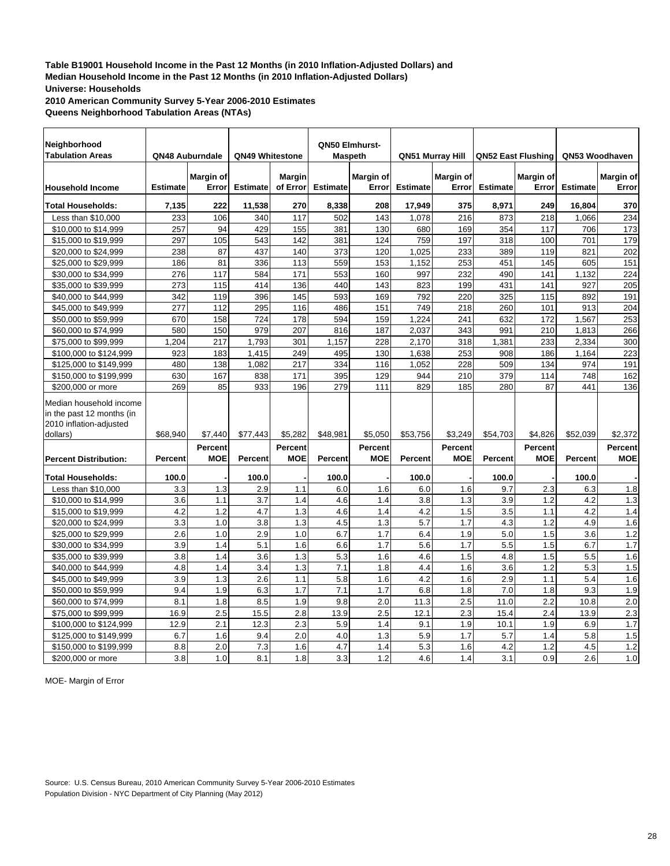**2010 American Community Survey 5-Year 2006-2010 Estimates Queens Neighborhood Tabulation Areas (NTAs)**

| Neighborhood<br><b>Tabulation Areas</b>                                         |                 | QN48 Auburndale       | QN49 Whitestone  |                       |                 | QN50 Elmhurst-<br><b>Maspeth</b> |                 | <b>QN51 Murray Hill</b>      |                 | <b>QN52 East Flushing</b>    | QN53 Woodhaven  |                              |
|---------------------------------------------------------------------------------|-----------------|-----------------------|------------------|-----------------------|-----------------|----------------------------------|-----------------|------------------------------|-----------------|------------------------------|-----------------|------------------------------|
| <b>Household Income</b>                                                         | <b>Estimate</b> | Margin of<br>Error    | <b>Estimate</b>  | Margin<br>of Error    | <b>Estimate</b> | Margin of<br>Error               | <b>Estimate</b> | Margin of<br>Error           | <b>Estimate</b> | Margin of<br>Error           | <b>Estimate</b> | Margin of<br>Error           |
| <b>Total Households:</b>                                                        | 7,135           | 222                   | 11,538           | 270                   | 8,338           | 208                              | 17,949          | 375                          | 8,971           | 249                          | 16,804          | 370                          |
| Less than \$10,000                                                              | 233             | 106                   | 340              | 117                   | 502             | 143                              | 1.078           | 216                          | 873             | 218                          | 1.066           | 234                          |
| \$10,000 to \$14,999                                                            | 257             | 94                    | 429              | 155                   | 381             | 130                              | 680             | 169                          | 354             | 117                          | 706             | 173                          |
| \$15,000 to \$19,999                                                            | 297             | 105                   | 543              | 142                   | 381             | 124                              | 759             | 197                          | 318             | 100                          | 701             | 179                          |
| \$20,000 to \$24,999                                                            | 238             | 87                    | 437              | 140                   | 373             | 120                              | 1,025           | 233                          | 389             | 119                          | 821             | 202                          |
| \$25,000 to \$29,999                                                            | 186             | 81                    | 336              | 113                   | 559             | 153                              | 1,152           | 253                          | 451             | 145                          | 605             | 151                          |
| \$30,000 to \$34,999                                                            | 276             | 117                   | 584              | 171                   | 553             | 160                              | 997             | 232                          | 490             | 141                          | 1,132           | 224                          |
| \$35,000 to \$39,999                                                            | 273             | 115                   | 414              | 136                   | 440             | 143                              | 823             | 199                          | 431             | 141                          | 927             | 205                          |
| \$40,000 to \$44,999                                                            | 342             | 119                   | 396              | 145                   | 593             | 169                              | 792             | 220                          | 325             | 115                          | 892             | 191                          |
| \$45,000 to \$49,999                                                            | 277             | 112                   | 295              | 116                   | 486             | 151                              | 749             | 218                          | 260             | 101                          | 913             | 204                          |
| \$50,000 to \$59,999                                                            | 670             | 158                   | 724              | 178                   | 594             | 159                              | 1,224           | 241                          | 632             | 172                          | 1,567           | 253                          |
| \$60,000 to \$74,999                                                            | 580             | 150                   | 979              | 207                   | 816             | 187                              | 2,037           | 343                          | 991             | 210                          | 1,813           | 266                          |
| \$75,000 to \$99,999                                                            | 1,204           | 217                   | 1,793            | 301                   | 1,157           | 228                              | 2,170           | 318                          | 1,381           | 233                          | 2,334           | 300                          |
| \$100,000 to \$124,999                                                          | 923             | 183                   | 1,415            | 249                   | 495             | 130                              | 1.638           | 253                          | 908             | 186                          | 1.164           | 223                          |
| \$125,000 to \$149,999                                                          | 480             | 138                   | 1,082            | 217                   | 334             | 116                              | 1,052           | 228                          | 509             | 134                          | 974             | 191                          |
| \$150,000 to \$199,999                                                          | 630             | 167                   | 838              | 171                   | 395             | 129                              | 944             | 210                          | 379             | 114                          | 748             | 162                          |
| \$200,000 or more                                                               | 269             | 85                    | 933              | 196                   | 279             | 111                              | 829             | 185                          | 280             | 87                           | 441             | 136                          |
| Median household income<br>in the past 12 months (in<br>2010 inflation-adjusted |                 |                       |                  |                       |                 |                                  |                 |                              |                 |                              |                 |                              |
| dollars)                                                                        | \$68,940        | \$7,440               | \$77,443         | \$5,282               | \$48,981        | \$5,050                          | \$53,756        | \$3,249                      | \$54,703        | \$4,826                      | \$52,039        | \$2,372                      |
| <b>Percent Distribution:</b>                                                    | <b>Percent</b>  | Percent<br><b>MOE</b> | Percent          | Percent<br><b>MOE</b> | Percent         | Percent<br><b>MOE</b>            | Percent         | <b>Percent</b><br><b>MOE</b> | <b>Percent</b>  | <b>Percent</b><br><b>MOE</b> | Percent         | <b>Percent</b><br><b>MOE</b> |
| <b>Total Households:</b>                                                        | 100.0           |                       | 100.0            |                       | 100.0           |                                  | 100.0           |                              | 100.0           |                              | 100.0           |                              |
| Less than \$10,000                                                              | 3.3             | 1.3                   | 2.9              | 1.1                   | 6.0             | 1.6                              | 6.0             | 1.6                          | 9.7             | 2.3                          | 6.3             | 1.8                          |
| \$10,000 to \$14,999                                                            | 3.6             | 1.1                   | 3.7              | 1.4                   | 4.6             | 1.4                              | 3.8             | 1.3                          | 3.9             | 1.2                          | 4.2             | 1.3                          |
| \$15,000 to \$19,999                                                            | 4.2             | 1.2                   | 4.7              | 1.3                   | 4.6             | 1.4                              | 4.2             | 1.5                          | 3.5             | 1.1                          | 4.2             | 1.4                          |
| \$20,000 to \$24,999                                                            | 3.3             | 1.0                   | 3.8              | 1.3                   | 4.5             | 1.3                              | 5.7             | 1.7                          | 4.3             | 1.2                          | 4.9             | 1.6                          |
| \$25,000 to \$29,999                                                            | 2.6             | 1.0                   | 2.9              | 1.0                   | 6.7             | 1.7                              | 6.4             | 1.9                          | 5.0             | 1.5                          | 3.6             | 1.2                          |
| \$30,000 to \$34,999                                                            | 3.9             | 1.4                   | 5.1              | 1.6                   | 6.6             | 1.7                              | 5.6             | 1.7                          | 5.5             | 1.5                          | 6.7             | 1.7                          |
| \$35,000 to \$39,999                                                            | 3.8             | 1.4                   | 3.6              | 1.3                   | 5.3             | 1.6                              | 4.6             | 1.5                          | 4.8             | 1.5                          | 5.5             | 1.6                          |
| \$40,000 to \$44,999                                                            | 4.8             | 1.4                   | 3.4              | 1.3                   | 7.1             | 1.8                              | 4.4             | 1.6                          | 3.6             | 1.2                          | 5.3             | 1.5                          |
| \$45,000 to \$49,999                                                            | 3.9             | 1.3                   | $\overline{2.6}$ | 1.1                   | 5.8             | 1.6                              | 4.2             | 1.6                          | 2.9             | 1.1                          | 5.4             | 1.6                          |
| \$50,000 to \$59,999                                                            | 9.4             | 1.9                   | 6.3              | 1.7                   | 7.1             | 1.7                              | 6.8             | 1.8                          | 7.0             | 1.8                          | 9.3             | 1.9                          |
| \$60,000 to \$74,999                                                            | 8.1             | 1.8                   | 8.5              | 1.9                   | 9.8             | 2.0                              | 11.3            | 2.5                          | 11.0            | 2.2                          | 10.8            | 2.0                          |
| \$75,000 to \$99,999                                                            | 16.9            | 2.5                   | 15.5             | 2.8                   | 13.9            | 2.5                              | 12.1            | 2.3                          | 15.4            | 2.4                          | 13.9            | 2.3                          |
| \$100,000 to \$124,999                                                          | 12.9            | 2.1                   | 12.3             | 2.3                   | 5.9             | 1.4                              | 9.1             | 1.9                          | 10.1            | 1.9                          | 6.9             | 1.7                          |
| \$125,000 to \$149,999                                                          | 6.7             | 1.6                   | 9.4              | 2.0                   | 4.0             | 1.3                              | 5.9             | 1.7                          | 5.7             | 1.4                          | 5.8             | 1.5                          |
| \$150,000 to \$199,999                                                          | 8.8             | 2.0                   | 7.3              | 1.6                   | 4.7             | 1.4                              | 5.3             | 1.6                          | 4.2             | 1.2                          | 4.5             | 1.2                          |
| \$200,000 or more                                                               | 3.8             | 1.0                   | 8.1              | 1.8                   | 3.3             | 1.2                              | 4.6             | 1.4                          | 3.1             | 0.9                          | 2.6             | 1.0                          |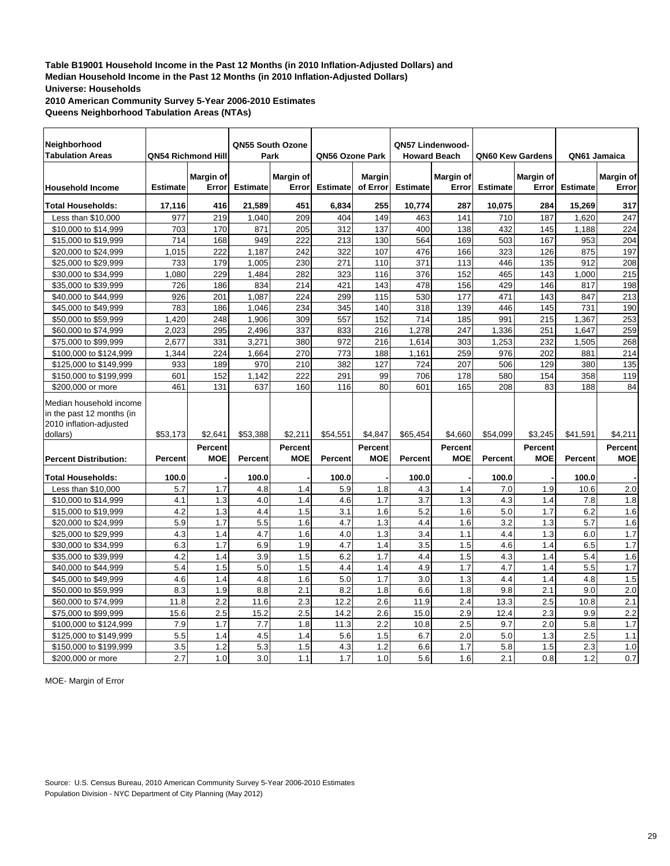**2010 American Community Survey 5-Year 2006-2010 Estimates Queens Neighborhood Tabulation Areas (NTAs)**

| Neighborhood<br><b>Tabulation Areas</b>                                         |                 | QN54 Richmond Hill           |                 | QN55 South Ozone<br>Park | QN56 Ozone Park |                       |                 | QN57 Lindenwood-<br><b>Howard Beach</b> |                 | QN60 Kew Gardens             | QN61 Jamaica    |                       |
|---------------------------------------------------------------------------------|-----------------|------------------------------|-----------------|--------------------------|-----------------|-----------------------|-----------------|-----------------------------------------|-----------------|------------------------------|-----------------|-----------------------|
| <b>Household Income</b>                                                         | <b>Estimate</b> | <b>Margin of</b><br>Error    | <b>Estimate</b> | Margin of<br>Error       | <b>Estimate</b> | Margin<br>of Error    | <b>Estimate</b> | Margin of<br>Error                      | <b>Estimate</b> | Margin of<br>Error           | <b>Estimate</b> | Margin of<br>Error    |
| <b>Total Households:</b>                                                        | 17,116          | 416                          | 21,589          | 451                      | 6,834           | 255                   | 10,774          | 287                                     | 10,075          | 284                          | 15,269          | 317                   |
| Less than \$10,000                                                              | 977             | 219                          | 1.040           | 209                      | 404             | 149                   | 463             | 141                                     | 710             | 187                          | 1.620           | 247                   |
| \$10,000 to \$14,999                                                            | 703             | 170                          | 871             | 205                      | 312             | 137                   | 400             | 138                                     | 432             | 145                          | 1,188           | 224                   |
| \$15,000 to \$19,999                                                            | 714             | 168                          | 949             | 222                      | 213             | 130                   | 564             | 169                                     | 503             | 167                          | 953             | 204                   |
| \$20,000 to \$24,999                                                            | 1,015           | 222                          | 1,187           | 242                      | 322             | 107                   | 476             | 166                                     | 323             | 126                          | 875             | 197                   |
| \$25,000 to \$29,999                                                            | 733             | 179                          | 1,005           | 230                      | 271             | 110                   | 371             | 113                                     | 446             | 135                          | 912             | 208                   |
| \$30,000 to \$34,999                                                            | 1,080           | 229                          | 1,484           | 282                      | 323             | 116                   | 376             | 152                                     | 465             | 143                          | 1.000           | 215                   |
| \$35,000 to \$39,999                                                            | 726             | 186                          | 834             | 214                      | 421             | 143                   | 478             | 156                                     | 429             | 146                          | 817             | 198                   |
| \$40,000 to \$44,999                                                            | 926             | 201                          | 1.087           | 224                      | 299             | 115                   | 530             | 177                                     | 471             | 143                          | 847             | 213                   |
| \$45,000 to \$49,999                                                            | 783             | 186                          | 1,046           | 234                      | 345             | 140                   | 318             | 139                                     | 446             | 145                          | 731             | 190                   |
| \$50,000 to \$59,999                                                            | 1,420           | 248                          | 1,906           | 309                      | 557             | 152                   | 714             | 185                                     | 991             | 215                          | 1,367           | 253                   |
| \$60,000 to \$74,999                                                            | 2.023           | 295                          | 2,496           | 337                      | 833             | 216                   | 1,278           | 247                                     | 1,336           | 251                          | 1,647           | 259                   |
| \$75,000 to \$99,999                                                            | 2,677           | 331                          | 3,271           | 380                      | 972             | 216                   | 1,614           | 303                                     | 1,253           | 232                          | 1,505           | 268                   |
| \$100,000 to \$124,999                                                          | 1,344           | 224                          | 1,664           | 270                      | 773             | 188                   | 1,161           | 259                                     | 976             | 202                          | 881             | 214                   |
| \$125,000 to \$149,999                                                          | 933             | 189                          | 970             | 210                      | 382             | 127                   | 724             | 207                                     | 506             | 129                          | 380             | 135                   |
| \$150,000 to \$199,999                                                          | 601             | 152                          | 1,142           | 222                      | 291             | 99                    | 706             | 178                                     | 580             | 154                          | 358             | 119                   |
| \$200,000 or more                                                               | 461             | 131                          | 637             | 160                      | 116             | 80                    | 601             | 165                                     | 208             | 83                           | 188             | 84                    |
| Median household income<br>in the past 12 months (in<br>2010 inflation-adjusted |                 |                              |                 |                          |                 |                       |                 |                                         |                 |                              |                 |                       |
| dollars)                                                                        | \$53,173        | \$2,641                      | \$53,388        | \$2,211                  | \$54,551        | \$4,847               | \$65.454        | \$4,660                                 | \$54.099        | \$3,245                      | \$41,591        | \$4,211               |
| <b>Percent Distribution:</b>                                                    | <b>Percent</b>  | <b>Percent</b><br><b>MOE</b> | Percent         | Percent<br><b>MOE</b>    | <b>Percent</b>  | Percent<br><b>MOE</b> | <b>Percent</b>  | Percent<br><b>MOE</b>                   | <b>Percent</b>  | <b>Percent</b><br><b>MOE</b> | <b>Percent</b>  | Percent<br><b>MOE</b> |
| <b>Total Households:</b>                                                        | 100.0           |                              | 100.0           |                          | 100.0           |                       | 100.0           |                                         | 100.0           |                              | 100.0           |                       |
| Less than \$10,000                                                              | 5.7             | 1.7                          | 4.8             | 1.4                      | 5.9             | 1.8                   | 4.3             | 1.4                                     | 7.0             | 1.9                          | 10.6            | 2.0                   |
| \$10,000 to \$14,999                                                            | 4.1             | 1.3                          | 4.0             | 1.4                      | 4.6             | 1.7                   | 3.7             | 1.3                                     | 4.3             | 1.4                          | 7.8             | 1.8                   |
| \$15,000 to \$19,999                                                            | 4.2             | 1.3                          | 4.4             | 1.5                      | 3.1             | 1.6                   | 5.2             | 1.6                                     | 5.0             | 1.7                          | 6.2             | 1.6                   |
| \$20,000 to \$24,999                                                            | 5.9             | 1.7                          | 5.5             | 1.6                      | 4.7             | 1.3                   | 4.4             | 1.6                                     | 3.2             | 1.3                          | 5.7             | 1.6                   |
| \$25,000 to \$29,999                                                            | 4.3             | 1.4                          | 4.7             | 1.6                      | 4.0             | 1.3                   | 3.4             | 1.1                                     | 4.4             | 1.3                          | 6.0             | 1.7                   |
| \$30,000 to \$34,999                                                            | 6.3             | 1.7                          | 6.9             | 1.9                      | 4.7             | 1.4                   | 3.5             | 1.5                                     | 4.6             | 1.4                          | 6.5             | 1.7                   |
| \$35,000 to \$39,999                                                            | 4.2             | 1.4                          | 3.9             | 1.5                      | 6.2             | 1.7                   | 4.4             | 1.5                                     | 4.3             | 1.4                          | 5.4             | 1.6                   |
| \$40,000 to \$44,999                                                            | 5.4             | 1.5                          | 5.0             | 1.5                      | 4.4             | 1.4                   | 4.9             | 1.7                                     | 4.7             | 1.4                          | 5.5             | 1.7                   |
| \$45,000 to \$49,999                                                            | 4.6             | 1.4                          | 4.8             | 1.6                      | 5.0             | 1.7                   | 3.0             | 1.3                                     | 4.4             | 1.4                          | 4.8             | 1.5                   |
| \$50,000 to \$59,999                                                            | 8.3             | 1.9                          | 8.8             | 2.1                      | 8.2             | 1.8                   | 6.6             | 1.8                                     | 9.8             | 2.1                          | 9.0             | 2.0                   |
| \$60,000 to \$74,999                                                            | 11.8            | 2.2                          | 11.6            | 2.3                      | 12.2            | 2.6                   | 11.9            | 2.4                                     | 13.3            | 2.5                          | 10.8            | 2.1                   |
| \$75,000 to \$99,999                                                            | 15.6            | 2.5                          | 15.2            | 2.5                      | 14.2            | 2.6                   | 15.0            | 2.9                                     | 12.4            | 2.3                          | 9.9             | $\overline{2.2}$      |
| \$100,000 to \$124,999                                                          | 7.9             | 1.7                          | 7.7             | 1.8                      | 11.3            | 2.2                   | 10.8            | 2.5                                     | 9.7             | 2.0                          | 5.8             | 1.7                   |
| \$125,000 to \$149,999                                                          | 5.5             | 1.4                          | 4.5             | 1.4                      | 5.6             | 1.5                   | 6.7             | 2.0                                     | 5.0             | 1.3                          | 2.5             | 1.1                   |
| \$150,000 to \$199,999                                                          | 3.5             | 1.2                          | 5.3             | 1.5                      | 4.3             | 1.2                   | 6.6             | 1.7                                     | 5.8             | 1.5                          | 2.3             | 1.0                   |
| \$200,000 or more                                                               | 2.7             | 1.0                          | 3.0             | 1.1                      | 1.7             | 1.0                   | 5.6             | 1.6                                     | 2.1             | 0.8                          | 1.2             | 0.7                   |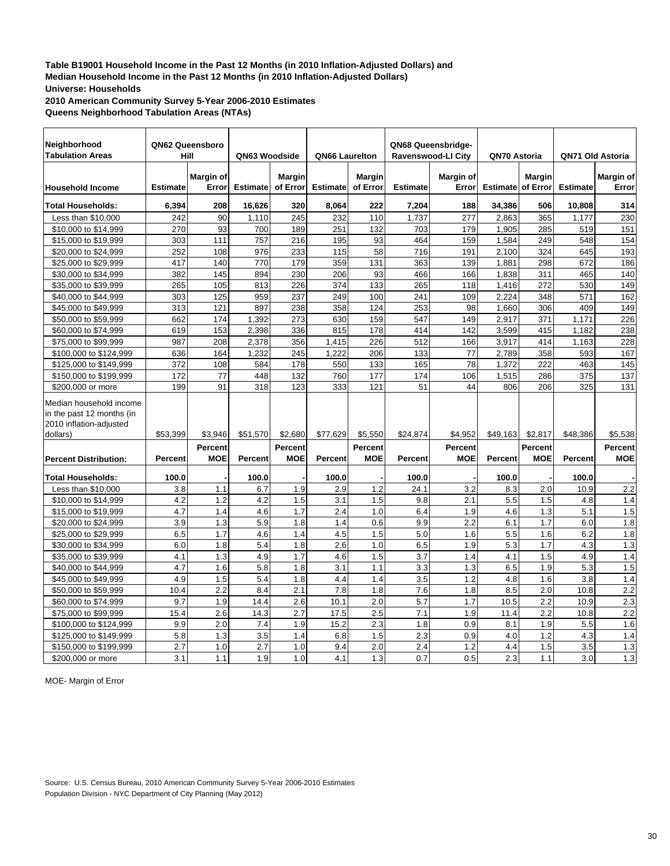**2010 American Community Survey 5-Year 2006-2010 Estimates Queens Neighborhood Tabulation Areas (NTAs)**

| Neighborhood                                                                    |                 | QN62 Queensboro              |                 |                              |                 |                              |                 | QN68 Queensbridge-           |                 |                           |                  |                       |
|---------------------------------------------------------------------------------|-----------------|------------------------------|-----------------|------------------------------|-----------------|------------------------------|-----------------|------------------------------|-----------------|---------------------------|------------------|-----------------------|
| <b>Tabulation Areas</b>                                                         |                 | Hill                         | QN63 Woodside   |                              | QN66 Laurelton  |                              |                 | <b>Ravenswood-LI City</b>    | QN70 Astoria    |                           | QN71 Old Astoria |                       |
| <b>Household Income</b>                                                         | <b>Estimate</b> | Margin of<br>Error           | <b>Estimate</b> | <b>Margin</b><br>of Error    | <b>Estimate</b> | <b>Margin</b><br>of Error    | <b>Estimate</b> | Margin of<br>Error           | <b>Estimate</b> | <b>Margin</b><br>of Error | <b>Estimate</b>  | Margin of<br>Error    |
| <b>Total Households:</b>                                                        | 6,394           | 208                          | 16,626          | 320                          | 8,064           | 222                          | 7,204           | 188                          | 34,386          | 506                       | 10,808           | 314                   |
| Less than \$10,000                                                              | 242             | 90                           | 1,110           | 245                          | 232             | 110                          | 1,737           | 277                          | 2,863           | 365                       | 1,177            | 230                   |
| \$10,000 to \$14,999                                                            | 270             | 93                           | 700             | 189                          | 251             | 132                          | 703             | 179                          | 1,905           | 285                       | 519              | 151                   |
| \$15,000 to \$19,999                                                            | 303             | 111                          | 757             | 216                          | 195             | 93                           | 464             | 159                          | 1,584           | 249                       | 548              | 154                   |
| \$20,000 to \$24,999                                                            | 252             | 108                          | 976             | 233                          | 115             | 58                           | 716             | 191                          | 2,100           | 324                       | 645              | 193                   |
| \$25,000 to \$29,999                                                            | 417             | 140                          | 770             | 179                          | 359             | 131                          | 363             | 139                          | 1,881           | 298                       | 672              | 186                   |
| \$30,000 to \$34,999                                                            | 382             | 145                          | 894             | 230                          | 206             | 93                           | 466             | 166                          | 1,838           | 311                       | 465              | 140                   |
| \$35,000 to \$39,999                                                            | 265             | 105                          | 813             | 226                          | 374             | 133                          | 265             | 118                          | 1,416           | 272                       | 530              | 149                   |
| \$40,000 to \$44,999                                                            | 303             | 125                          | 959             | 237                          | 249             | 100                          | 241             | 109                          | 2,224           | 348                       | 571              | 162                   |
| \$45,000 to \$49,999                                                            | 313             | 121                          | 897             | 238                          | 358             | 124                          | 253             | 98                           | 1,660           | 306                       | 409              | 149                   |
| \$50,000 to \$59,999                                                            | 662             | 174                          | 1,392           | 273                          | 630             | 159                          | 547             | 149                          | 2,917           | 371                       | 1,171            | 226                   |
| \$60,000 to \$74,999                                                            | 619             | 153                          | 2,398           | 336                          | 815             | 178                          | 414             | 142                          | 3,599           | 415                       | 1,182            | 238                   |
| \$75,000 to \$99,999                                                            | 987             | 208                          | 2,378           | 356                          | 1,415           | 226                          | 512             | 166                          | 3,917           | 414                       | 1,163            | 228                   |
| \$100,000 to \$124,999                                                          | 636             | 164                          | 1,232           | 245                          | 1,222           | 206                          | 133             | 77                           | 2,789           | 358                       | 593              | 167                   |
| \$125,000 to \$149,999                                                          | 372             | 108                          | 584             | 178                          | 550             | 133                          | 165             | 78                           | 1,372           | 222                       | 463              | 145                   |
| \$150,000 to \$199,999                                                          | 172             | 77                           | 448             | 132                          | 760             | 177                          | 174             | 106                          | 1,515           | 286                       | 375              | 137                   |
| \$200,000 or more                                                               | 199             | 91                           | 318             | 123                          | 333             | 121                          | 51              | 44                           | 806             | 206                       | 325              | 131                   |
| Median household income<br>in the past 12 months (in<br>2010 inflation-adjusted |                 |                              |                 |                              |                 |                              |                 |                              |                 |                           |                  |                       |
| dollars)                                                                        | \$53.399        | \$3,946                      | \$51,570        | \$2,680                      | \$77.629        | \$5,550                      | \$24,874        | \$4,952                      | \$49,163        | \$2,817                   | \$48,386         | \$5,538               |
| <b>Percent Distribution:</b>                                                    | <b>Percent</b>  | <b>Percent</b><br><b>MOE</b> | <b>Percent</b>  | <b>Percent</b><br><b>MOE</b> | Percent         | <b>Percent</b><br><b>MOE</b> | <b>Percent</b>  | <b>Percent</b><br><b>MOE</b> | <b>Percent</b>  | Percent<br><b>MOE</b>     | Percent          | Percent<br><b>MOE</b> |
| <b>Total Households:</b>                                                        | 100.0           |                              | 100.0           |                              | 100.0           |                              | 100.0           |                              | 100.0           |                           | 100.0            |                       |
| Less than \$10,000                                                              | 3.8             | 1.1                          | 6.7             | 1.9                          | 2.9             | 1.2                          | 24.1            | 3.2                          | 8.3             | 2.0                       | 10.9             | 2.2                   |
| \$10,000 to \$14,999                                                            | 4.2             | 1.2                          | 4.2             | 1.5                          | 3.1             | 1.5                          | 9.8             | 2.1                          | 5.5             | 1.5                       | 4.8              | 1.4                   |
| \$15,000 to \$19,999                                                            | 4.7             | 1.4                          | 4.6             | 1.7                          | 2.4             | 1.0                          | 6.4             | 1.9                          | 4.6             | 1.3                       | 5.1              | 1.5                   |
| \$20,000 to \$24,999                                                            | 3.9             | 1.3                          | 5.9             | 1.8                          | 1.4             | 0.6                          | 9.9             | 2.2                          | 6.1             | 1.7                       | 6.0              | 1.8                   |
| \$25,000 to \$29,999                                                            | 6.5             | 1.7                          | 4.6             | 1.4                          | 4.5             | 1.5                          | 5.0             | 1.6                          | 5.5             | 1.6                       | 6.2              | 1.8                   |
| \$30,000 to \$34,999                                                            | 6.0             | 1.8                          | 5.4             | 1.8                          | 2.6             | 1.0                          | 6.5             | 1.9                          | 5.3             | 1.7                       | 4.3              | 1.3                   |
| \$35,000 to \$39,999                                                            | 4.1             | 1.3                          | 4.9             | 1.7                          | 4.6             | 1.5                          | 3.7             | 1.4                          | 4.1             | 1.5                       | 4.9              | 1.4                   |
| \$40,000 to \$44,999                                                            | 4.7             | 1.6                          | 5.8             | 1.8                          | 3.1             | 1.1                          | 3.3             | 1.3                          | 6.5             | 1.9                       | 5.3              | 1.5                   |
| \$45,000 to \$49,999                                                            | 4.9             | 1.5                          | 5.4             | 1.8                          | 4.4             | 1.4                          | 3.5             | 1.2                          | 4.8             | 1.6                       | 3.8              | 1.4                   |
| \$50,000 to \$59,999                                                            | 10.4            | 2.2                          | 8.4             | 2.1                          | 7.8             | 1.8                          | 7.6             | 1.8                          | 8.5             | 2.0                       | 10.8             | 2.2                   |
| \$60,000 to \$74,999                                                            | 9.7             | 1.9                          | 14.4            | 2.6                          | 10.1            | 2.0                          | 5.7             | 1.7                          | 10.5            | 2.2                       | 10.9             | 2.3                   |
| \$75,000 to \$99,999                                                            | 15.4            | 2.6                          | 14.3            | 2.7                          | 17.5            | 2.5                          | 7.1             | 1.9                          | 11.4            | 2.2                       | 10.8             | 2.2                   |
| \$100,000 to \$124,999                                                          | 9.9             | 2.0                          | 7.4             | 1.9                          | 15.2            | 2.3                          | 1.8             | 0.9                          | 8.1             | 1.9                       | 5.5              | 1.6                   |
| \$125,000 to \$149,999                                                          | 5.8             | 1.3                          | 3.5             | 1.4                          | 6.8             | 1.5                          | 2.3             | 0.9                          | 4.0             | 1.2                       | 4.3              | 1.4                   |
| \$150,000 to \$199,999                                                          | 2.7             | 1.0                          | 2.7             | 1.0                          | 9.4             | 2.0                          | 2.4             | 1.2                          | 4.4             | 1.5                       | 3.5              | 1.3                   |
| \$200,000 or more                                                               | 3.1             | 1.1                          | 1.9             | 1.0                          | 4.1             | 1.3                          | 0.7             | 0.5                          | 2.3             | 1.1                       | 3.0              | 1.3                   |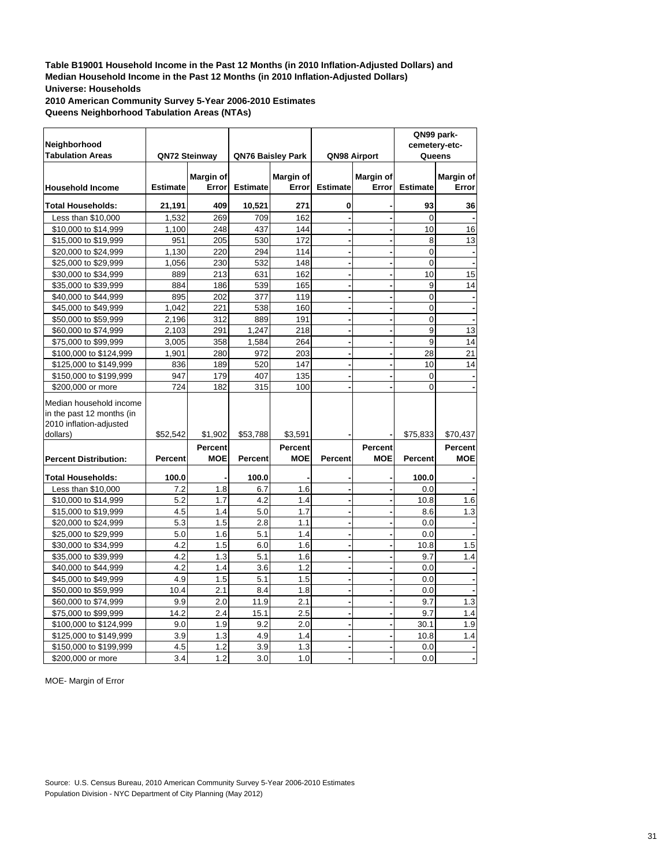**2010 American Community Survey 5-Year 2006-2010 Estimates Queens Neighborhood Tabulation Areas (NTAs)**

|                              |                 |                  |                 |                          |                 |                  |                 | QN99 park-    |
|------------------------------|-----------------|------------------|-----------------|--------------------------|-----------------|------------------|-----------------|---------------|
| Neighborhood                 |                 |                  |                 |                          |                 |                  |                 | cemetery-etc- |
| <b>Tabulation Areas</b>      |                 | QN72 Steinway    |                 | <b>QN76 Baisley Park</b> |                 | QN98 Airport     |                 | Queens        |
|                              |                 | <b>Margin of</b> |                 | <b>Margin of</b>         |                 | <b>Margin of</b> |                 | Margin of     |
| <b>Household Income</b>      | <b>Estimate</b> | Error            | <b>Estimate</b> | Error                    | <b>Estimate</b> | Error            | <b>Estimate</b> | Error         |
|                              |                 |                  |                 |                          |                 |                  |                 |               |
| <b>Total Households:</b>     | 21,191          | 409              | 10,521          | 271                      | 0               |                  | 93              | 36            |
| Less than \$10,000           | 1,532           | 269              | 709             | 162                      |                 |                  | $\overline{0}$  |               |
| \$10,000 to \$14,999         | 1,100           | 248              | 437             | 144                      |                 |                  | 10              | 16            |
| \$15,000 to \$19,999         | 951             | 205              | 530             | 172                      |                 |                  | 8               | 13            |
| \$20,000 to \$24,999         | 1,130           | 220              | 294             | 114                      |                 |                  | $\mathbf 0$     |               |
| \$25,000 to \$29,999         | 1,056           | 230              | 532             | 148                      |                 |                  | $\Omega$        |               |
| \$30,000 to \$34,999         | 889             | 213              | 631             | 162                      |                 |                  | 10              | 15            |
| \$35,000 to \$39,999         | 884             | 186              | 539             | 165                      |                 |                  | 9               | 14            |
| \$40,000 to \$44,999         | 895             | 202              | 377             | 119                      |                 |                  | $\overline{0}$  |               |
| \$45,000 to \$49,999         | 1,042           | 221              | 538             | 160                      |                 |                  | 0               |               |
| \$50,000 to \$59,999         | 2,196           | 312              | 889             | 191                      |                 |                  | 0               |               |
| \$60,000 to \$74,999         | 2,103           | 291              | 1,247           | 218                      |                 |                  | 9               | 13            |
| \$75,000 to \$99,999         | 3,005           | 358              | 1,584           | 264                      |                 |                  | 9               | 14            |
| \$100,000 to \$124,999       | 1,901           | 280              | 972             | 203                      |                 |                  | 28              | 21            |
| \$125,000 to \$149,999       | 836             | 189              | 520             | 147                      |                 |                  | 10              | 14            |
| \$150,000 to \$199,999       | 947             | 179              | 407             | 135                      |                 |                  | $\overline{0}$  |               |
| \$200,000 or more            | 724             | 182              | 315             | 100                      |                 |                  | 0               |               |
| Median household income      |                 |                  |                 |                          |                 |                  |                 |               |
| in the past 12 months (in    |                 |                  |                 |                          |                 |                  |                 |               |
| 2010 inflation-adjusted      |                 |                  |                 |                          |                 |                  |                 |               |
| dollars)                     | \$52,542        | \$1,902          | \$53,788        | \$3,591                  |                 |                  | \$75,833        | \$70,437      |
|                              |                 | Percent          |                 | Percent                  |                 | Percent          |                 | Percent       |
| <b>Percent Distribution:</b> | Percent         | <b>MOE</b>       | <b>Percent</b>  | <b>MOE</b>               | <b>Percent</b>  | <b>MOE</b>       | Percent         | <b>MOE</b>    |
| <b>Total Households:</b>     | 100.0           |                  | 100.0           |                          |                 |                  | 100.0           |               |
| Less than \$10,000           | 7.2             | 1.8              | 6.7             | 1.6                      |                 |                  | 0.0             |               |
| \$10,000 to \$14,999         | 5.2             | 1.7              | 4.2             | 1.4                      |                 |                  | 10.8            | 1.6           |
| \$15,000 to \$19,999         | 4.5             | 1.4              | 5.0             | 1.7                      |                 |                  | 8.6             | 1.3           |
| \$20,000 to \$24,999         | 5.3             | 1.5              | 2.8             | 1.1                      |                 |                  | 0.0             |               |
| \$25,000 to \$29,999         | 5.0             | 1.6              | 5.1             | 1.4                      |                 |                  | 0.0             |               |
| \$30,000 to \$34,999         | 4.2             | 1.5              | 6.0             | 1.6                      |                 |                  | 10.8            | 1.5           |
| \$35,000 to \$39,999         | 4.2             | 1.3              | 5.1             | 1.6                      |                 |                  | 9.7             | 1.4           |
| \$40,000 to \$44,999         | 4.2             | 1.4              | 3.6             | 1.2                      |                 |                  | 0.0             |               |
| \$45,000 to \$49,999         | 4.9             | 1.5              | 5.1             | 1.5                      |                 |                  | 0.0             |               |
| \$50,000 to \$59,999         | 10.4            | 2.1              | 8.4             | 1.8                      |                 |                  | 0.0             |               |
| \$60,000 to \$74,999         | 9.9             | 2.0              | 11.9            | 2.1                      |                 |                  | 9.7             | 1.3           |
| \$75,000 to \$99,999         | 14.2            | 2.4              | 15.1            | 2.5                      |                 |                  | 9.7             | 1.4           |
| \$100,000 to \$124,999       | 9.0             | 1.9              | 9.2             | 2.0                      |                 |                  | 30.1            | 1.9           |
| \$125,000 to \$149,999       | 3.9             | 1.3              | 4.9             | 1.4                      |                 |                  | 10.8            | 1.4           |
| \$150,000 to \$199,999       | 4.5             | 1.2              | 3.9             | 1.3                      |                 |                  | 0.0             |               |
| \$200,000 or more            | 3.4             | 1.2              | 3.0             | 1.0                      |                 |                  | 0.0             |               |

MOE- Margin of Error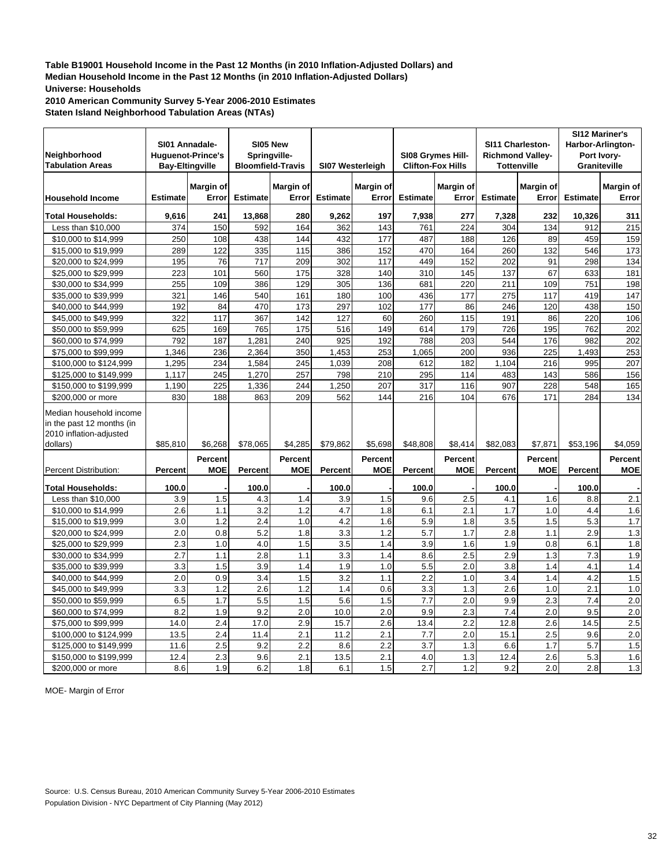**2010 American Community Survey 5-Year 2006-2010 Estimates Staten Island Neighborhood Tabulation Areas (NTAs)**

| Neighborhood<br><b>Tabulation Areas</b>                                                     | SI01 Annadale-  | <b>Huguenot-Prince's</b><br><b>Bay-Eltingville</b> | Springville-<br><b>Bloomfield-Travis</b> | SI05 New              | SI07 Westerleigh |                              |                 | SI08 Grymes Hill-<br><b>Clifton-Fox Hills</b> |                 | SI11 Charleston-<br><b>Richmond Valley-</b><br><b>Tottenville</b> | SI12 Mariner's<br>Harbor-Arlington-<br><b>Graniteville</b> | Port Ivory-           |
|---------------------------------------------------------------------------------------------|-----------------|----------------------------------------------------|------------------------------------------|-----------------------|------------------|------------------------------|-----------------|-----------------------------------------------|-----------------|-------------------------------------------------------------------|------------------------------------------------------------|-----------------------|
| <b>Household Income</b>                                                                     | <b>Estimate</b> | Margin of<br>Error                                 | <b>Estimate</b>                          | Margin of<br>Error    | <b>Estimate</b>  | Margin of<br>Error           | <b>Estimate</b> | Margin of<br>Error                            | <b>Estimate</b> | Margin of<br>Error                                                | <b>Estimate</b>                                            | Margin of<br>Error    |
| <b>Total Households:</b>                                                                    | 9,616           | 241                                                | 13,868                                   | 280                   | 9,262            | 197                          | 7,938           | 277                                           | 7,328           | 232                                                               | 10,326                                                     | 311                   |
| Less than \$10,000                                                                          | 374             | 150                                                | 592                                      | 164                   | 362              | 143                          | 761             | 224                                           | 304             | 134                                                               | 912                                                        | 215                   |
| \$10,000 to \$14,999                                                                        | 250             | 108                                                | 438                                      | 144                   | 432              | 177                          | 487             | 188                                           | 126             | 89                                                                | 459                                                        | 159                   |
| \$15,000 to \$19,999                                                                        | 289             | 122                                                | 335                                      | 115                   | 386              | 152                          | 470             | 164                                           | 260             | 132                                                               | 546                                                        | 173                   |
| \$20,000 to \$24,999                                                                        | 195             | 76                                                 | 717                                      | 209                   | 302              | 117                          | 449             | 152                                           | 202             | 91                                                                | 298                                                        | 134                   |
| \$25,000 to \$29,999                                                                        | 223             | 101                                                | 560                                      | 175                   | 328              | 140                          | 310             | 145                                           | 137             | 67                                                                | 633                                                        | 181                   |
| \$30,000 to \$34,999                                                                        | 255             | 109                                                | 386                                      | 129                   | 305              | 136                          | 681             | 220                                           | 211             | 109                                                               | 751                                                        | 198                   |
| \$35,000 to \$39,999                                                                        | 321             | 146                                                | 540                                      | 161                   | 180              | 100                          | 436             | 177                                           | 275             | 117                                                               | 419                                                        | 147                   |
| \$40,000 to \$44,999                                                                        | 192             | 84                                                 | 470                                      | 173                   | 297              | 102                          | 177             | 86                                            | 246             | 120                                                               | 438                                                        | 150                   |
| \$45,000 to \$49,999                                                                        | 322             | 117                                                | 367                                      | 142                   | 127              | 60                           | 260             | 115                                           | 191             | 86                                                                | 220                                                        | 106                   |
| \$50,000 to \$59,999                                                                        | 625             | 169                                                | 765                                      | 175                   | 516              | 149                          | 614             | 179                                           | 726             | 195                                                               | 762                                                        | 202                   |
| \$60,000 to \$74,999                                                                        | 792             | 187                                                | 1,281                                    | 240                   | 925              | 192                          | 788             | 203                                           | 544             | 176                                                               | 982                                                        | 202                   |
| \$75,000 to \$99,999                                                                        | 1,346           | 236                                                | 2,364                                    | 350                   | 1,453            | 253                          | 1,065           | 200                                           | 936             | 225                                                               | 1,493                                                      | 253                   |
| \$100,000 to \$124,999                                                                      | 1,295           | 234                                                | 1,584                                    | 245                   | 1.039            | 208                          | 612             | 182                                           | 1.104           | 216                                                               | 995                                                        | 207                   |
| \$125,000 to \$149,999                                                                      | 1,117           | 245                                                | 1,270                                    | 257                   | 798              | 210                          | 295             | 114                                           | 483             | 143                                                               | 586                                                        | 156                   |
| \$150,000 to \$199,999                                                                      | 1,190           | 225                                                | 1,336                                    | 244                   | 1,250            | 207                          | 317             | 116                                           | 907             | 228                                                               | 548                                                        | 165                   |
| \$200,000 or more                                                                           | 830             | 188                                                | 863                                      | 209                   | 562              | 144                          | 216             | 104                                           | 676             | 171                                                               | 284                                                        | 134                   |
| Median household income<br>in the past 12 months (in<br>2010 inflation-adjusted<br>dollars) | \$85,810        | \$6.268                                            | \$78,065                                 | \$4.285               | \$79.862         | \$5,698                      | \$48,808        | \$8,414                                       | \$82,083        | \$7,871                                                           | \$53,196                                                   | \$4,059               |
| Percent Distribution:                                                                       | Percent         | Percent<br><b>MOE</b>                              | Percent                                  | Percent<br><b>MOE</b> | <b>Percent</b>   | <b>Percent</b><br><b>MOE</b> | <b>Percent</b>  | Percent<br><b>MOE</b>                         | Percent         | <b>Percent</b><br><b>MOE</b>                                      | Percent                                                    | Percent<br><b>MOE</b> |
| <b>Total Households:</b>                                                                    | 100.0           |                                                    | 100.0                                    |                       | 100.0            |                              | 100.0           |                                               | 100.0           |                                                                   | 100.0                                                      |                       |
| Less than \$10,000                                                                          | 3.9             | 1.5                                                | 4.3                                      | 1.4                   | 3.9              | 1.5                          | 9.6             | 2.5                                           | 4.1             | 1.6                                                               | 8.8                                                        | 2.1                   |
| \$10,000 to \$14,999                                                                        | 2.6             | 1.1                                                | 3.2                                      | 1.2                   | 4.7              | 1.8                          | 6.1             | 2.1                                           | 1.7             | 1.0                                                               | 4.4                                                        | 1.6                   |
| \$15,000 to \$19,999                                                                        | 3.0             | 1.2                                                | 2.4                                      | 1.0                   | 4.2              | 1.6                          | 5.9             | 1.8                                           | 3.5             | 1.5                                                               | 5.3                                                        | 1.7                   |
| \$20,000 to \$24,999                                                                        | 2.0             | 0.8                                                | 5.2                                      | 1.8                   | 3.3              | 1.2                          | 5.7             | 1.7                                           | 2.8             | 1.1                                                               | 2.9                                                        | 1.3                   |
| \$25,000 to \$29,999                                                                        | 2.3             | 1.0                                                | 4.0                                      | 1.5                   | 3.5              | 1.4                          | 3.9             | 1.6                                           | 1.9             | 0.8                                                               | 6.1                                                        | 1.8                   |
| \$30,000 to \$34,999                                                                        | 2.7             | 1.1                                                | 2.8                                      | 1.1                   | 3.3              | 1.4                          | 8.6             | 2.5                                           | 2.9             | 1.3                                                               | 7.3                                                        | 1.9                   |
| \$35,000 to \$39,999                                                                        | 3.3             | 1.5                                                | 3.9                                      | 1.4                   | 1.9              | 1.0                          | 5.5             | 2.0                                           | 3.8             | 1.4                                                               | 4.1                                                        | 1.4                   |
| \$40,000 to \$44,999                                                                        | 2.0             | 0.9                                                | 3.4                                      | 1.5                   | 3.2              | 1.1                          | 2.2             | 1.0                                           | 3.4             | 1.4                                                               | 4.2                                                        | 1.5                   |
| \$45,000 to \$49,999                                                                        | 3.3             | 1.2                                                | 2.6                                      | 1.2                   | 1.4              | 0.6                          | 3.3             | 1.3                                           | 2.6             | 1.0                                                               | 2.1                                                        | 1.0                   |
| \$50,000 to \$59,999                                                                        | 6.5             | 1.7                                                | 5.5                                      | 1.5                   | 5.6              | 1.5                          | 7.7             | 2.0                                           | 9.9             | 2.3                                                               | 7.4                                                        | 2.0                   |
| \$60,000 to \$74,999                                                                        | 8.2             | 1.9                                                | 9.2                                      | 2.0                   | 10.0             | 2.0                          | 9.9             | 2.3                                           | 7.4             | 2.0                                                               | 9.5                                                        | $\overline{2.0}$      |
| \$75,000 to \$99,999                                                                        | 14.0            | 2.4                                                | 17.0                                     | 2.9                   | 15.7             | 2.6                          | 13.4            | 2.2                                           | 12.8            | 2.6                                                               | 14.5                                                       | 2.5                   |
| \$100,000 to \$124,999                                                                      | 13.5            | 2.4                                                | 11.4                                     | 2.1                   | 11.2             | 2.1                          | 7.7             | 2.0                                           | 15.1            | 2.5                                                               | 9.6                                                        | 2.0                   |
| \$125,000 to \$149,999                                                                      | 11.6            | 2.5                                                | 9.2                                      | 2.2                   | 8.6              | 2.2                          | 3.7             | 1.3                                           | 6.6             | 1.7                                                               | 5.7                                                        | 1.5                   |
| \$150,000 to \$199,999                                                                      | 12.4            | 2.3                                                | 9.6                                      | 2.1                   | 13.5             | 2.1                          | 4.0             | 1.3                                           | 12.4            | 2.6                                                               | 5.3                                                        | 1.6                   |
| \$200,000 or more                                                                           | 8.6             | 1.9                                                | 6.2                                      | 1.8                   | 6.1              | 1.5                          | 2.7             | 1.2                                           | 9.2             | 2.0                                                               | 2.8                                                        | 1.3                   |

MOE- Margin of Error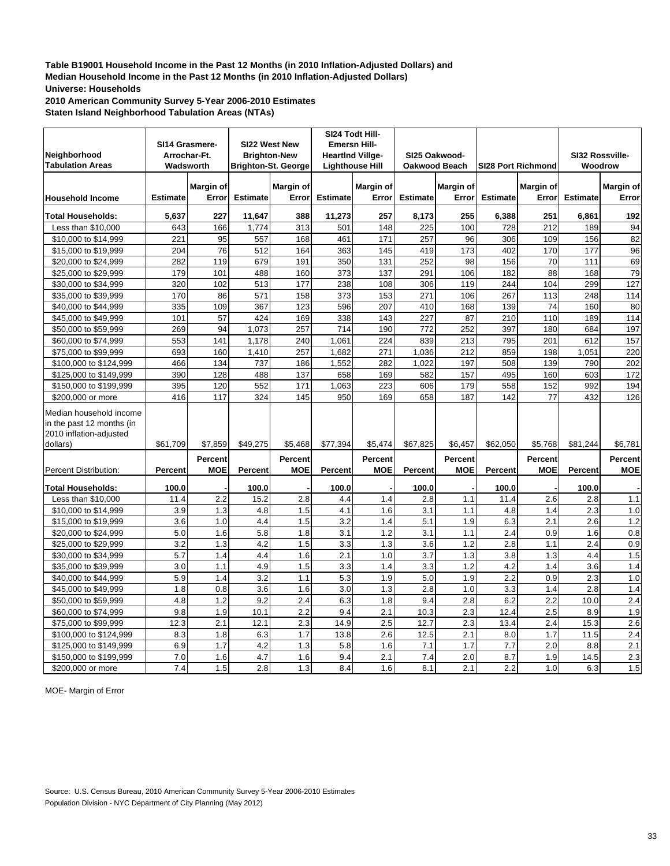**2010 American Community Survey 5-Year 2006-2010 Estimates Staten Island Neighborhood Tabulation Areas (NTAs)**

|                           |                  |                |                 |                            | SI24 Todt Hill-         |                        |                 |                      |                 |                           |                 |                  |
|---------------------------|------------------|----------------|-----------------|----------------------------|-------------------------|------------------------|-----------------|----------------------|-----------------|---------------------------|-----------------|------------------|
|                           |                  | SI14 Grasmere- |                 | SI22 West New              | <b>Emersn Hill-</b>     |                        |                 |                      |                 |                           |                 |                  |
| Neighborhood              |                  | Arrochar-Ft.   |                 | <b>Brighton-New</b>        | <b>HeartInd Villge-</b> |                        |                 | SI25 Oakwood-        |                 |                           | SI32 Rossville- |                  |
| <b>Tabulation Areas</b>   |                  | Wadsworth      |                 | <b>Brighton-St. George</b> |                         | <b>Lighthouse Hill</b> |                 | <b>Oakwood Beach</b> |                 | <b>SI28 Port Richmond</b> | Woodrow         |                  |
|                           |                  | Margin of      |                 | <b>Margin of</b>           |                         | Margin of              |                 | <b>Margin of</b>     |                 | Margin of                 |                 | <b>Margin of</b> |
| <b>Household Income</b>   | <b>Estimate</b>  | Error          | <b>Estimate</b> | Error                      | <b>Estimate</b>         | Error                  | <b>Estimate</b> | Error                | <b>Estimate</b> | Error                     | <b>Estimate</b> | Error            |
|                           |                  |                |                 |                            |                         |                        |                 |                      |                 |                           |                 |                  |
| <b>Total Households:</b>  | 5,637            | 227            | 11,647          | 388                        | 11,273                  | 257                    | 8,173           | 255                  | 6,388           | 251                       | 6,861           | 192              |
| Less than \$10,000        | 643              | 166            | 1,774           | 313                        | 501                     | 148                    | 225             | 100                  | 728             | 212                       | 189             | 94               |
| \$10,000 to \$14,999      | 221              | 95             | 557             | 168                        | 461                     | 171                    | 257             | 96                   | 306             | 109                       | 156             | 82               |
| \$15,000 to \$19,999      | 204              | 76             | 512             | 164                        | 363                     | 145                    | 419             | 173                  | 402             | 170                       | 177             | 96               |
| \$20,000 to \$24,999      | 282              | 119            | 679             | 191                        | 350                     | 131                    | 252             | 98                   | 156             | 70                        | 111             | 69               |
| \$25,000 to \$29,999      | 179              | 101            | 488             | 160                        | 373                     | 137                    | 291             | 106                  | 182             | 88                        | 168             | 79               |
| \$30,000 to \$34,999      | 320              | 102            | 513             | 177                        | 238                     | 108                    | 306             | 119                  | 244             | 104                       | 299             | 127              |
| \$35,000 to \$39,999      | 170              | 86             | 571             | 158                        | 373                     | 153                    | 271             | 106                  | 267             | 113                       | 248             | 114              |
| \$40,000 to \$44,999      | 335              | 109            | 367             | 123                        | 596                     | 207                    | 410             | 168                  | 139             | 74                        | 160             | 80               |
| \$45,000 to \$49,999      | 101              | 57             | 424             | 169                        | 338                     | 143                    | 227             | 87                   | 210             | 110                       | 189             | 114              |
| \$50,000 to \$59,999      | 269              | 94             | 1,073           | 257                        | 714                     | 190                    | 772             | 252                  | 397             | 180                       | 684             | 197              |
| \$60,000 to \$74,999      | 553              | 141            | 1,178           | 240                        | 1,061                   | 224                    | 839             | 213                  | 795             | 201                       | 612             | 157              |
| \$75,000 to \$99,999      | 693              | 160            | 1,410           | 257                        | 1,682                   | 271                    | 1,036           | 212                  | 859             | 198                       | 1,051           | 220              |
| \$100,000 to \$124,999    | 466              | 134            | 737             | 186                        | 1,552                   | 282                    | 1.022           | 197                  | 508             | 139                       | 790             | 202              |
| \$125,000 to \$149,999    | 390              | 128            | 488             | 137                        | 658                     | 169                    | 582             | 157                  | 495             | 160                       | 603             | 172              |
| \$150,000 to \$199,999    | 395              | 120            | 552             | 171                        | 1,063                   | 223                    | 606             | 179                  | 558             | 152                       | 992             | 194              |
| \$200,000 or more         | 416              | 117            | 324             | 145                        | 950                     | 169                    | 658             | 187                  | 142             | 77                        | 432             | 126              |
| Median household income   |                  |                |                 |                            |                         |                        |                 |                      |                 |                           |                 |                  |
| in the past 12 months (in |                  |                |                 |                            |                         |                        |                 |                      |                 |                           |                 |                  |
| 2010 inflation-adjusted   |                  |                |                 |                            |                         |                        |                 |                      |                 |                           |                 |                  |
| dollars)                  | \$61,709         | \$7,859        | \$49,275        | \$5,468                    | \$77,394                | \$5,474                | \$67,825        | \$6,457              | \$62,050        | \$5,768                   | \$81,244        | \$6,781          |
|                           |                  | Percent        |                 | Percent                    |                         | <b>Percent</b>         |                 | Percent              |                 | <b>Percent</b>            |                 | Percent          |
| Percent Distribution:     | Percent          | <b>MOE</b>     | <b>Percent</b>  | <b>MOE</b>                 | <b>Percent</b>          | <b>MOE</b>             | <b>Percent</b>  | <b>MOE</b>           | Percent         | <b>MOE</b>                | Percent         | <b>MOE</b>       |
|                           |                  |                |                 |                            |                         |                        |                 |                      |                 |                           |                 |                  |
| <b>Total Households:</b>  | 100.0            |                | 100.0           |                            | 100.0                   |                        | 100.0           |                      | 100.0           |                           | 100.0           |                  |
| Less than \$10,000        | 11.4             | 2.2            | 15.2            | 2.8                        | 4.4                     | 1.4                    | 2.8             | 1.1                  | 11.4            | 2.6                       | 2.8             | $1.1$            |
| \$10,000 to \$14,999      | 3.9              | 1.3            | 4.8             | 1.5                        | 4.1                     | 1.6                    | 3.1             | 1.1                  | 4.8             | 1.4                       | 2.3             | 1.0              |
| \$15,000 to \$19,999      | 3.6              | 1.0            | 4.4             | 1.5                        | 3.2                     | 1.4                    | 5.1             | 1.9                  | 6.3             | 2.1                       | 2.6             | 1.2              |
| \$20,000 to \$24,999      | 5.0              | 1.6            | 5.8             | 1.8                        | 3.1                     | 1.2                    | 3.1             | 1.1                  | 2.4             | 0.9                       | 1.6             | $\overline{0.8}$ |
| \$25,000 to \$29,999      | 3.2              | 1.3            | 4.2             | 1.5                        | 3.3                     | 1.3                    | 3.6             | 1.2                  | 2.8             | 1.1                       | 2.4             | 0.9              |
| \$30,000 to \$34,999      | $\overline{5.7}$ | 1.4            | 4.4             | 1.6                        | 2.1                     | 1.0                    | 3.7             | 1.3                  | 3.8             | 1.3                       | 4.4             | 1.5              |
| \$35,000 to \$39,999      | 3.0              | 1.1            | 4.9             | 1.5                        | 3.3                     | 1.4                    | 3.3             | 1.2                  | 4.2             | 1.4                       | 3.6             | 1.4              |
| \$40,000 to \$44,999      | 5.9              | 1.4            | 3.2             | 1.1                        | 5.3                     | 1.9                    | 5.0             | 1.9                  | 2.2             | 0.9                       | 2.3             | 1.0              |
| \$45,000 to \$49,999      | 1.8              | 0.8            | 3.6             | 1.6                        | 3.0                     | 1.3                    | 2.8             | 1.0                  | 3.3             | 1.4                       | 2.8             | 1.4              |
| \$50,000 to \$59,999      | 4.8              | 1.2            | 9.2             | $\overline{2.4}$           | 6.3                     | 1.8                    | 9.4             | 2.8                  | 6.2             | $\overline{2.2}$          | 10.0            | 2.4              |
| \$60,000 to \$74,999      | 9.8              | 1.9            | 10.1            | 2.2                        | 9.4                     | 2.1                    | 10.3            | 2.3                  | 12.4            | 2.5                       | 8.9             | 1.9              |
| \$75,000 to \$99,999      | 12.3             | 2.1            | 12.1            | 2.3                        | 14.9                    | 2.5                    | 12.7            | 2.3                  | 13.4            | 2.4                       | 15.3            | 2.6              |
| \$100,000 to \$124,999    | 8.3              | 1.8            | 6.3             | 1.7                        | 13.8                    | 2.6                    | 12.5            | 2.1                  | 8.0             | 1.7                       | 11.5            | 2.4              |
| \$125,000 to \$149,999    | 6.9              | 1.7            | 4.2             | 1.3                        | 5.8                     | 1.6                    | 7.1             | 1.7                  | 7.7             | 2.0                       | 8.8             | 2.1              |
| \$150,000 to \$199,999    | 7.0              | 1.6            | 4.7             | 1.6                        | 9.4                     | 2.1                    | 7.4             | $\overline{2.0}$     | 8.7             | 1.9                       | 14.5            | 2.3              |
| \$200,000 or more         | 7.4              | 1.5            | 2.8             | 1.3                        | 8.4                     | 1.6                    | 8.1             | 2.1                  | 2.2             | 1.0                       | 6.3             | 1.5              |

MOE- Margin of Error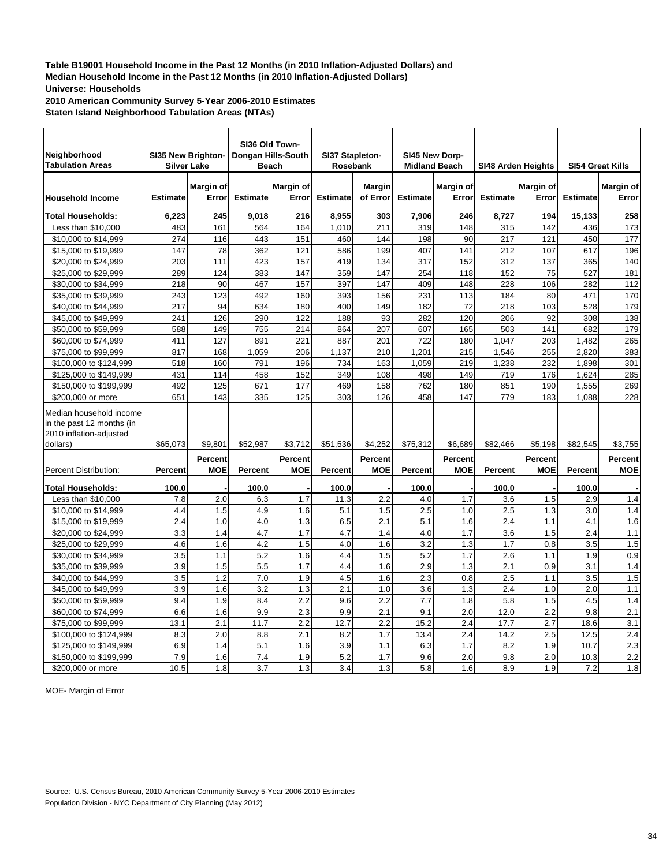**2010 American Community Survey 5-Year 2006-2010 Estimates Staten Island Neighborhood Tabulation Areas (NTAs)**

| Neighborhood<br><b>Tabulation Areas</b>                                                     |                 | SI35 New Brighton-<br><b>Silver Lake</b> |                 | SI36 Old Town-<br>Dongan Hills-South<br><b>Beach</b> | SI37 Stapleton-<br>Rosebank |                              | <b>Midland Beach</b> | SI45 New Dorp-            |                 | SI48 Arden Heights        | <b>SI54 Great Kills</b> |                       |
|---------------------------------------------------------------------------------------------|-----------------|------------------------------------------|-----------------|------------------------------------------------------|-----------------------------|------------------------------|----------------------|---------------------------|-----------------|---------------------------|-------------------------|-----------------------|
| <b>Household Income</b>                                                                     | <b>Estimate</b> | Margin of<br>Error                       | <b>Estimate</b> | Margin of<br>Error                                   | <b>Estimate</b>             | <b>Margin</b><br>of Error    | <b>Estimate</b>      | <b>Margin of</b><br>Error | <b>Estimate</b> | <b>Margin of</b><br>Error | <b>Estimate</b>         | Margin of<br>Error    |
| <b>Total Households:</b>                                                                    | 6,223           | 245                                      | 9,018           | 216                                                  | 8,955                       | 303                          | 7,906                | 246                       | 8,727           | 194                       | 15,133                  | 258                   |
| Less than \$10,000                                                                          | 483             | 161                                      | 564             | 164                                                  | 1,010                       | 211                          | 319                  | 148                       | 315             | 142                       | 436                     | 173                   |
| \$10,000 to \$14,999                                                                        | 274             | 116                                      | 443             | 151                                                  | 460                         | 144                          | 198                  | 90                        | 217             | 121                       | 450                     | 177                   |
| \$15,000 to \$19,999                                                                        | 147             | 78                                       | 362             | 121                                                  | 586                         | 199                          | 407                  | 141                       | 212             | 107                       | 617                     | 196                   |
| \$20,000 to \$24,999                                                                        | 203             | 111                                      | 423             | 157                                                  | 419                         | 134                          | 317                  | 152                       | 312             | 137                       | 365                     | 140                   |
| \$25,000 to \$29,999                                                                        | 289             | 124                                      | 383             | 147                                                  | 359                         | 147                          | 254                  | 118                       | 152             | 75                        | 527                     | 181                   |
| \$30,000 to \$34,999                                                                        | 218             | 90                                       | 467             | 157                                                  | 397                         | 147                          | 409                  | 148                       | 228             | 106                       | 282                     | 112                   |
| \$35,000 to \$39,999                                                                        | 243             | 123                                      | 492             | 160                                                  | 393                         | 156                          | 231                  | 113                       | 184             | 80                        | 471                     | 170                   |
| \$40,000 to \$44,999                                                                        | 217             | 94                                       | 634             | 180                                                  | 400                         | 149                          | 182                  | 72                        | 218             | 103                       | 528                     | 179                   |
| \$45,000 to \$49,999                                                                        | 241             | 126                                      | 290             | 122                                                  | 188                         | 93                           | 282                  | 120                       | 206             | 92                        | 308                     | 138                   |
| \$50,000 to \$59,999                                                                        | 588             | 149                                      | 755             | 214                                                  | 864                         | 207                          | 607                  | 165                       | 503             | 141                       | 682                     | 179                   |
| \$60,000 to \$74,999                                                                        | 411             | 127                                      | 891             | 221                                                  | 887                         | 201                          | 722                  | 180                       | 1,047           | 203                       | 1,482                   | 265                   |
| \$75,000 to \$99,999                                                                        | 817             | 168                                      | 1,059           | 206                                                  | 1,137                       | 210                          | 1,201                | 215                       | 1,546           | 255                       | 2,820                   | 383                   |
| \$100,000 to \$124,999                                                                      | 518             | 160                                      | 791             | 196                                                  | 734                         | 163                          | 1,059                | 219                       | 1,238           | 232                       | 1,898                   | 301                   |
| \$125,000 to \$149,999                                                                      | 431             | 114                                      | 458             | 152                                                  | 349                         | 108                          | 498                  | 149                       | 719             | 176                       | 1,624                   | 285                   |
| \$150,000 to \$199,999                                                                      | 492             | 125                                      | 671             | 177                                                  | 469                         | 158                          | 762                  | 180                       | 851             | 190                       | 1,555                   | 269                   |
| \$200,000 or more                                                                           | 651             | 143                                      | 335             | 125                                                  | 303                         | 126                          | 458                  | 147                       | 779             | 183                       | 1,088                   | 228                   |
| Median household income<br>in the past 12 months (in<br>2010 inflation-adjusted<br>dollars) | \$65,073        | \$9,801                                  | \$52,987        | \$3,712                                              | \$51,536                    | \$4,252                      | \$75,312             | \$6,689                   | \$82,466        | \$5,198                   | \$82,545                | \$3,755               |
| Percent Distribution:                                                                       | Percent         | Percent<br><b>MOE</b>                    | <b>Percent</b>  | Percent<br><b>MOE</b>                                | Percent                     | <b>Percent</b><br><b>MOE</b> | <b>Percent</b>       | Percent<br><b>MOE</b>     | <b>Percent</b>  | Percent<br><b>MOE</b>     | Percent                 | Percent<br><b>MOE</b> |
| <b>Total Households:</b>                                                                    | 100.0           |                                          | 100.0           |                                                      | 100.0                       |                              | 100.0                |                           | 100.0           |                           | 100.0                   |                       |
| Less than \$10,000                                                                          | 7.8             | 2.0                                      | 6.3             | 1.7                                                  | 11.3                        | 2.2                          | 4.0                  | 1.7                       | 3.6             | 1.5                       | 2.9                     | 1.4                   |
| \$10,000 to \$14,999                                                                        | 4.4             | 1.5                                      | 4.9             | 1.6                                                  | 5.1                         | 1.5                          | 2.5                  | 1.0                       | 2.5             | 1.3                       | 3.0                     | 1.4                   |
| \$15,000 to \$19,999                                                                        | 2.4             | 1.0                                      | 4.0             | 1.3                                                  | 6.5                         | 2.1                          | 5.1                  | 1.6                       | 2.4             | 1.1                       | 4.1                     | 1.6                   |
| \$20,000 to \$24,999                                                                        | 3.3             | 1.4                                      | 4.7             | 1.7                                                  | 4.7                         | 1.4                          | 4.0                  | 1.7                       | 3.6             | 1.5                       | 2.4                     | 1.1                   |
| \$25,000 to \$29,999                                                                        | 4.6             | 1.6                                      | 4.2             | 1.5                                                  | 4.0                         | 1.6                          | 3.2                  | 1.3                       | 1.7             | 0.8                       | 3.5                     | 1.5                   |
| \$30,000 to \$34,999                                                                        | 3.5             | 1.1                                      | 5.2             | 1.6                                                  | 4.4                         | 1.5                          | 5.2                  | 1.7                       | 2.6             | 1.1                       | 1.9                     | 0.9                   |
| \$35,000 to \$39,999                                                                        | 3.9             | 1.5                                      | 5.5             | 1.7                                                  | 4.4                         | 1.6                          | 2.9                  | 1.3                       | 2.1             | 0.9                       | 3.1                     | 1.4                   |
| \$40,000 to \$44,999                                                                        | 3.5             | 1.2                                      | 7.0             | 1.9                                                  | 4.5                         | 1.6                          | 2.3                  | 0.8                       | 2.5             | 1.1                       | 3.5                     | 1.5                   |
| \$45,000 to \$49,999                                                                        | 3.9             | 1.6                                      | 3.2             | 1.3                                                  | 2.1                         | 1.0                          | 3.6                  | 1.3                       | 2.4             | 1.0                       | 2.0                     | 1.1                   |
| \$50,000 to \$59,999                                                                        | 9.4             | 1.9                                      | 8.4             | 2.2                                                  | 9.6                         | 2.2                          | 7.7                  | 1.8                       | 5.8             | 1.5                       | 4.5                     | 1.4                   |
| \$60,000 to \$74,999                                                                        | 6.6             | 1.6                                      | 9.9             | 2.3                                                  | 9.9                         | 2.1                          | 9.1                  | 2.0                       | 12.0            | $\overline{2.2}$          | 9.8                     | $\overline{2.1}$      |
| \$75,000 to \$99,999                                                                        | 13.1            | 2.1                                      | 11.7            | 2.2                                                  | 12.7                        | 2.2                          | 15.2                 | 2.4                       | 17.7            | 2.7                       | 18.6                    | 3.1                   |
| \$100,000 to \$124,999                                                                      | 8.3             | 2.0                                      | 8.8             | 2.1                                                  | 8.2                         | 1.7                          | 13.4                 | 2.4                       | 14.2            | 2.5                       | 12.5                    | 2.4                   |
| \$125,000 to \$149,999                                                                      | 6.9             | 1.4                                      | 5.1             | 1.6                                                  | 3.9                         | 1.1                          | 6.3                  | 1.7                       | 8.2             | 1.9                       | 10.7                    | 2.3                   |
| \$150,000 to \$199,999                                                                      | 7.9             | 1.6                                      | 7.4             | 1.9                                                  | 5.2                         | 1.7                          | 9.6                  | 2.0                       | 9.8             | 2.0                       | 10.3                    | $\overline{2.2}$      |
| \$200,000 or more                                                                           | 10.5            | 1.8                                      | 3.7             | 1.3                                                  | 3.4                         | 1.3                          | 5.8                  | 1.6                       | 8.9             | 1.9                       | 7.2                     | 1.8                   |

MOE- Margin of Error